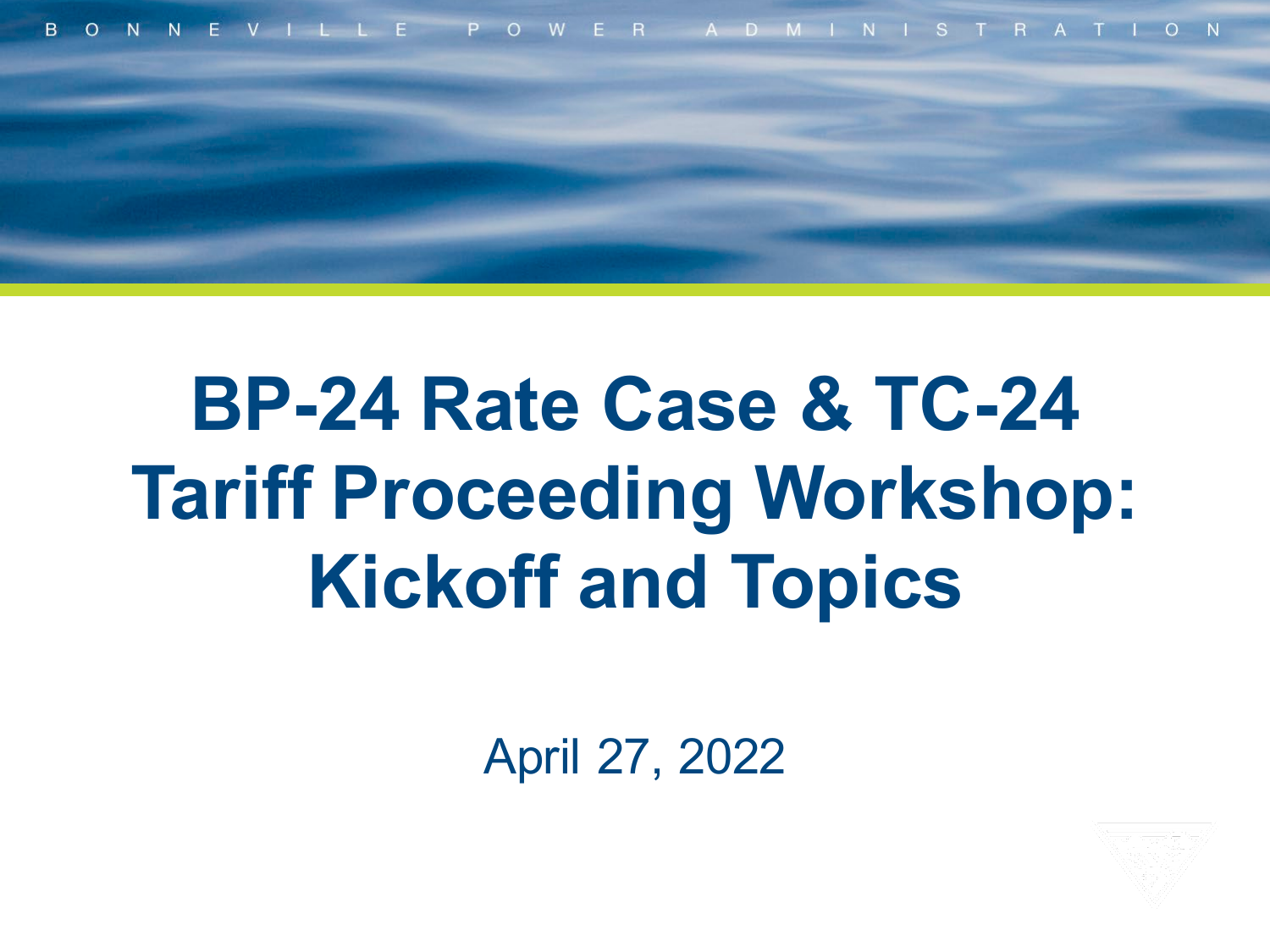

# **BP-24 Rate Case & TC-24 Tariff Proceeding Workshop: Kickoff and Topics**

April 27, 2022

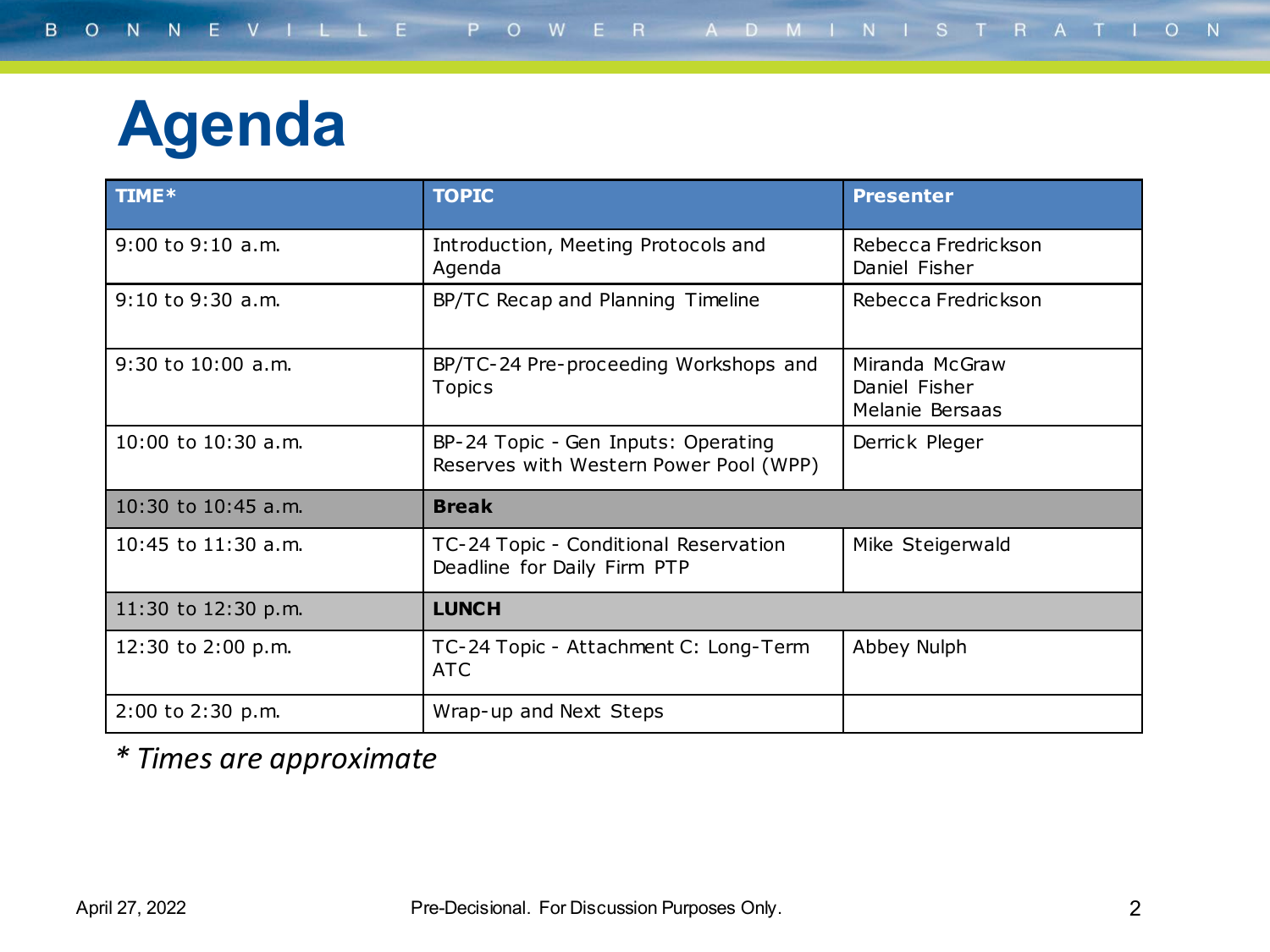#### **Agenda**

| TIME*                   | <b>TOPIC</b>                                                                             | <b>Presenter</b>                                   |  |
|-------------------------|------------------------------------------------------------------------------------------|----------------------------------------------------|--|
| $9:00$ to $9:10$ a.m.   | Introduction, Meeting Protocols and<br>Agenda                                            | Rebecca Fredrickson<br>Daniel Fisher               |  |
| 9:10 to 9:30 a.m.       | BP/TC Recap and Planning Timeline                                                        | Rebecca Fredrickson                                |  |
| $9:30$ to $10:00$ a.m.  | BP/TC-24 Pre-proceeding Workshops and<br><b>Topics</b>                                   | Miranda McGraw<br>Daniel Fisher<br>Melanie Bersaas |  |
| 10:00 to 10:30 a.m.     | BP-24 Topic - Gen Inputs: Operating<br>Reserves with Western Power Pool (WPP)            | Derrick Pleger                                     |  |
| 10:30 to 10:45 a.m.     | <b>Break</b>                                                                             |                                                    |  |
| $10:45$ to $11:30$ a.m. | TC-24 Topic - Conditional Reservation<br>Mike Steigerwald<br>Deadline for Daily Firm PTP |                                                    |  |
| 11:30 to 12:30 p.m.     | <b>LUNCH</b>                                                                             |                                                    |  |
| 12:30 to 2:00 p.m.      | Abbey Nulph<br>TC-24 Topic - Attachment C: Long-Term<br><b>ATC</b>                       |                                                    |  |
| $2:00$ to $2:30$ p.m.   | Wrap-up and Next Steps                                                                   |                                                    |  |

*\* Times are approximate*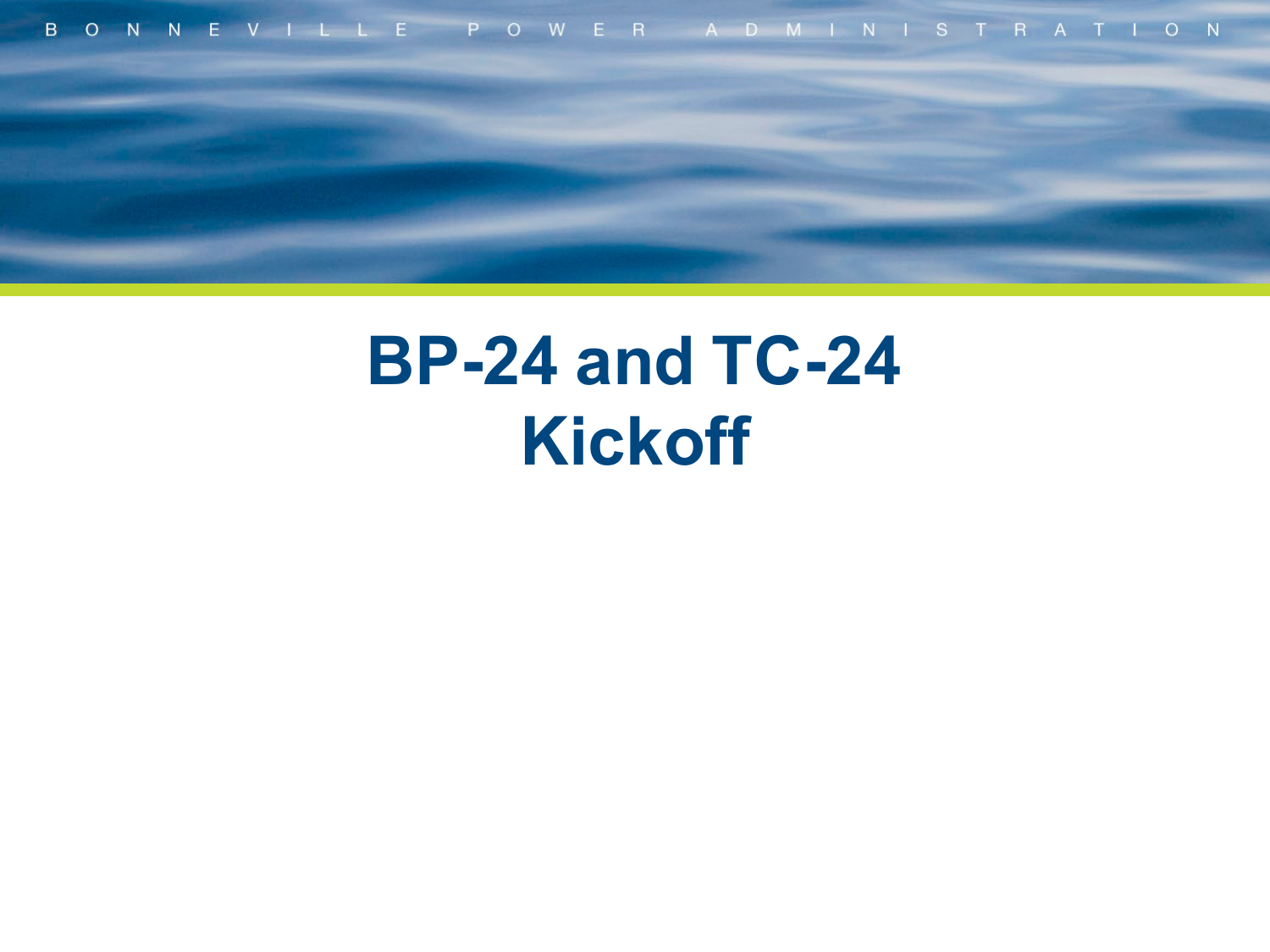

### **BP-24 and TC-24 Kickoff**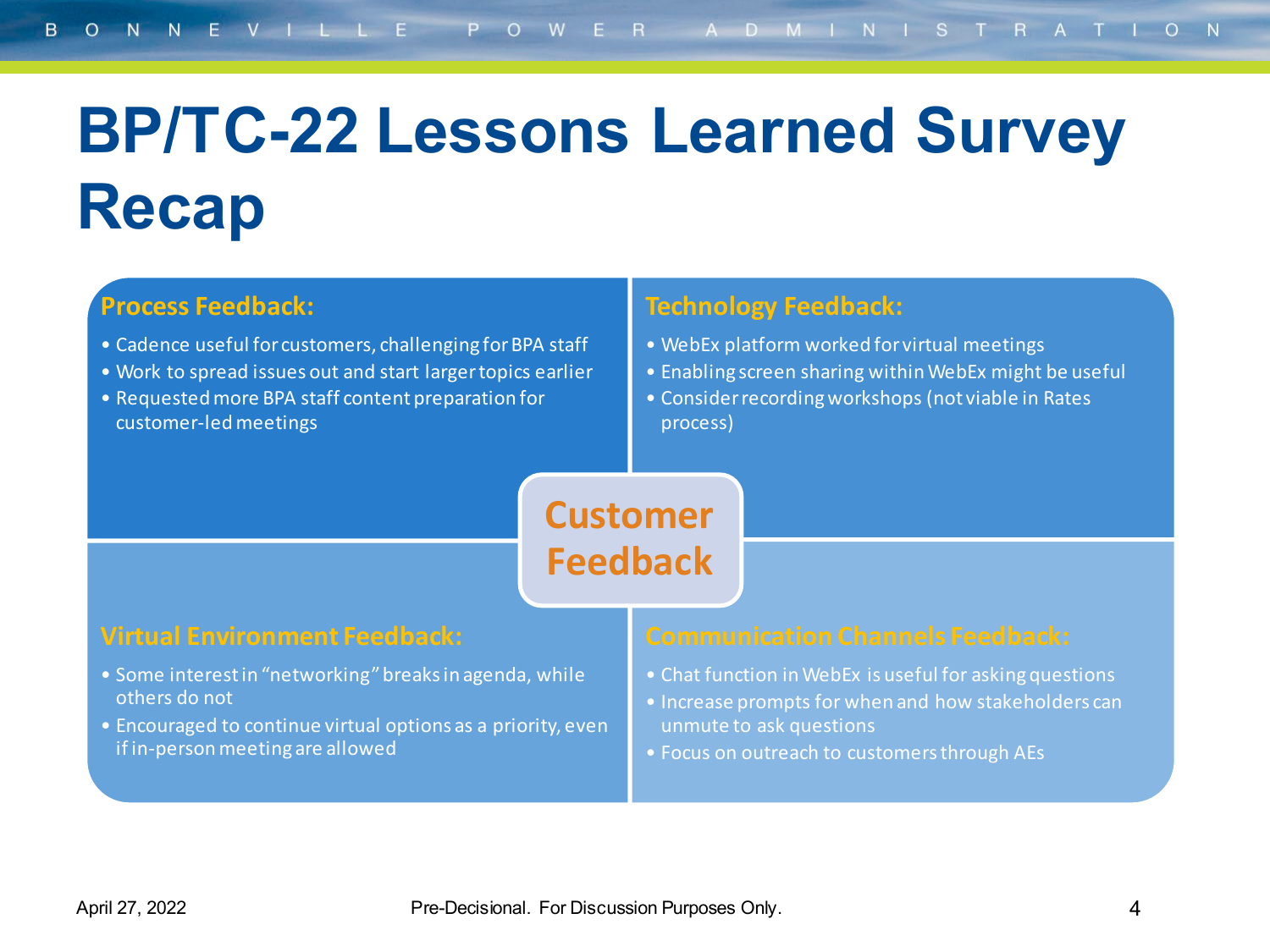## **BP/TC-22 Lessons Learned Survey Recap**

#### **Process Feedback:**

- Cadence useful for customers, challenging for BPA staff
- Work to spread issues out and start larger topics earlier
- Requested more BPA staff content preparation for customer-led meetings

#### **Technology Feedback:**

- WebEx platform worked for virtual meetings
- Enabling screen sharing within WebEx might be useful
- Consider recording workshops (not viable in Rates process)

**Customer Feedback**

#### **Virtual Environment Feedback:**

- Some interest in "networking" breaks in agenda, while others do not
- Encouraged to continue virtual options as a priority, even if in-person meeting are allowed

- Chat function in WebEx is useful for asking questions
- Increase prompts for when and how stakeholders can unmute to ask questions
- Focus on outreach to customers through AEs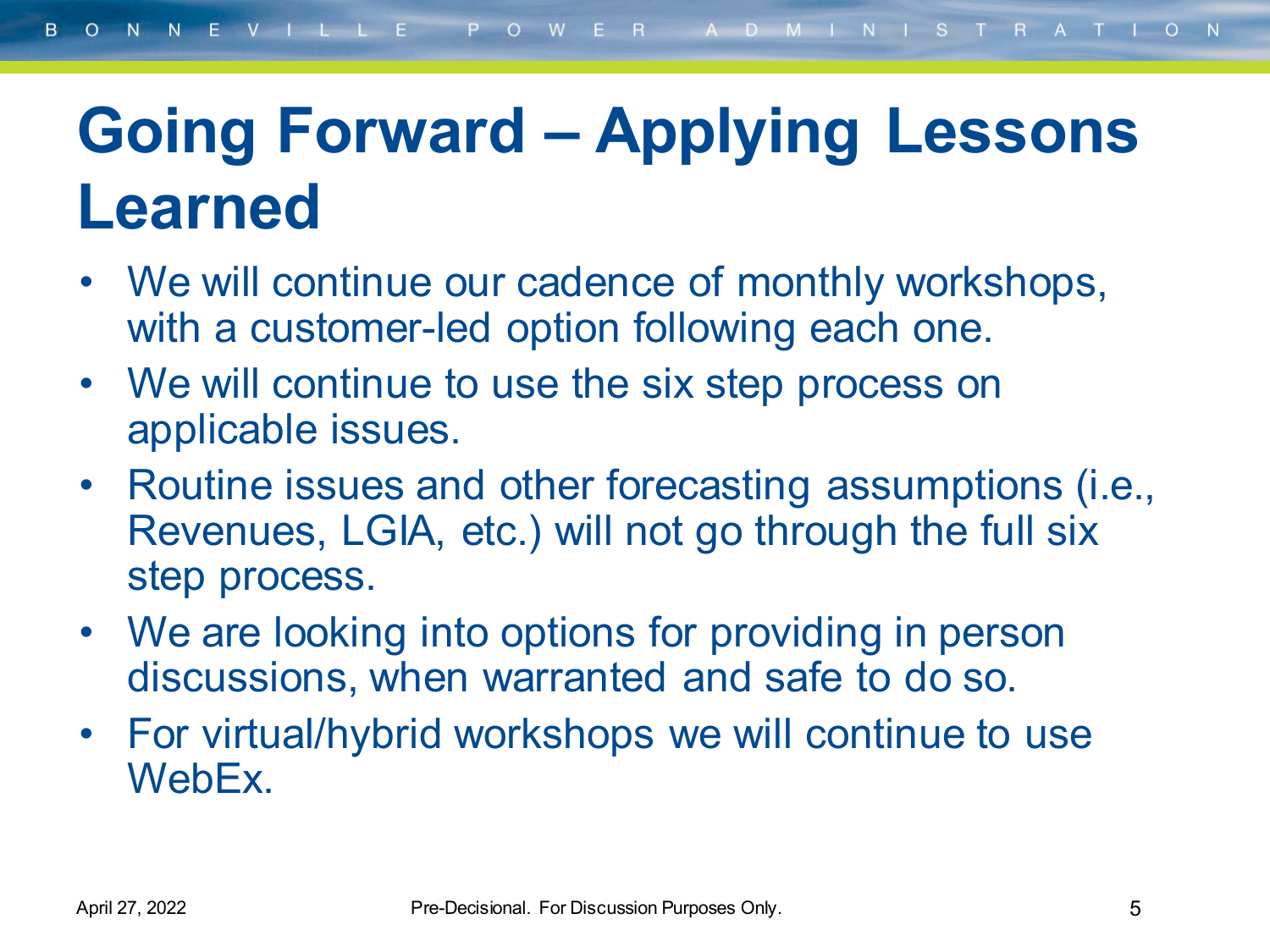### **Going Forward – Applying Lessons Learned**

- We will continue our cadence of monthly workshops, with a customer-led option following each one.
- We will continue to use the six step process on applicable issues.
- Routine issues and other forecasting assumptions (i.e., Revenues, LGIA, etc.) will not go through the full six step process.
- We are looking into options for providing in person discussions, when warranted and safe to do so.
- For virtual/hybrid workshops we will continue to use WebEx.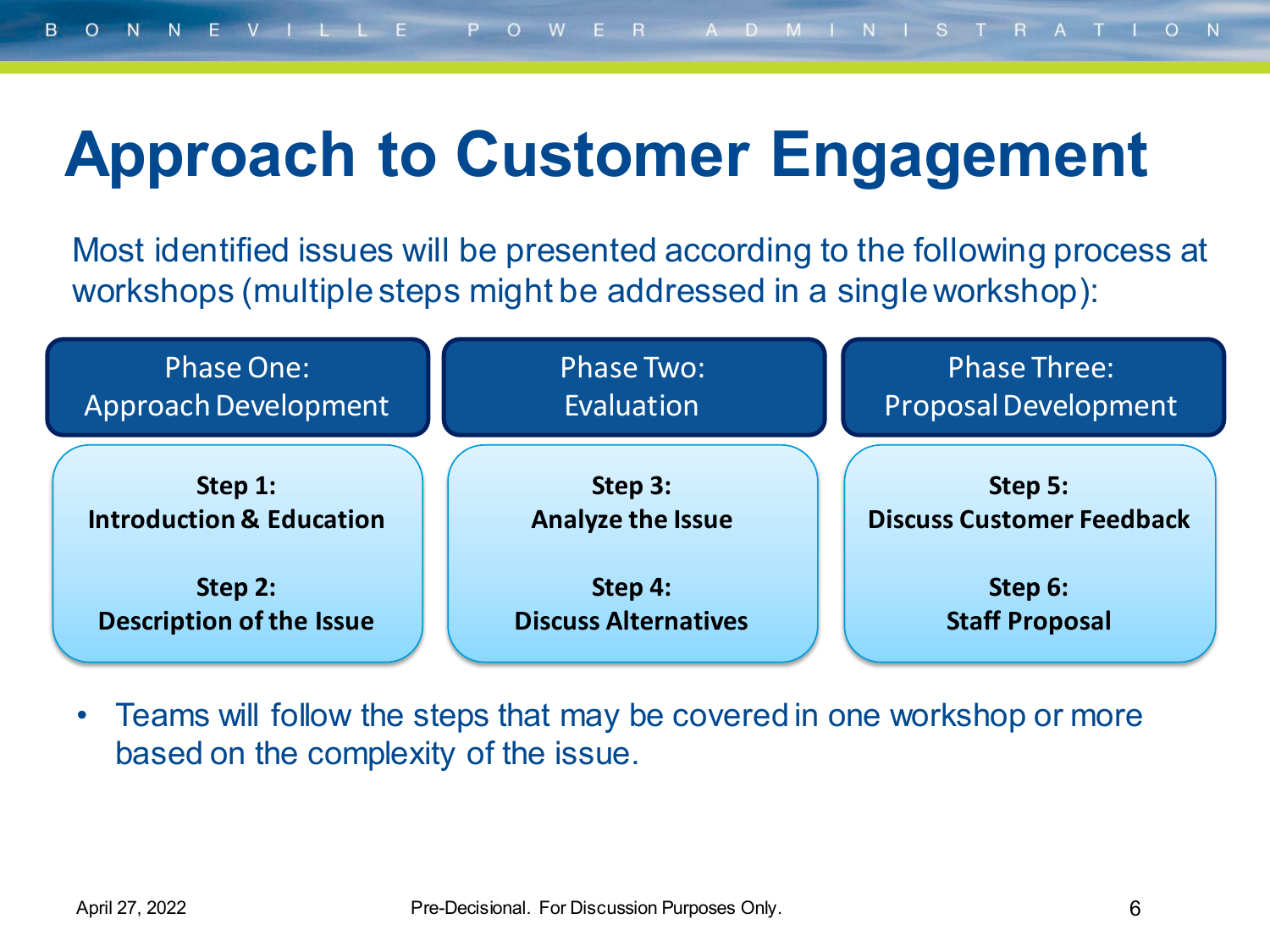## **Approach to Customer Engagement**

Most identified issues will be presented according to the following process at workshops (multiple steps might be addressed in a single workshop):



• Teams will follow the steps that may be covered in one workshop or more based on the complexity of the issue.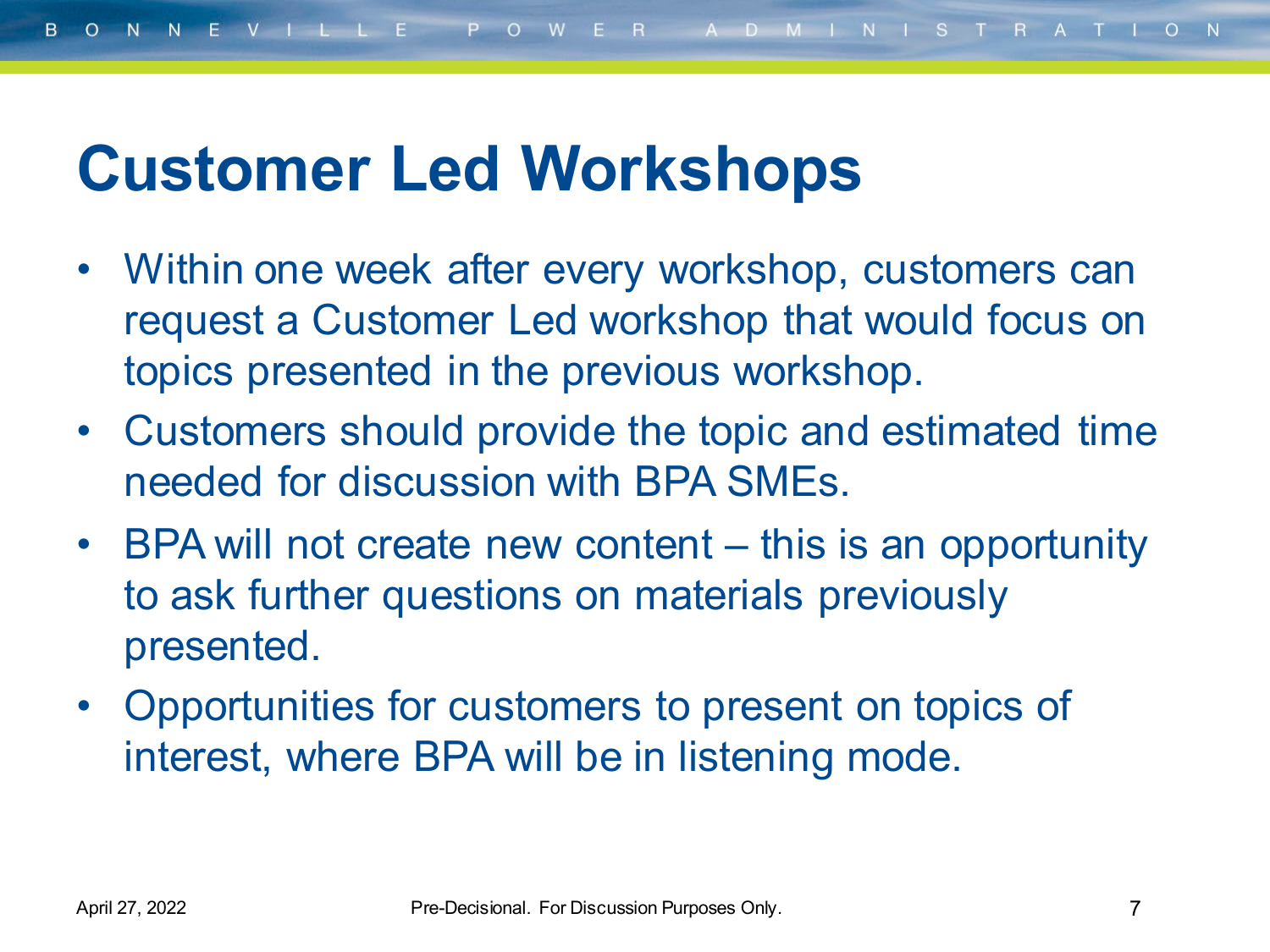#### **Customer Led Workshops**

- Within one week after every workshop, customers can request a Customer Led workshop that would focus on topics presented in the previous workshop.
- Customers should provide the topic and estimated time needed for discussion with BPA SMEs.
- BPA will not create new content this is an opportunity to ask further questions on materials previously presented.
- Opportunities for customers to present on topics of interest, where BPA will be in listening mode.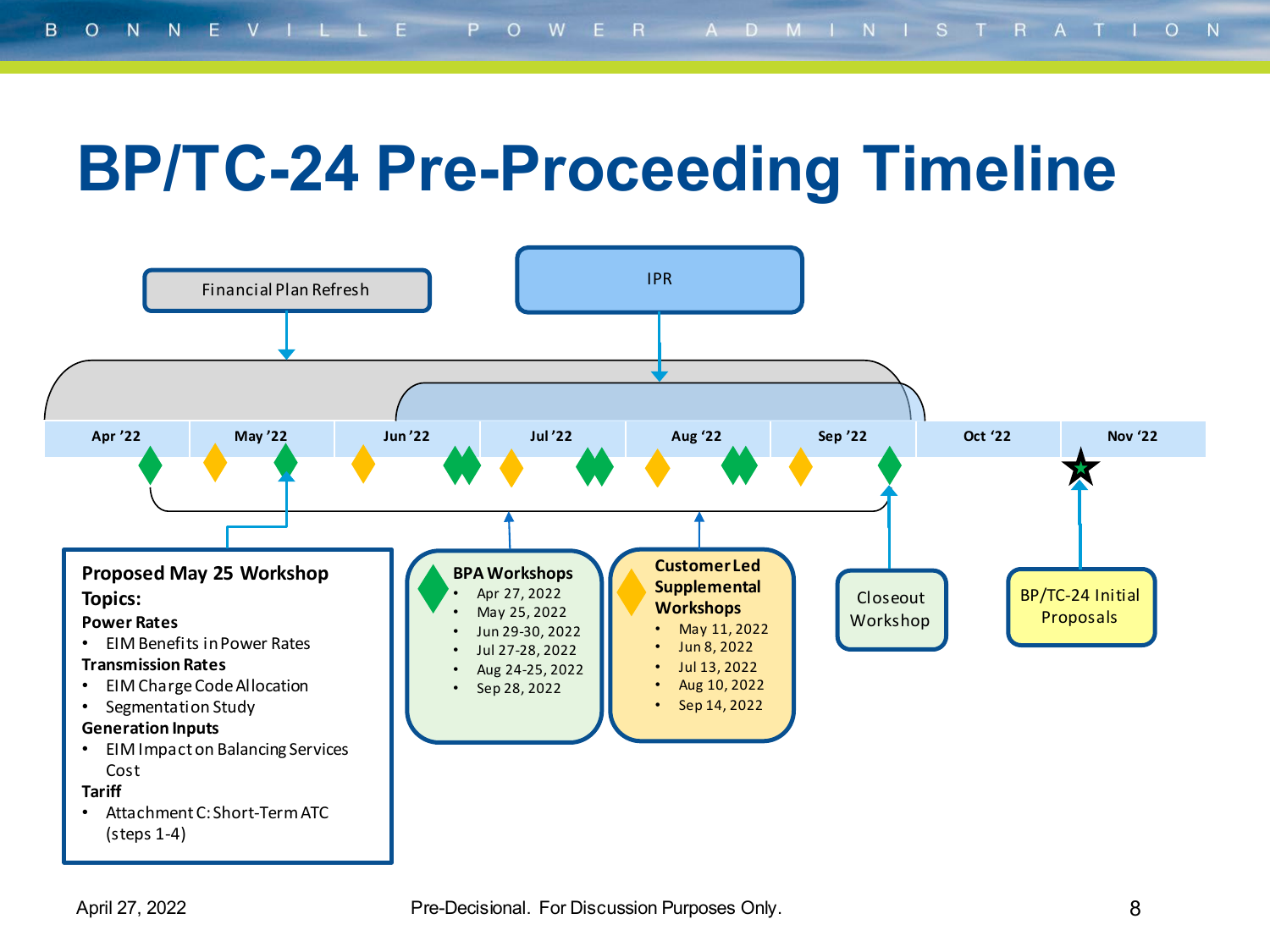#### **BP/TC-24 Pre-Proceeding Timeline**

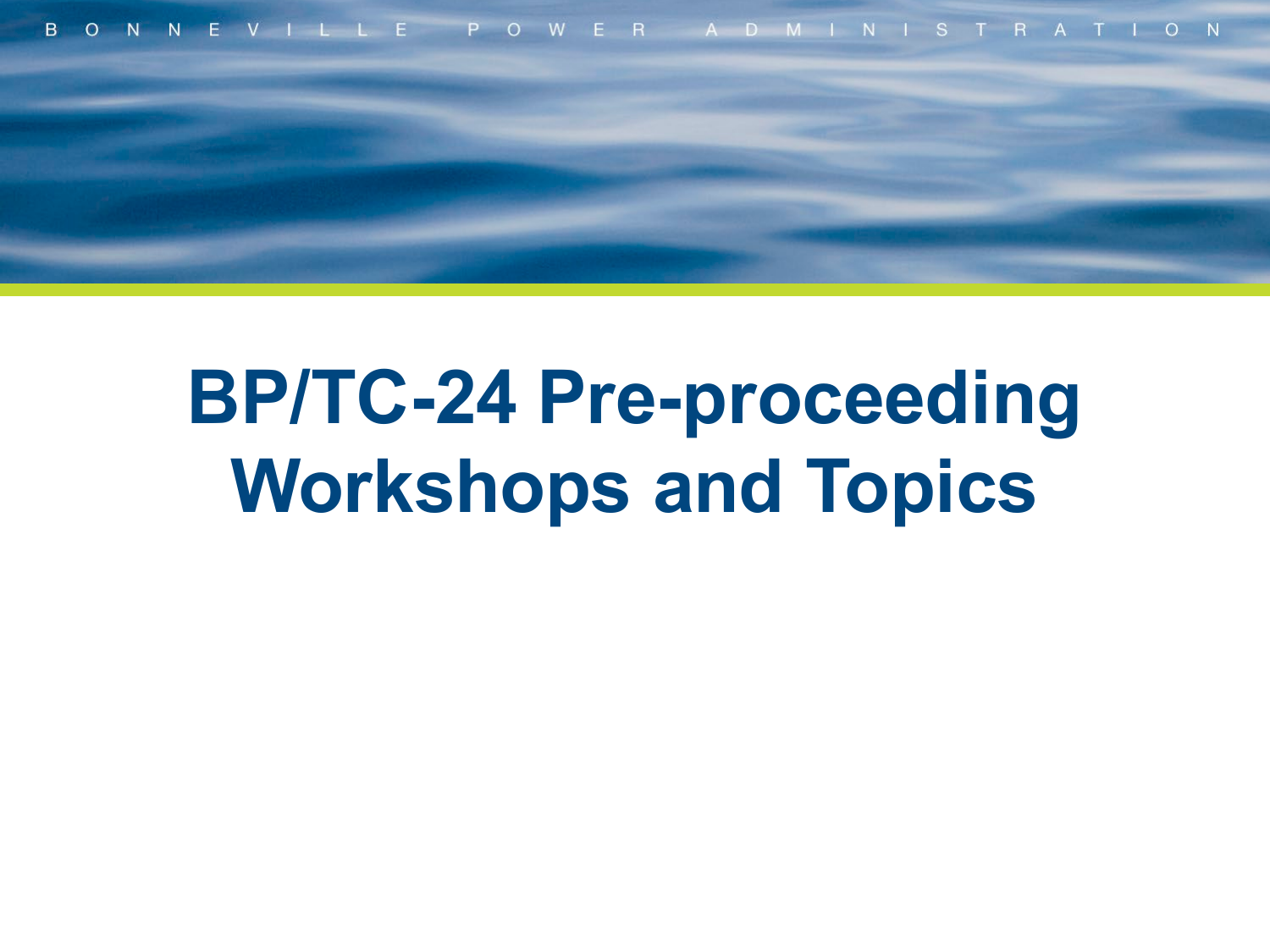

# **BP/TC-24 Pre-proceeding Workshops and Topics**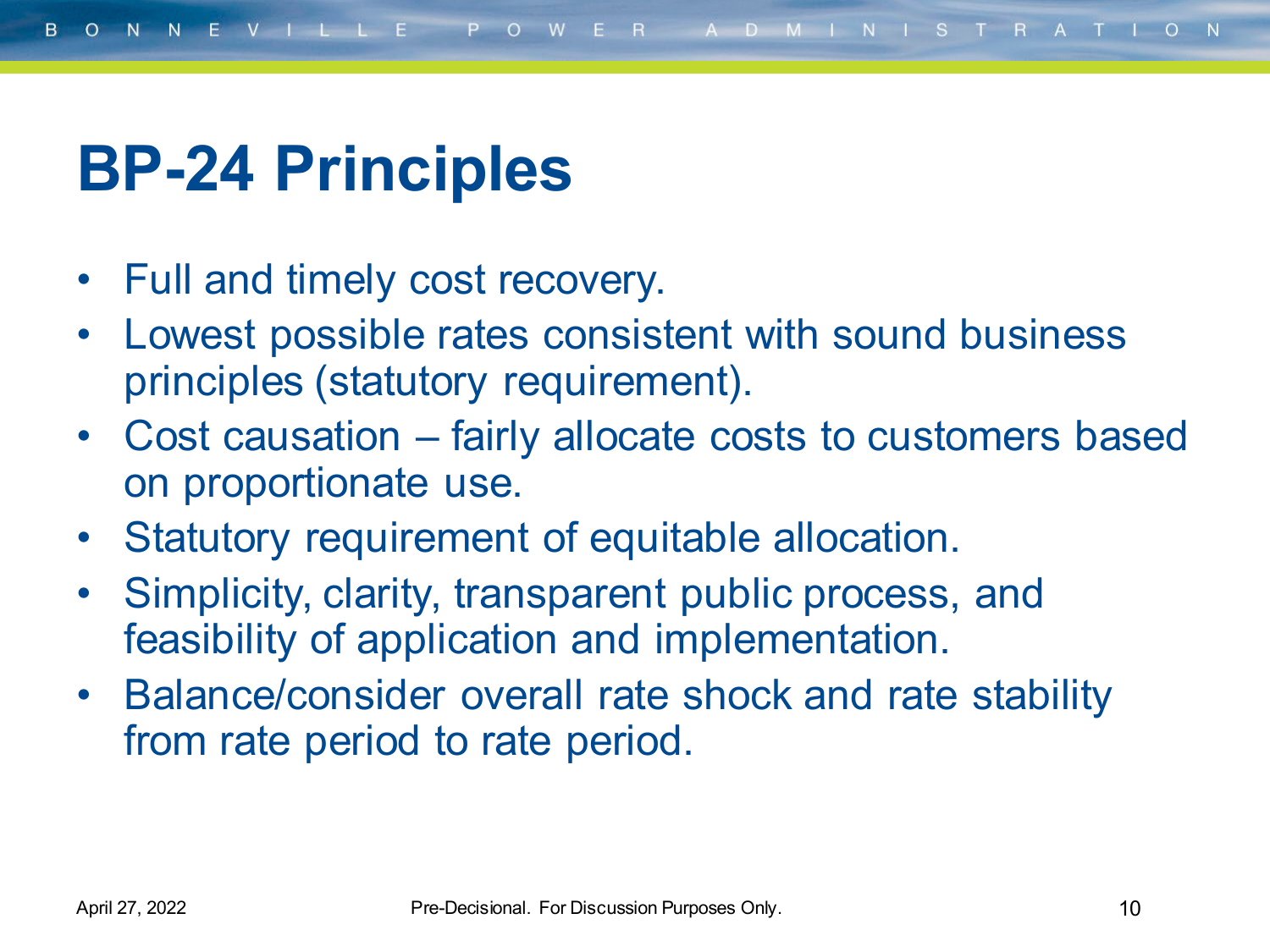#### **BP-24 Principles**

- Full and timely cost recovery.
- Lowest possible rates consistent with sound business principles (statutory requirement).
- Cost causation fairly allocate costs to customers based on proportionate use.
- Statutory requirement of equitable allocation.
- Simplicity, clarity, transparent public process, and feasibility of application and implementation.
- Balance/consider overall rate shock and rate stability from rate period to rate period.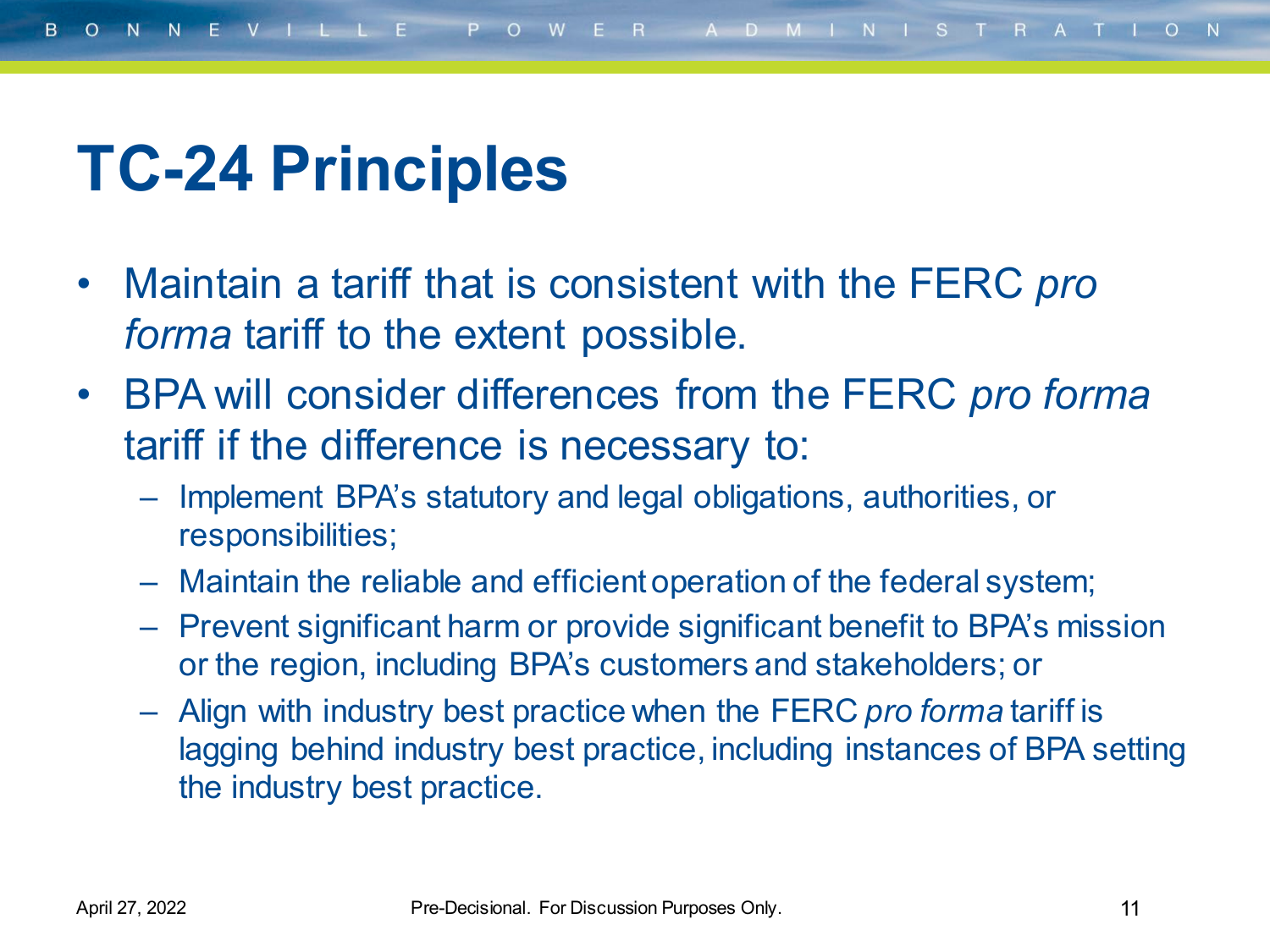#### **TC-24 Principles**

- Maintain a tariff that is consistent with the FERC *pro forma* tariff to the extent possible.
- BPA will consider differences from the FERC *pro forma* tariff if the difference is necessary to:
	- Implement BPA's statutory and legal obligations, authorities, or responsibilities;
	- Maintain the reliable and efficient operation of the federal system;
	- Prevent significant harm or provide significant benefit to BPA's mission or the region, including BPA's customers and stakeholders; or
	- Align with industry best practice when the FERC *pro forma* tariff is lagging behind industry best practice, including instances of BPA setting the industry best practice.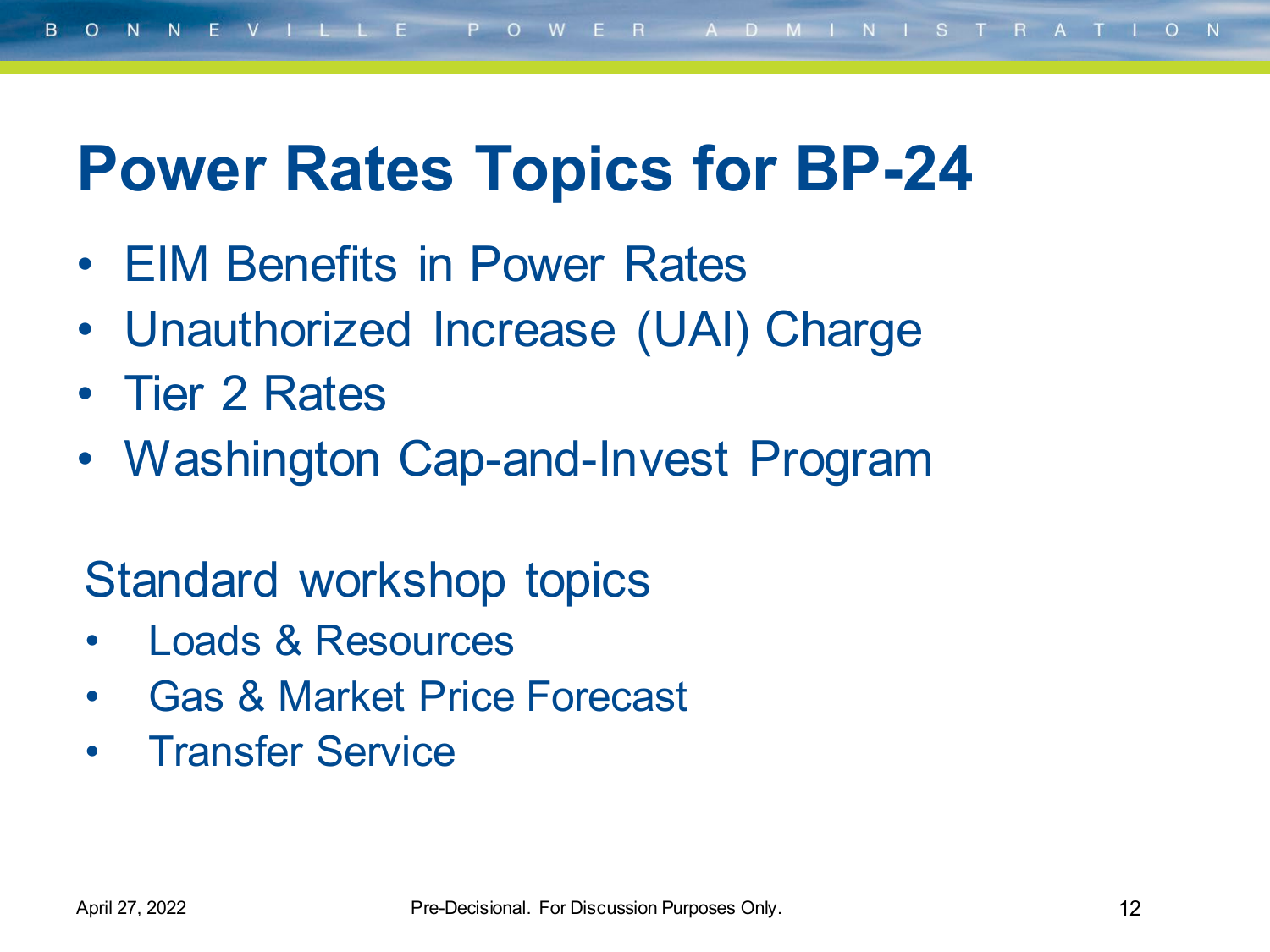#### **Power Rates Topics for BP-24**

- EIM Benefits in Power Rates
- Unauthorized Increase (UAI) Charge
- Tier 2 Rates
- Washington Cap-and-Invest Program

#### Standard workshop topics

- Loads & Resources
- Gas & Market Price Forecast
- Transfer Service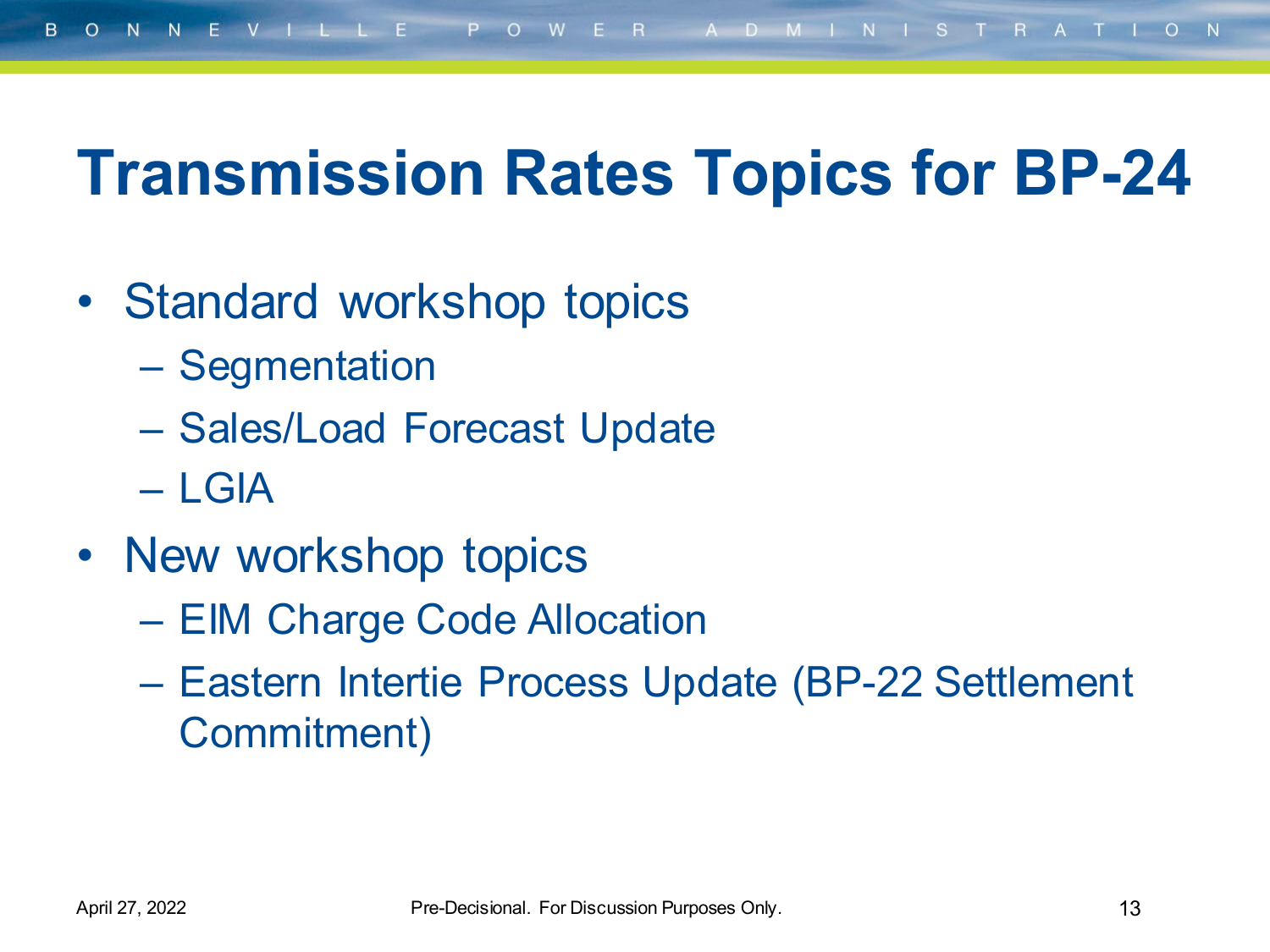#### **Transmission Rates Topics for BP-24**

- Standard workshop topics
	- Segmentation
	- Sales/Load Forecast Update
	- LGIA
- New workshop topics
	- EIM Charge Code Allocation
	- Eastern Intertie Process Update (BP-22 Settlement Commitment)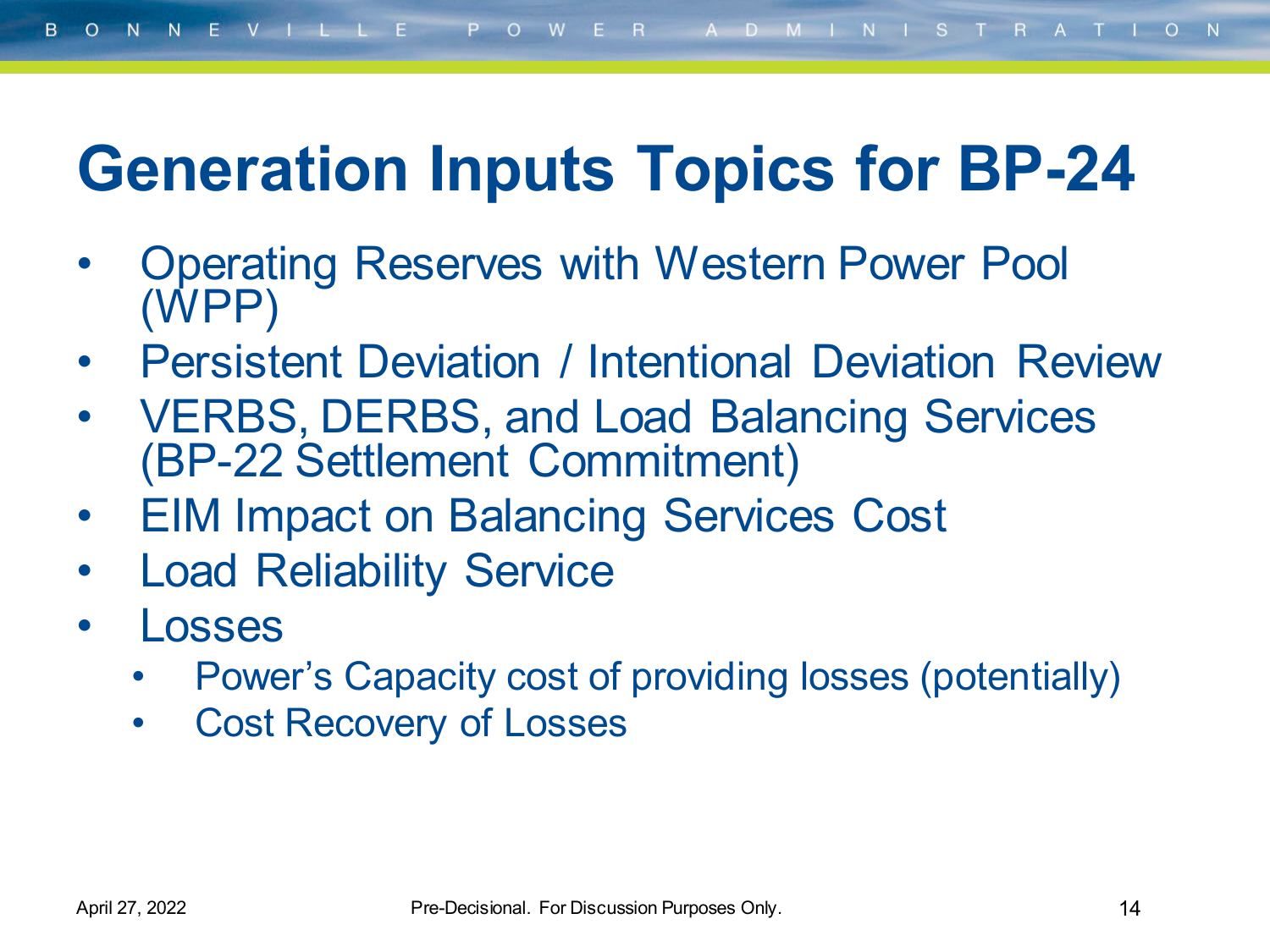### **Generation Inputs Topics for BP-24**

- Operating Reserves with Western Power Pool (WPP)
- Persistent Deviation / Intentional Deviation Review
- VERBS, DERBS, and Load Balancing Services (BP-22 Settlement Commitment)
- EIM Impact on Balancing Services Cost
- **Load Reliability Service**
- **Losses** 
	- Power's Capacity cost of providing losses (potentially)
	- Cost Recovery of Losses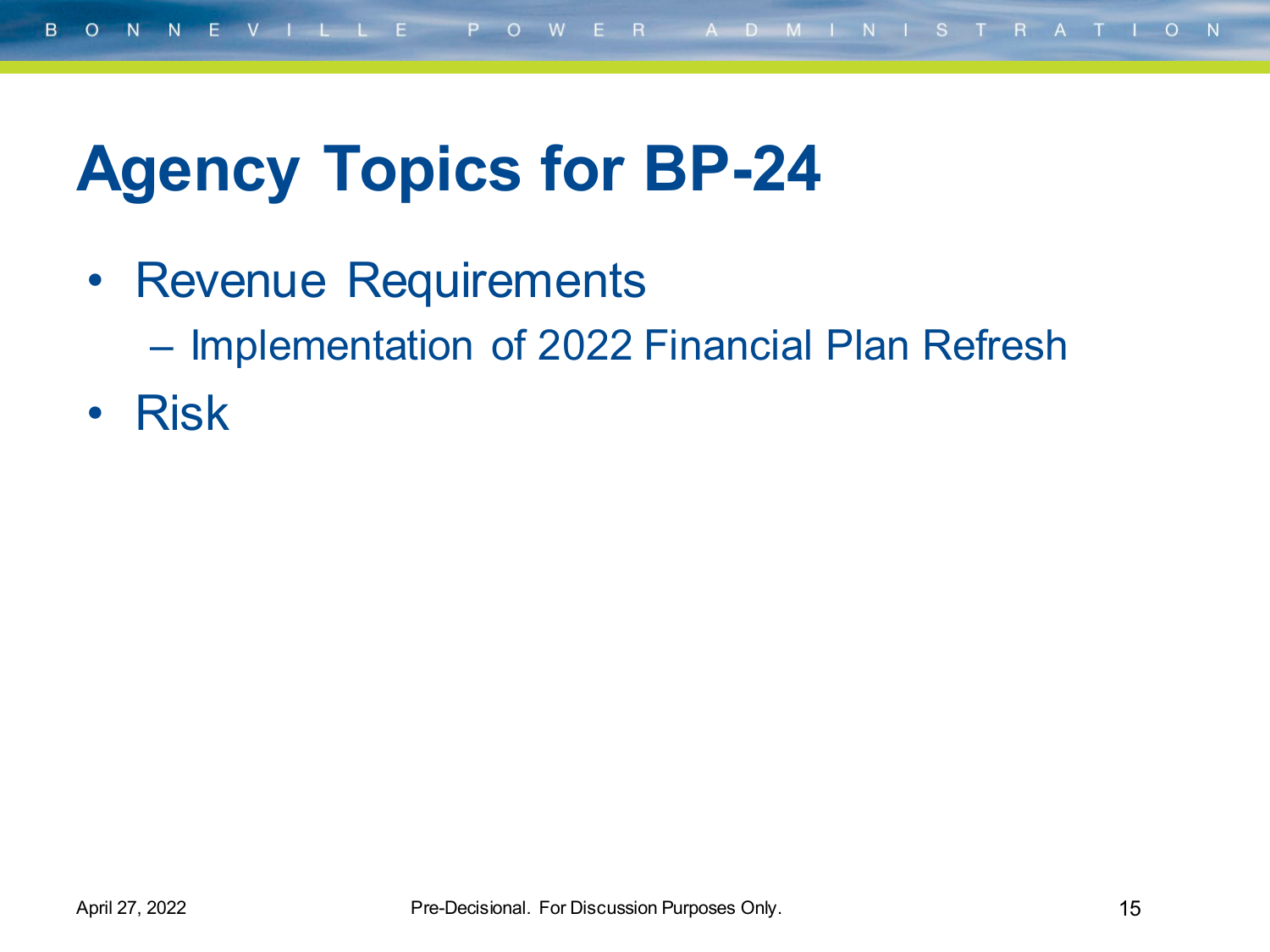### **Agency Topics for BP-24**

• Revenue Requirements

– Implementation of 2022 Financial Plan Refresh

• Risk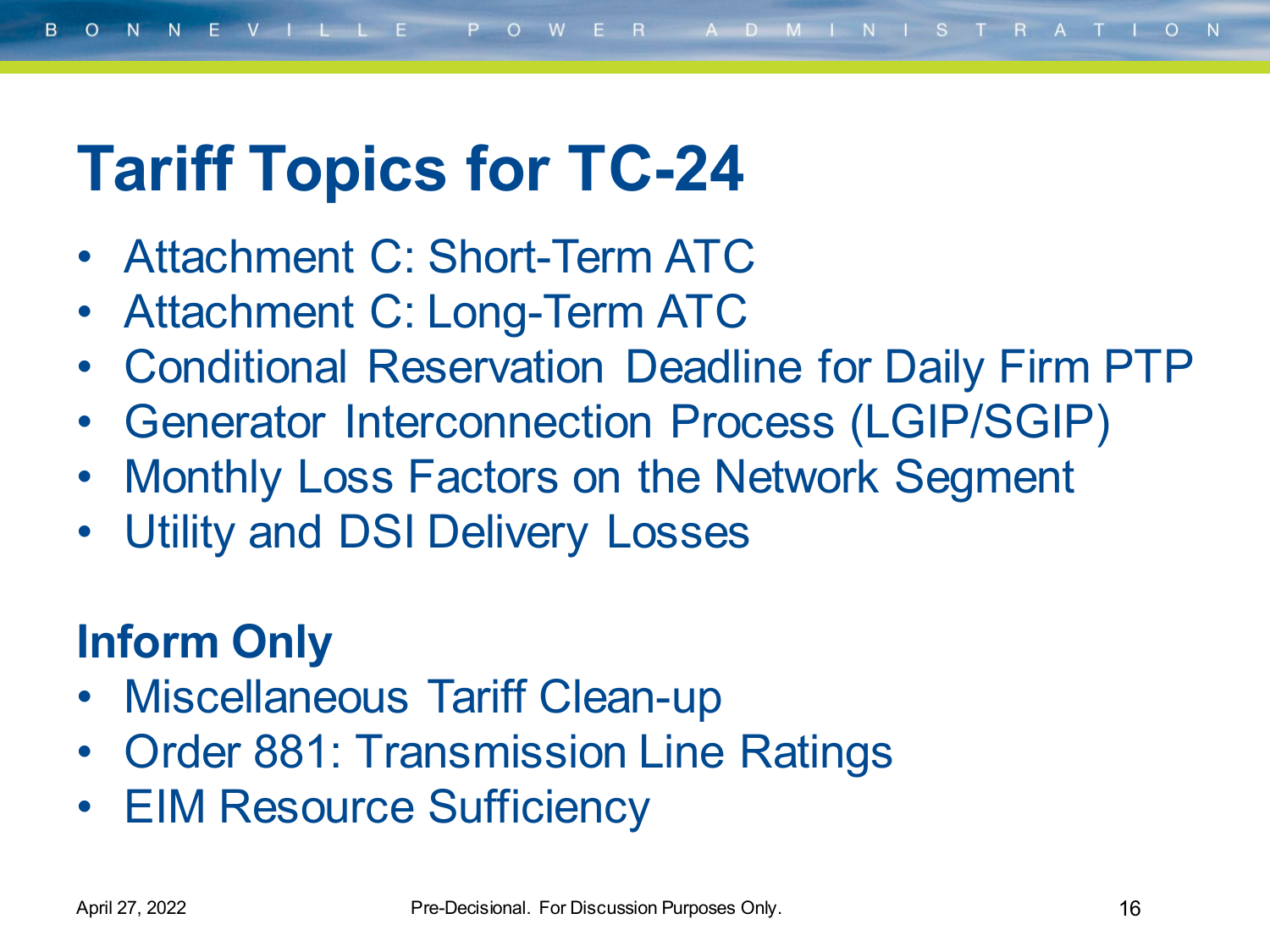### **Tariff Topics for TC-24**

- Attachment C: Short-Term ATC
- Attachment C: Long-Term ATC
- Conditional Reservation Deadline for Daily Firm PTP
- Generator Interconnection Process (LGIP/SGIP)
- Monthly Loss Factors on the Network Segment
- Utility and DSI Delivery Losses

#### **Inform Only**

- Miscellaneous Tariff Clean-up
- Order 881: Transmission Line Ratings
- EIM Resource Sufficiency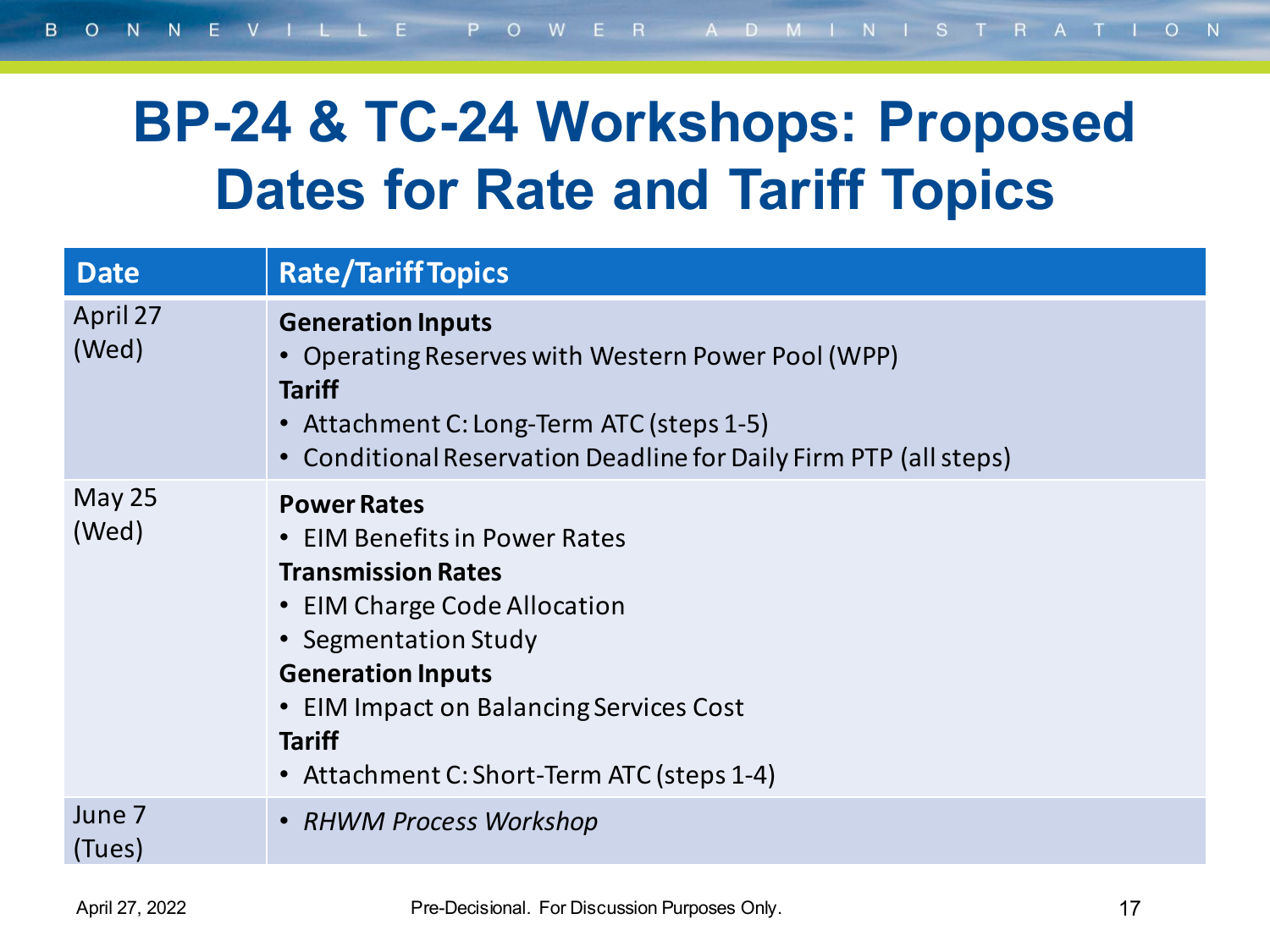#### **BP-24 & TC-24 Workshops: Proposed Dates for Rate and Tariff Topics**

| <b>Date</b>       | <b>Rate/Tariff Topics</b>                                                                                                                                                                                                                                                      |
|-------------------|--------------------------------------------------------------------------------------------------------------------------------------------------------------------------------------------------------------------------------------------------------------------------------|
| April 27<br>(Wed) | <b>Generation Inputs</b><br>• Operating Reserves with Western Power Pool (WPP)<br><b>Tariff</b><br>• Attachment C: Long-Term ATC (steps 1-5)<br>• Conditional Reservation Deadline for Daily Firm PTP (all steps)                                                              |
| May $25$<br>(Wed) | <b>Power Rates</b><br>• EIM Benefits in Power Rates<br><b>Transmission Rates</b><br>• EIM Charge Code Allocation<br>• Segmentation Study<br><b>Generation Inputs</b><br>• EIM Impact on Balancing Services Cost<br><b>Tariff</b><br>• Attachment C: Short-Term ATC (steps 1-4) |
| June 7<br>(Tues)  | • RHWM Process Workshop                                                                                                                                                                                                                                                        |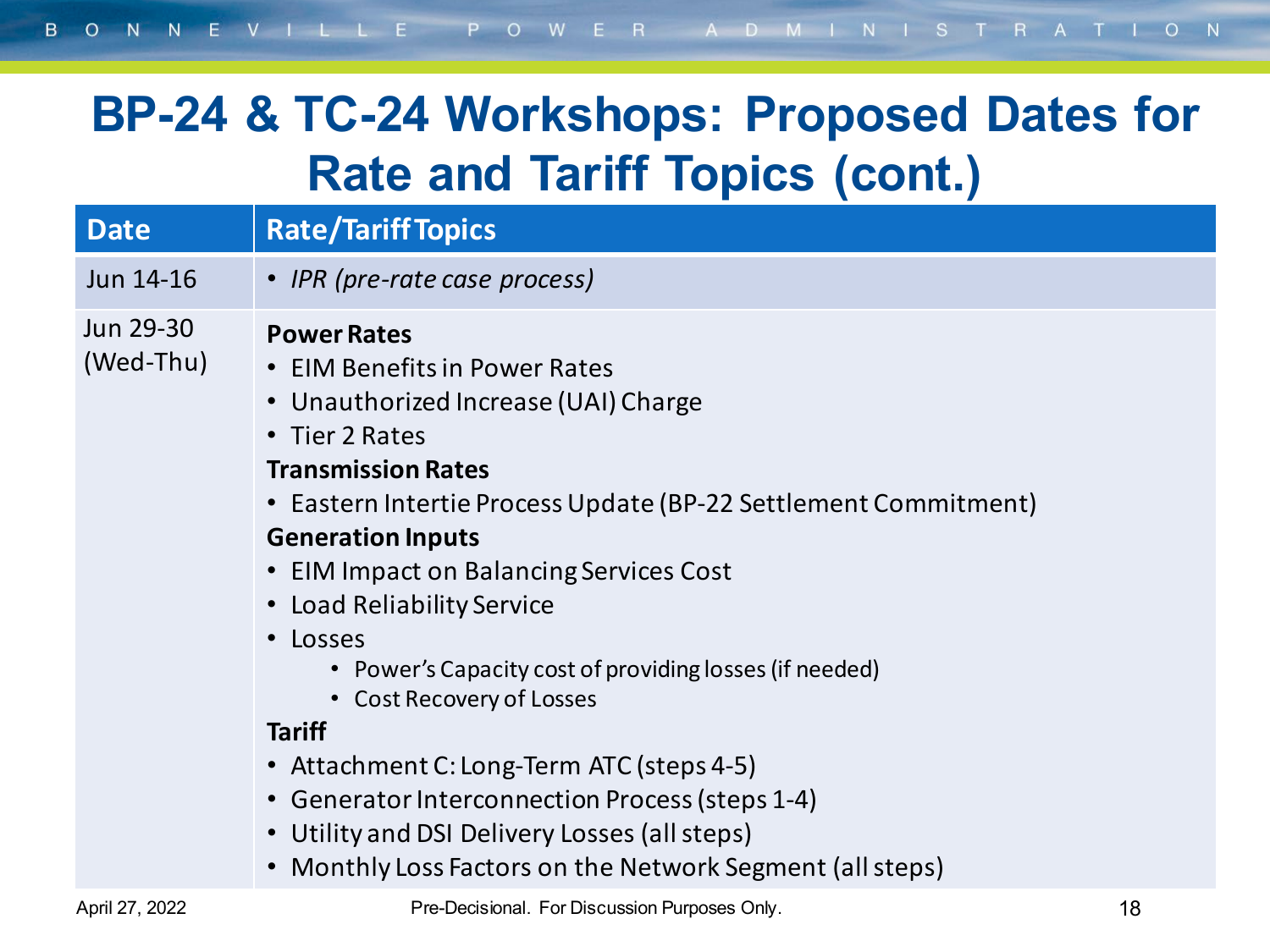#### **BP-24 & TC-24 Workshops: Proposed Dates for Rate and Tariff Topics (cont.)**

| <b>Date</b>            | <b>Rate/Tariff Topics</b>                                                                                                                                                                                                                                                                                                                                                                                                                                                                                                                                                                                                                             |    |
|------------------------|-------------------------------------------------------------------------------------------------------------------------------------------------------------------------------------------------------------------------------------------------------------------------------------------------------------------------------------------------------------------------------------------------------------------------------------------------------------------------------------------------------------------------------------------------------------------------------------------------------------------------------------------------------|----|
| Jun 14-16              | • IPR (pre-rate case process)                                                                                                                                                                                                                                                                                                                                                                                                                                                                                                                                                                                                                         |    |
| Jun 29-30<br>(Wed-Thu) | <b>Power Rates</b><br>• EIM Benefits in Power Rates<br>• Unauthorized Increase (UAI) Charge<br>• Tier 2 Rates<br><b>Transmission Rates</b><br>• Eastern Intertie Process Update (BP-22 Settlement Commitment)<br><b>Generation Inputs</b><br>• EIM Impact on Balancing Services Cost<br>• Load Reliability Service<br>• Losses<br>• Power's Capacity cost of providing losses (if needed)<br>• Cost Recovery of Losses<br><b>Tariff</b><br>• Attachment C: Long-Term ATC (steps 4-5)<br>• Generator Interconnection Process (steps 1-4)<br>• Utility and DSI Delivery Losses (all steps)<br>• Monthly Loss Factors on the Network Segment (all steps) |    |
| April 27, 2022         | Pre-Decisional. For Discussion Purposes Only.                                                                                                                                                                                                                                                                                                                                                                                                                                                                                                                                                                                                         | 18 |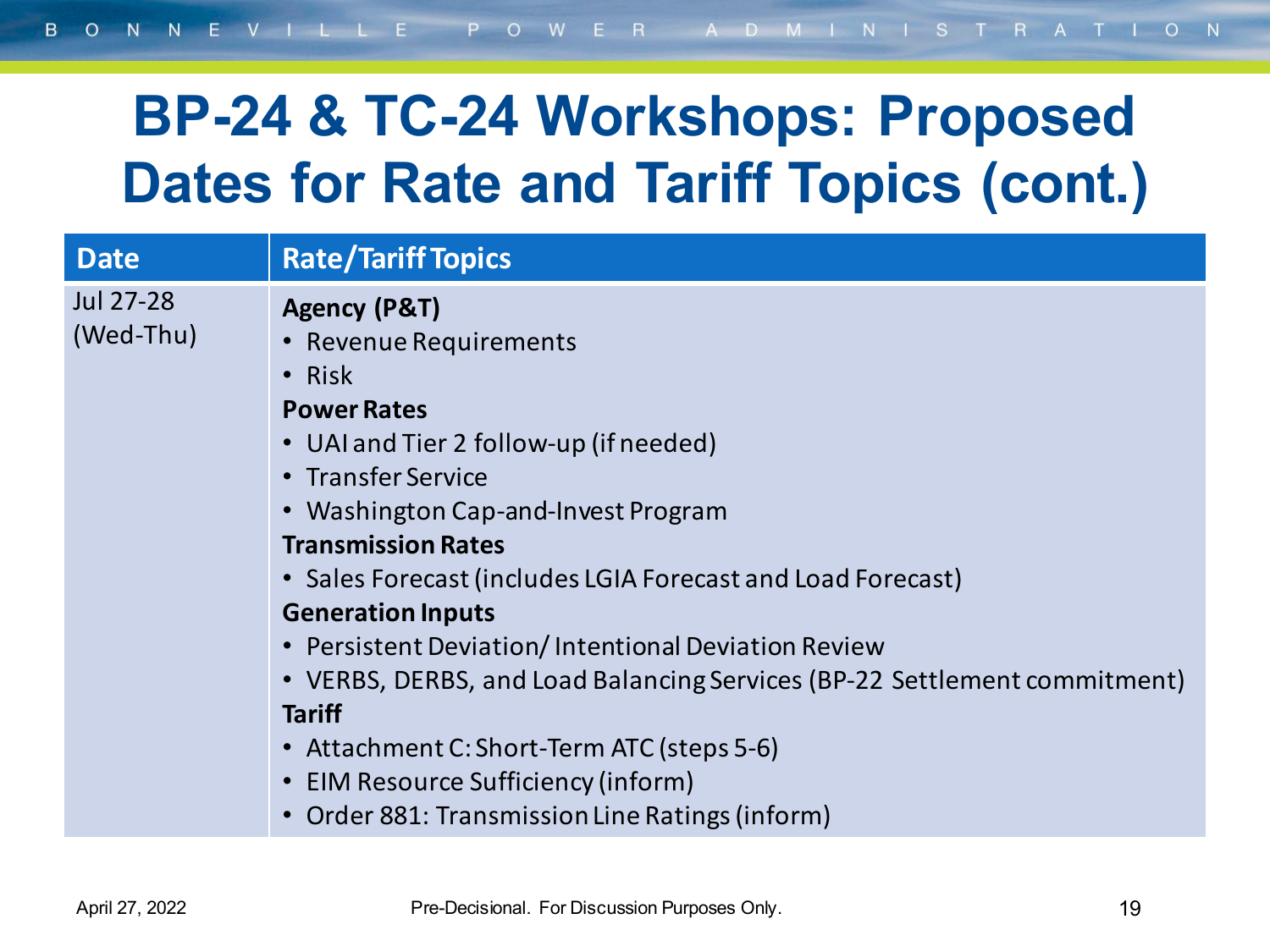#### **BP-24 & TC-24 Workshops: Proposed Dates for Rate and Tariff Topics (cont.)**

| <b>Date</b>            | <b>Rate/Tariff Topics</b>                                                                                                                                                                                                                                                                                                                                                                                                                                                                                                                                                                                     |
|------------------------|---------------------------------------------------------------------------------------------------------------------------------------------------------------------------------------------------------------------------------------------------------------------------------------------------------------------------------------------------------------------------------------------------------------------------------------------------------------------------------------------------------------------------------------------------------------------------------------------------------------|
| Jul 27-28<br>(Wed-Thu) | <b>Agency (P&amp;T)</b><br>• Revenue Requirements<br>• Risk<br><b>Power Rates</b><br>• UAI and Tier 2 follow-up (if needed)<br>• Transfer Service<br>• Washington Cap-and-Invest Program<br><b>Transmission Rates</b><br>• Sales Forecast (includes LGIA Forecast and Load Forecast)<br><b>Generation Inputs</b><br>• Persistent Deviation/Intentional Deviation Review<br>• VERBS, DERBS, and Load Balancing Services (BP-22 Settlement commitment)<br><b>Tariff</b><br>• Attachment C: Short-Term ATC (steps 5-6)<br>• EIM Resource Sufficiency (inform)<br>• Order 881: Transmission Line Ratings (inform) |
|                        |                                                                                                                                                                                                                                                                                                                                                                                                                                                                                                                                                                                                               |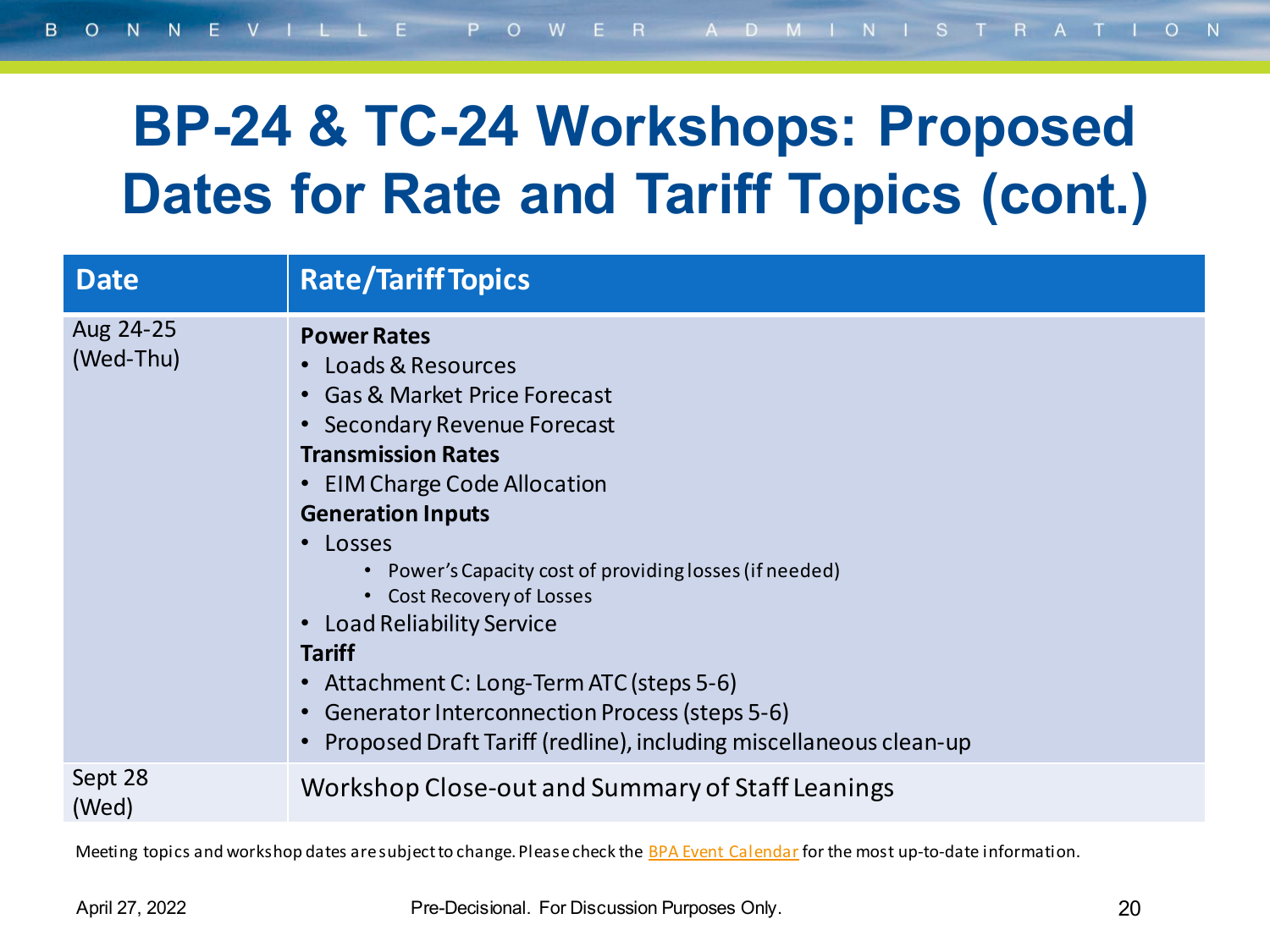#### **BP-24 & TC-24 Workshops: Proposed Dates for Rate and Tariff Topics (cont.)**

| <b>Date</b>            | <b>Rate/Tariff Topics</b>                                                                                                                                                                                                                                                                                                                                                                                                                                                                                                                              |
|------------------------|--------------------------------------------------------------------------------------------------------------------------------------------------------------------------------------------------------------------------------------------------------------------------------------------------------------------------------------------------------------------------------------------------------------------------------------------------------------------------------------------------------------------------------------------------------|
| Aug 24-25<br>(Wed-Thu) | <b>Power Rates</b><br>• Loads & Resources<br>• Gas & Market Price Forecast<br>• Secondary Revenue Forecast<br><b>Transmission Rates</b><br><b>EIM Charge Code Allocation</b><br><b>Generation Inputs</b><br>• Losses<br>• Power's Capacity cost of providing losses (if needed)<br>• Cost Recovery of Losses<br>• Load Reliability Service<br><b>Tariff</b><br>Attachment C: Long-Term ATC (steps 5-6)<br>$\bullet$<br>Generator Interconnection Process (steps 5-6)<br>$\bullet$<br>Proposed Draft Tariff (redline), including miscellaneous clean-up |
| Sept 28<br>(Wed)       | Workshop Close-out and Summary of Staff Leanings                                                                                                                                                                                                                                                                                                                                                                                                                                                                                                       |

Meeting topics and workshop dates are subject to change. Please check the [BPA Event Calendar](https://www.bpa.gov/PublicInvolvement/Cal/Pages/CalendarList.aspx) for the most up-to-date information.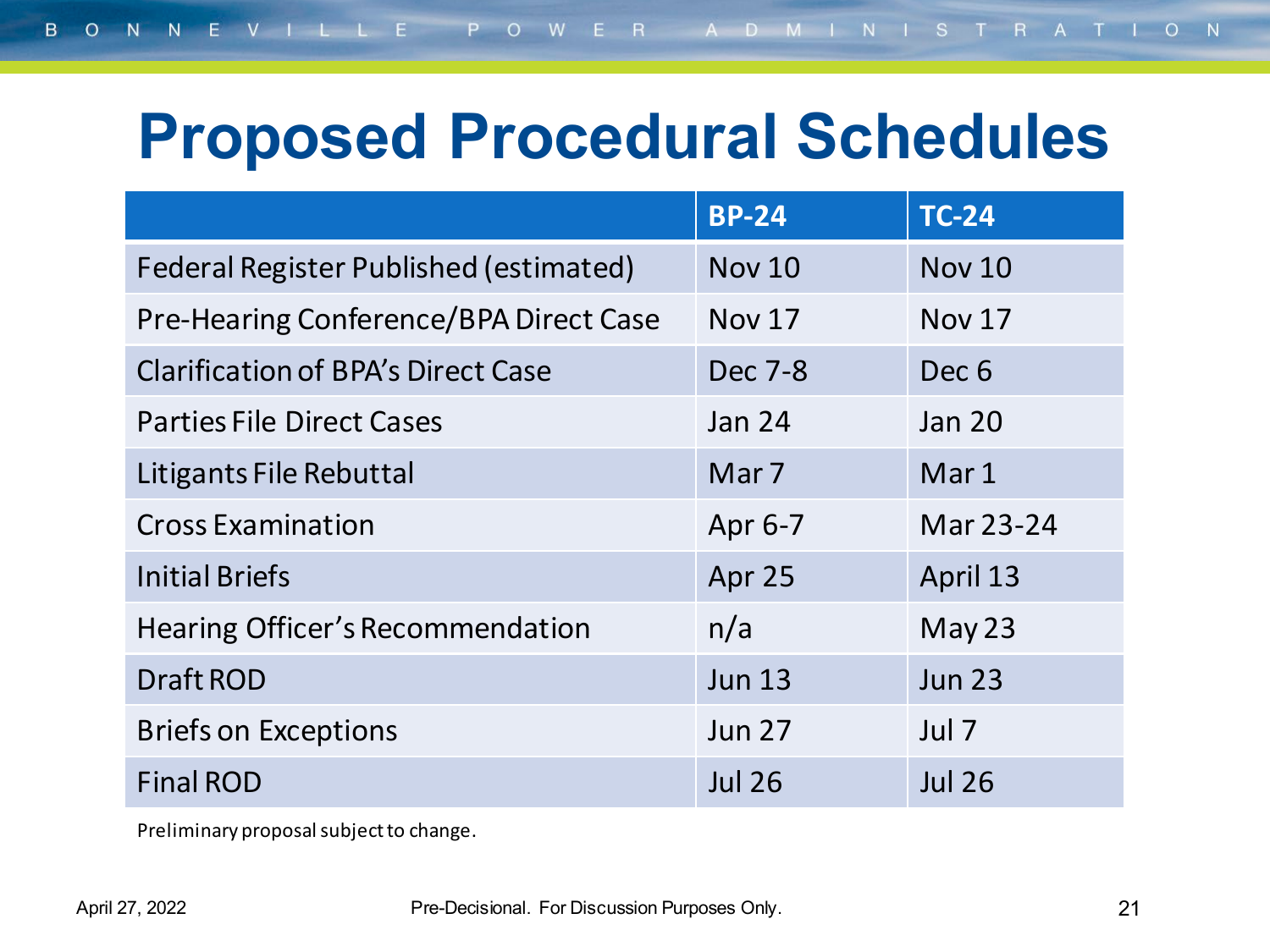#### **Proposed Procedural Schedules**

|                                               | <b>BP-24</b>  | <b>TC-24</b>  |
|-----------------------------------------------|---------------|---------------|
| <b>Federal Register Published (estimated)</b> | <b>Nov 10</b> | <b>Nov 10</b> |
| Pre-Hearing Conference/BPA Direct Case        | <b>Nov 17</b> | <b>Nov 17</b> |
| <b>Clarification of BPA's Direct Case</b>     | Dec 7-8       | Dec 6         |
| <b>Parties File Direct Cases</b>              | <b>Jan 24</b> | <b>Jan 20</b> |
| Litigants File Rebuttal                       | Mar 7         | Mar 1         |
| <b>Cross Examination</b>                      | Apr 6-7       | Mar 23-24     |
| <b>Initial Briefs</b>                         | Apr 25        | April 13      |
| Hearing Officer's Recommendation              | n/a           | May 23        |
| <b>Draft ROD</b>                              | <b>Jun 13</b> | <b>Jun 23</b> |
| <b>Briefs on Exceptions</b>                   | <b>Jun 27</b> | Jul 7         |
| <b>Final ROD</b>                              | <b>Jul 26</b> | <b>Jul 26</b> |

Preliminary proposal subject to change.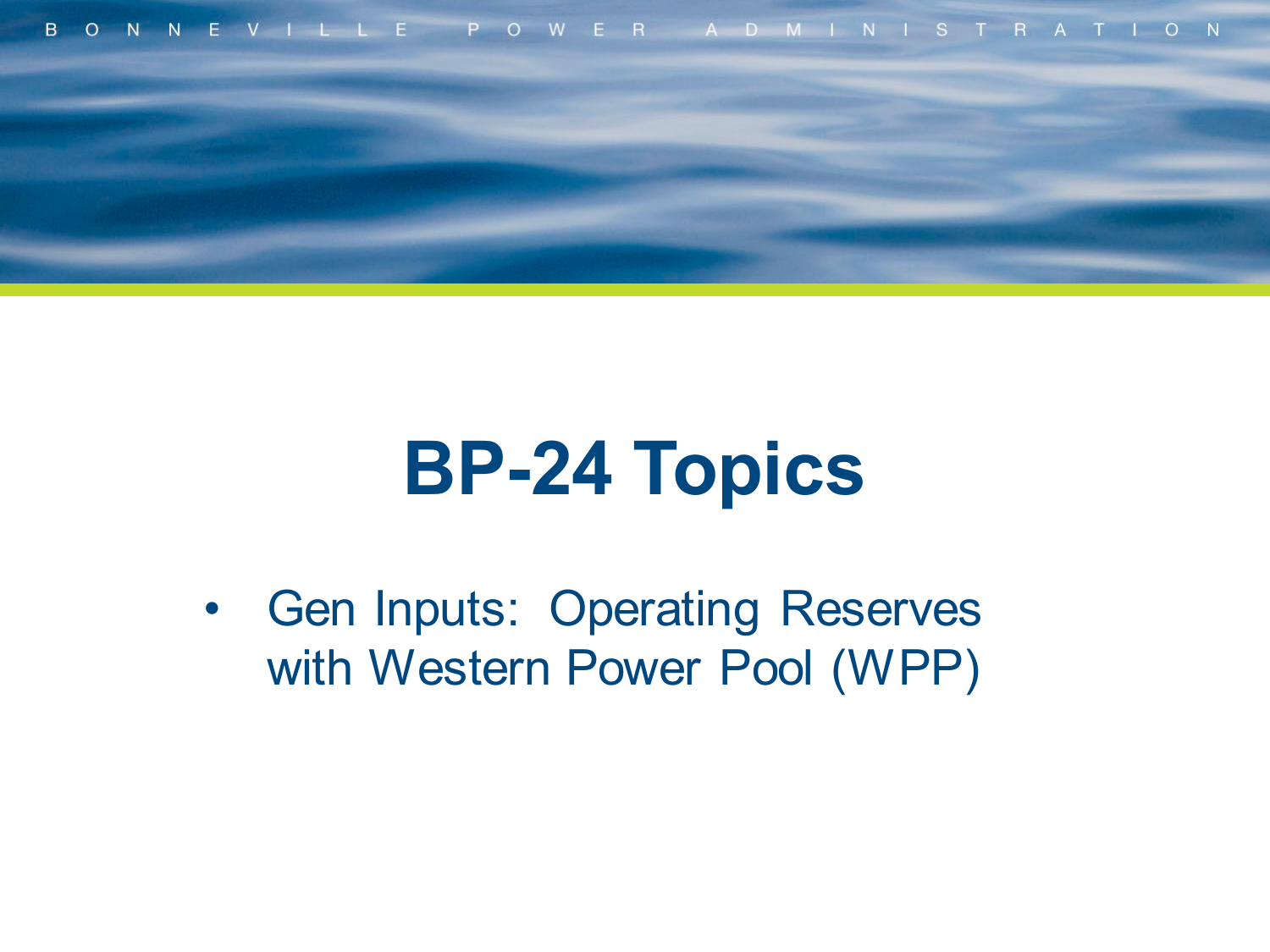

## **BP-24 Topics**

• Gen Inputs: Operating Reserves with Western Power Pool (WPP)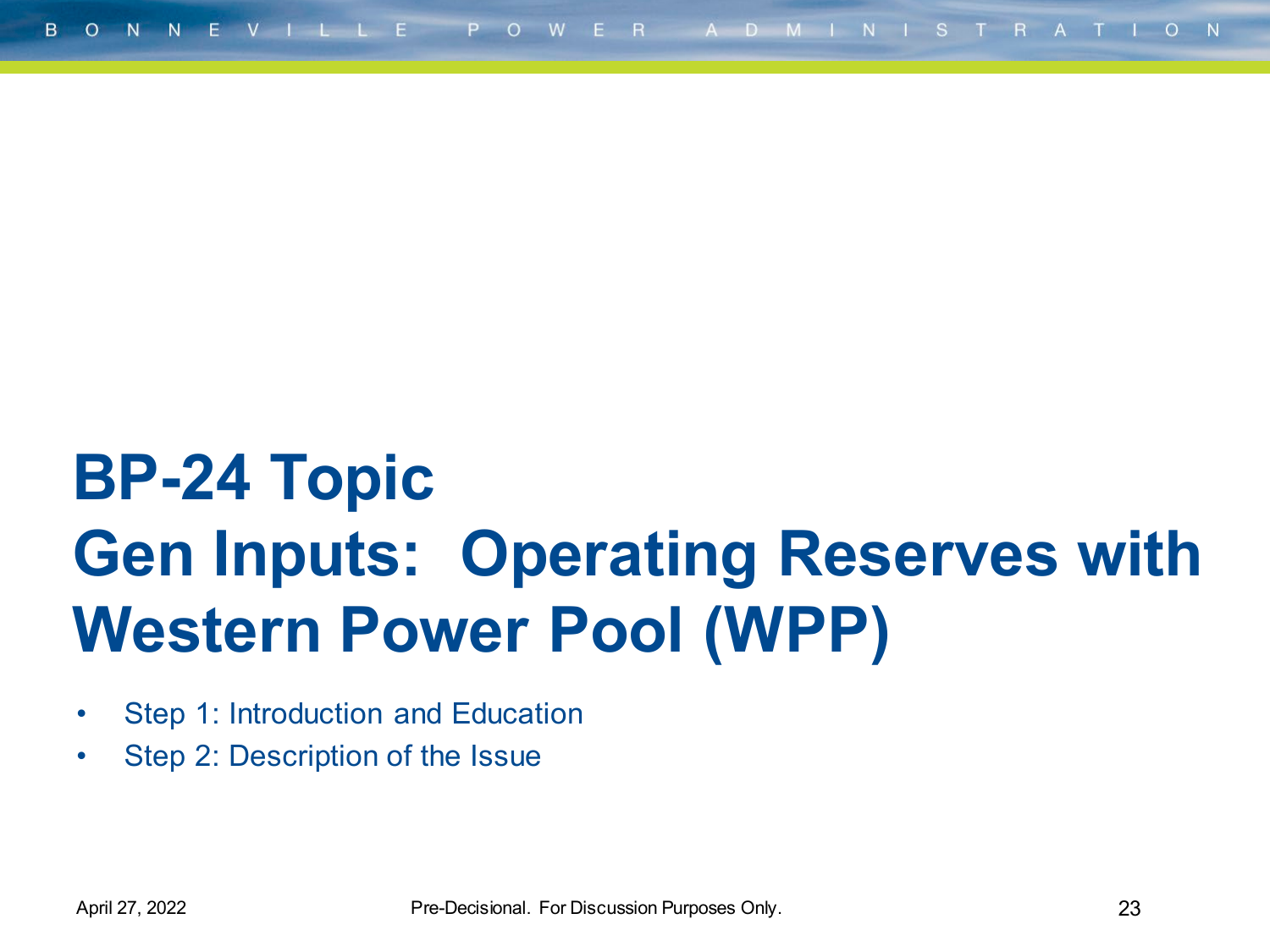## **BP-24 Topic Gen Inputs: Operating Reserves with Western Power Pool (WPP)**

- Step 1: Introduction and Education
- Step 2: Description of the Issue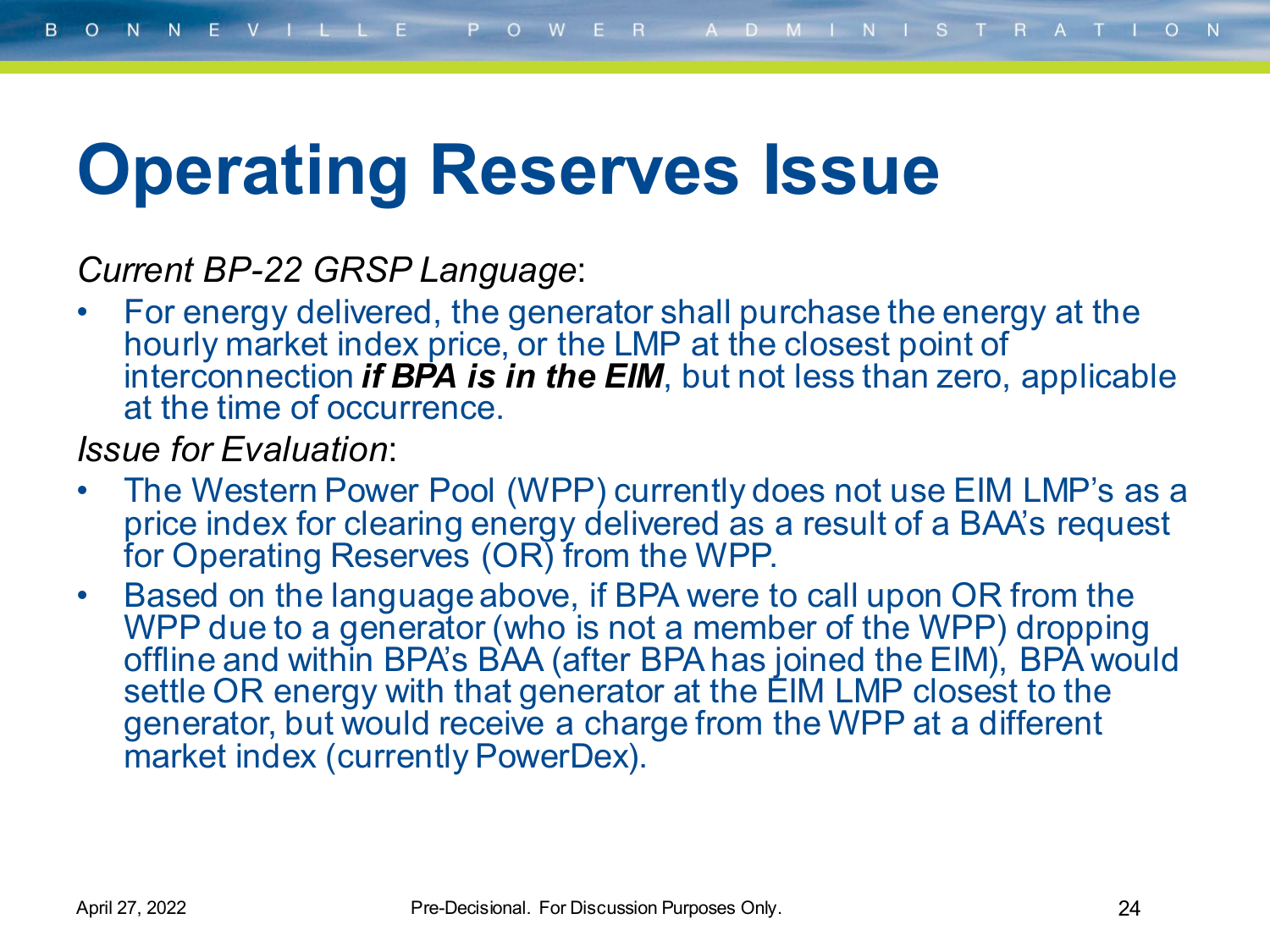## **Operating Reserves Issue**

#### *Current BP-22 GRSP Language*:

• For energy delivered, the generator shall purchase the energy at the hourly market index price, or the LMP at the closest point of interconnection *if BPA is in the EIM*, but not less than zero, applicable at the time of occurrence.

#### *Issue for Evaluation*:

- The Western Power Pool (WPP) currently does not use EIM LMP's as a price index for clearing energy delivered as a result of a BAA's request for Operating Reserves (OR) from the WPP.
- Based on the language above, if BPA were to call upon OR from the WPP due to a generator (who is not a member of the WPP) dropping offline and within BPA's BAA (after BPA has joined the EIM), BPA would settle OR energy with that generator at the EIM LMP closest to the generator, but would receive a charge from the WPP at a different market index (currently PowerDex).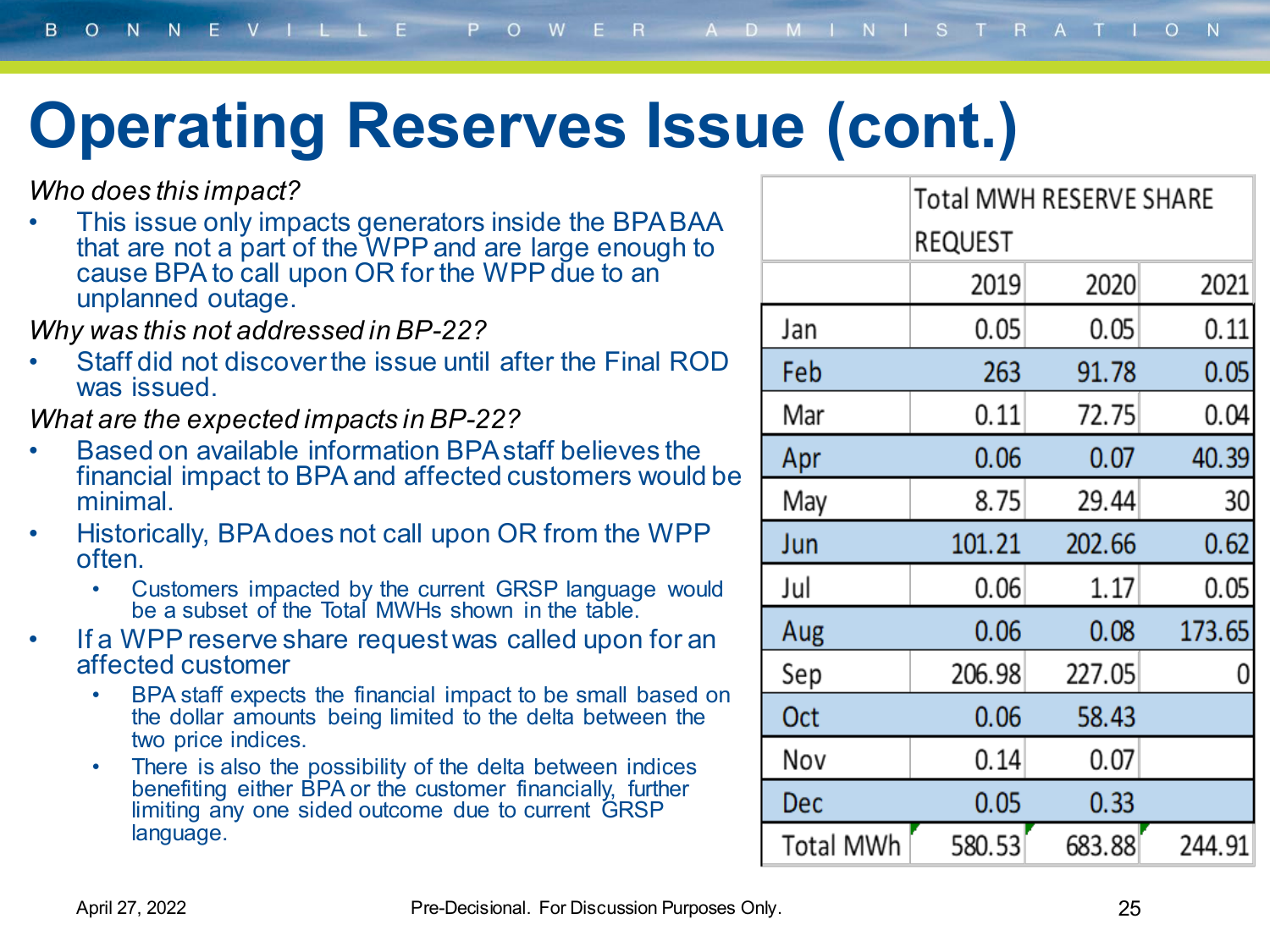## **Operating Reserves Issue (cont.)**

*Who does this impact?*

This issue only impacts generators inside the BPA BAA that are not a part of the WPP and are large enough to cause BPA to call upon OR for the WPP due to an unplanned outage.

*Why was this not addressed in BP-22?*

- Staff did not discover the issue until after the Final ROD was issued.
- *What are the expected impacts in BP-22?*
- Based on available information BPA staff believes the financial impact to BPA and affected customers would be minimal.
- Historically, BPA does not call upon OR from the WPP often.
	- Customers impacted by the current GRSP language would be a subset of the Total MWHs shown in the table.
- If a WPP reserve share request was called upon for an affected customer
	- BPA staff expects the financial impact to be small based on the dollar amounts being limited to the delta between the two price indices.
	- There is also the possibility of the delta between indices benefiting either BPA or the customer financially, further limiting any one sided outcome due to current GRSP language.

|                  | <b>Total MWH RESERVE SHARE</b> |        |        |
|------------------|--------------------------------|--------|--------|
|                  | <b>REQUEST</b>                 |        |        |
|                  | 2019                           | 2020   | 2021   |
| Jan              | 0.05                           | 0.05   | 0.11   |
| Feb              | 263                            | 91.78  | 0.05   |
| Mar              | 0.11                           | 72.75  | 0.04   |
| Apr              | 0.06                           | 0.07   | 40.39  |
| May              | 8.75                           | 29.44  | 30     |
| Jun              | 101.21                         | 202.66 | 0.62   |
| Jul              | 0.06                           | 1.17   | 0.05   |
| Aug              | 0.06                           | 0.08   | 173.65 |
| Sep              | 206.98                         | 227.05 | 0      |
| Oct              | 0.06                           | 58.43  |        |
| Nov              | 0.14                           | 0.07   |        |
| Dec              | 0.05                           | 0.33   |        |
| <b>Total MWh</b> | 580.53                         | 683.88 | 244.91 |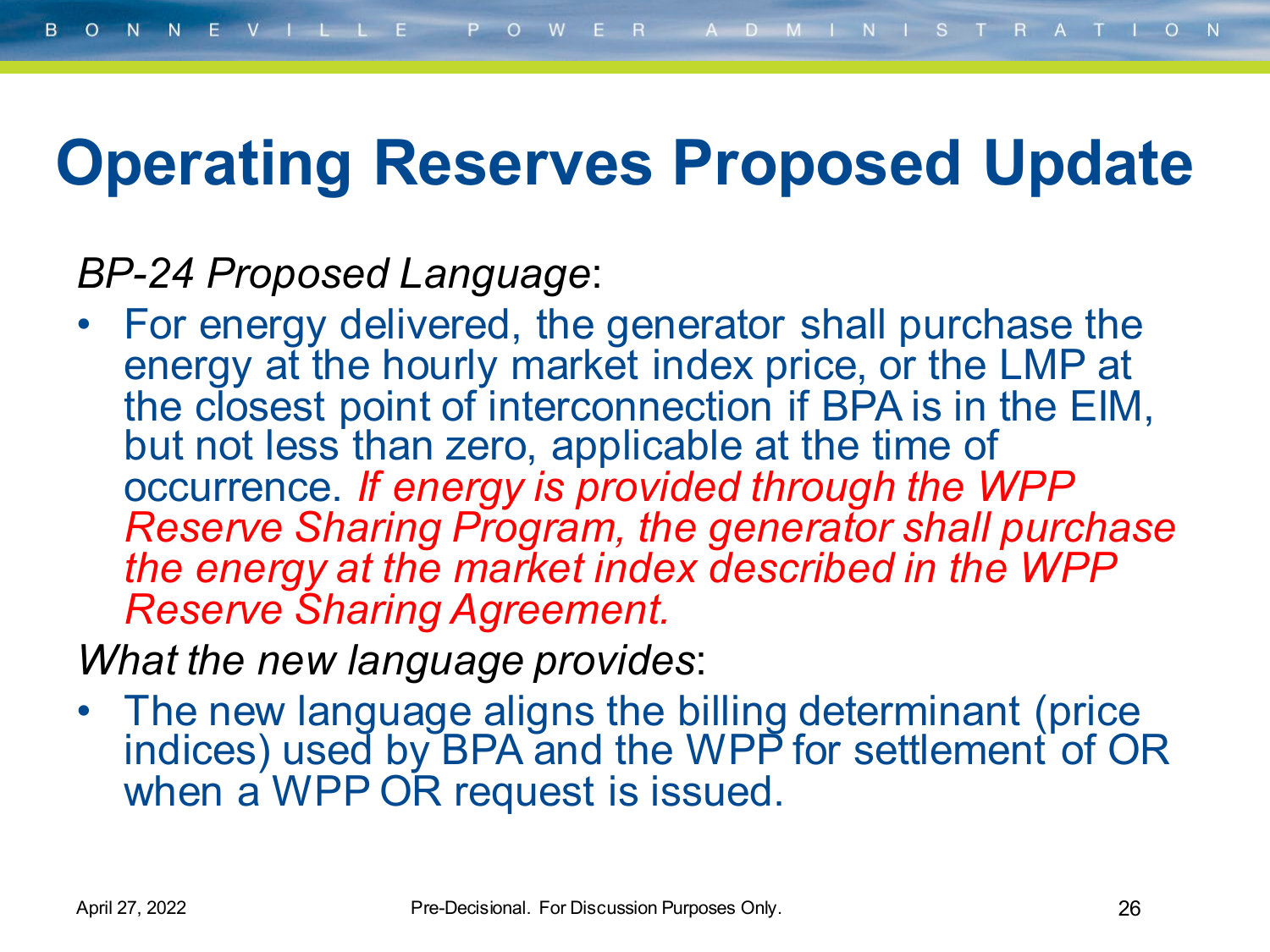#### **Operating Reserves Proposed Update**

*BP-24 Proposed Language*:

• For energy delivered, the generator shall purchase the energy at the hourly market index price, or the LMP at the closest point of interconnection if BPA is in the EIM, but not less than zero, applicable at the time of occurrence. *If energy is provided through the WPP Reserve Sharing Program, the generator shall purchase the energy at the market index described in the WPP Reserve Sharing Agreement.*

*What the new language provides*:

• The new language aligns the billing determinant (price indices) used by BPA and the WPP for settlement of OR when a WPP OR request is issued.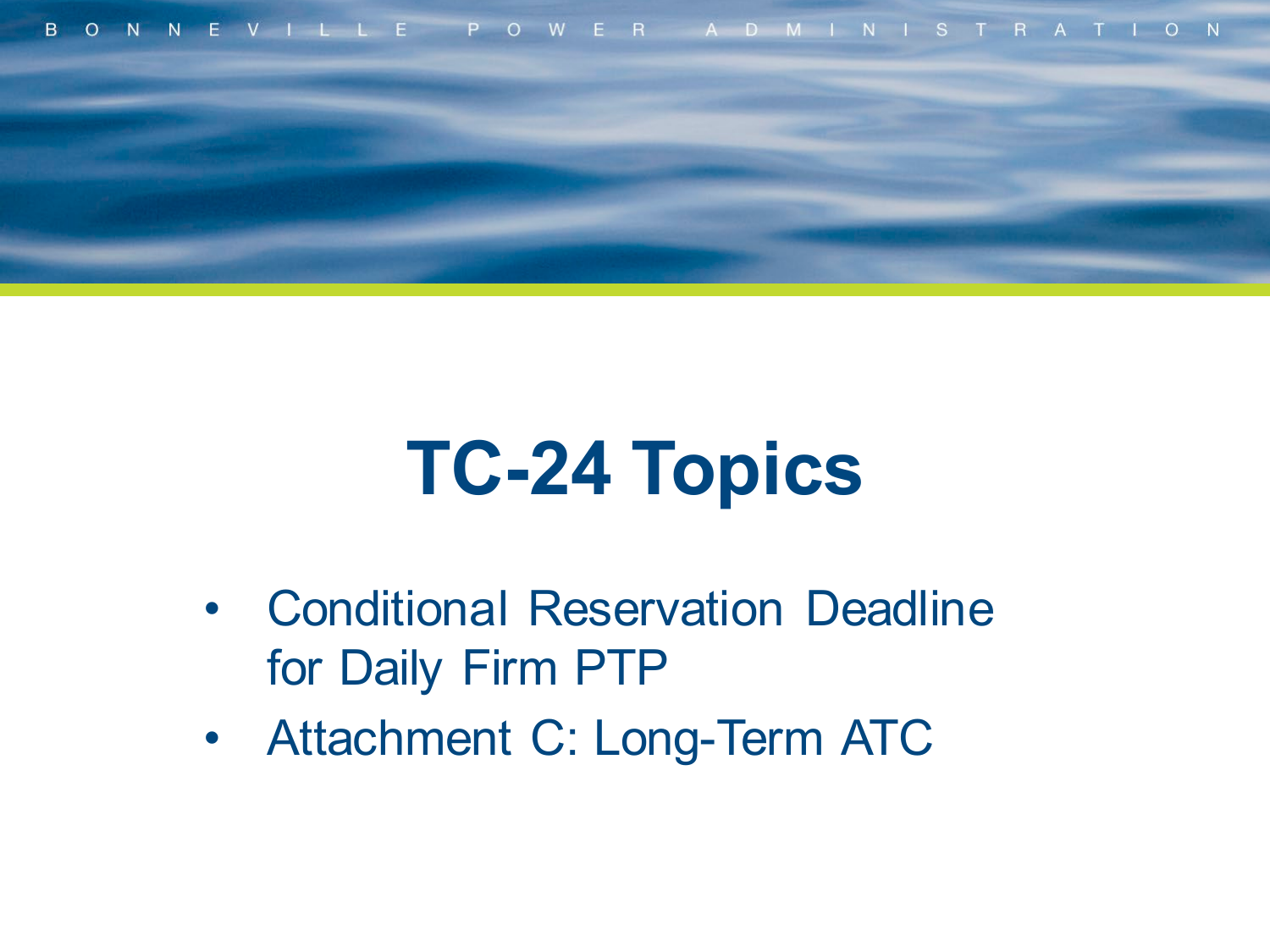

## **TC-24 Topics**

- Conditional Reservation Deadline for Daily Firm PTP
- Attachment C: Long-Term ATC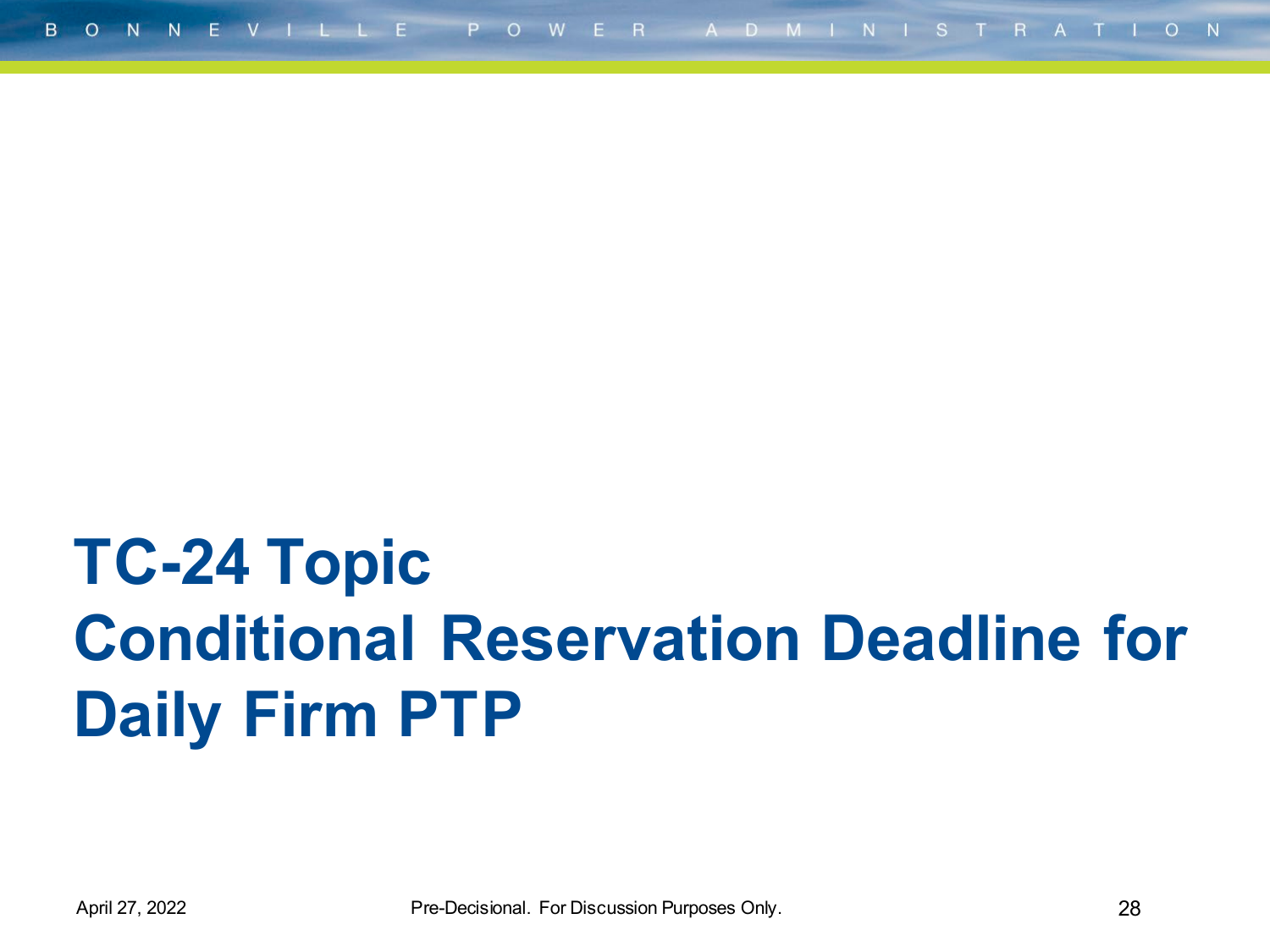## **TC-24 Topic Conditional Reservation Deadline for Daily Firm PTP**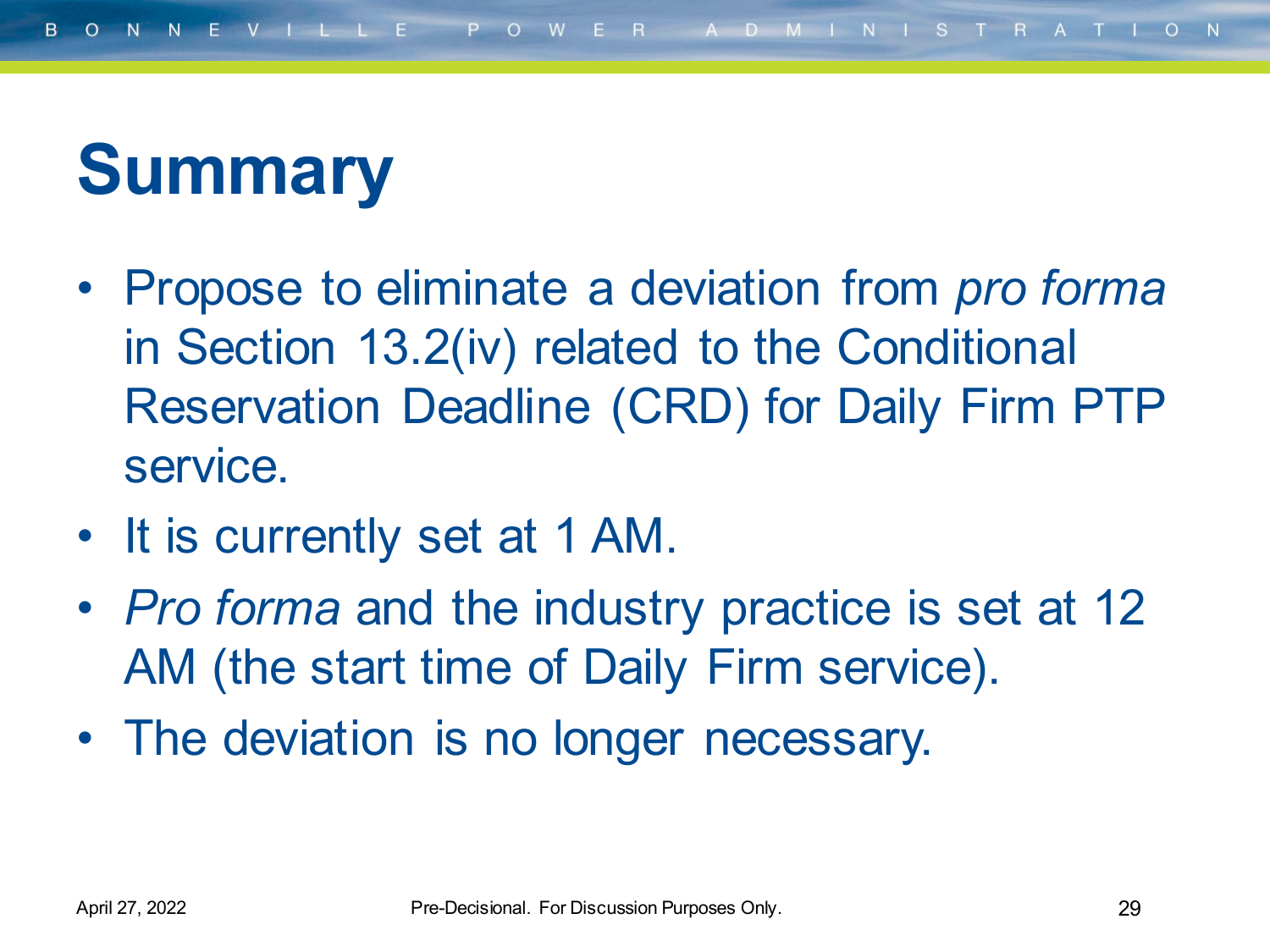## **Summary**

- Propose to eliminate a deviation from *pro forma* in Section 13.2(iv) related to the Conditional Reservation Deadline (CRD) for Daily Firm PTP service.
- It is currently set at 1 AM.
- *Pro forma* and the industry practice is set at 12 AM (the start time of Daily Firm service).
- The deviation is no longer necessary.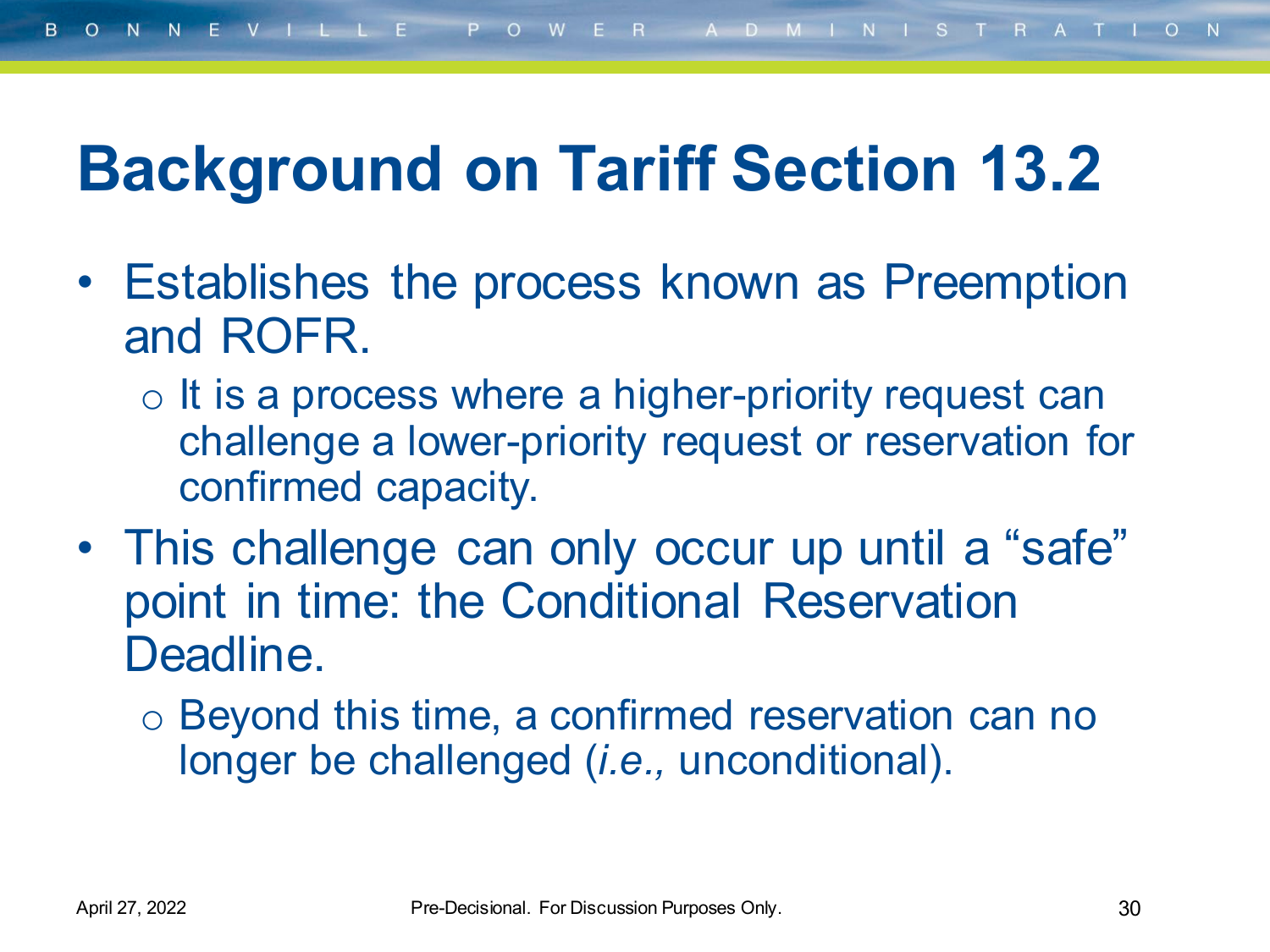#### **Background on Tariff Section 13.2**

- Establishes the process known as Preemption and ROFR.
	- o It is a process where a higher-priority request can challenge a lower-priority request or reservation for confirmed capacity.
- This challenge can only occur up until a "safe" point in time: the Conditional Reservation Deadline.
	- o Beyond this time, a confirmed reservation can no longer be challenged (*i.e.,* unconditional).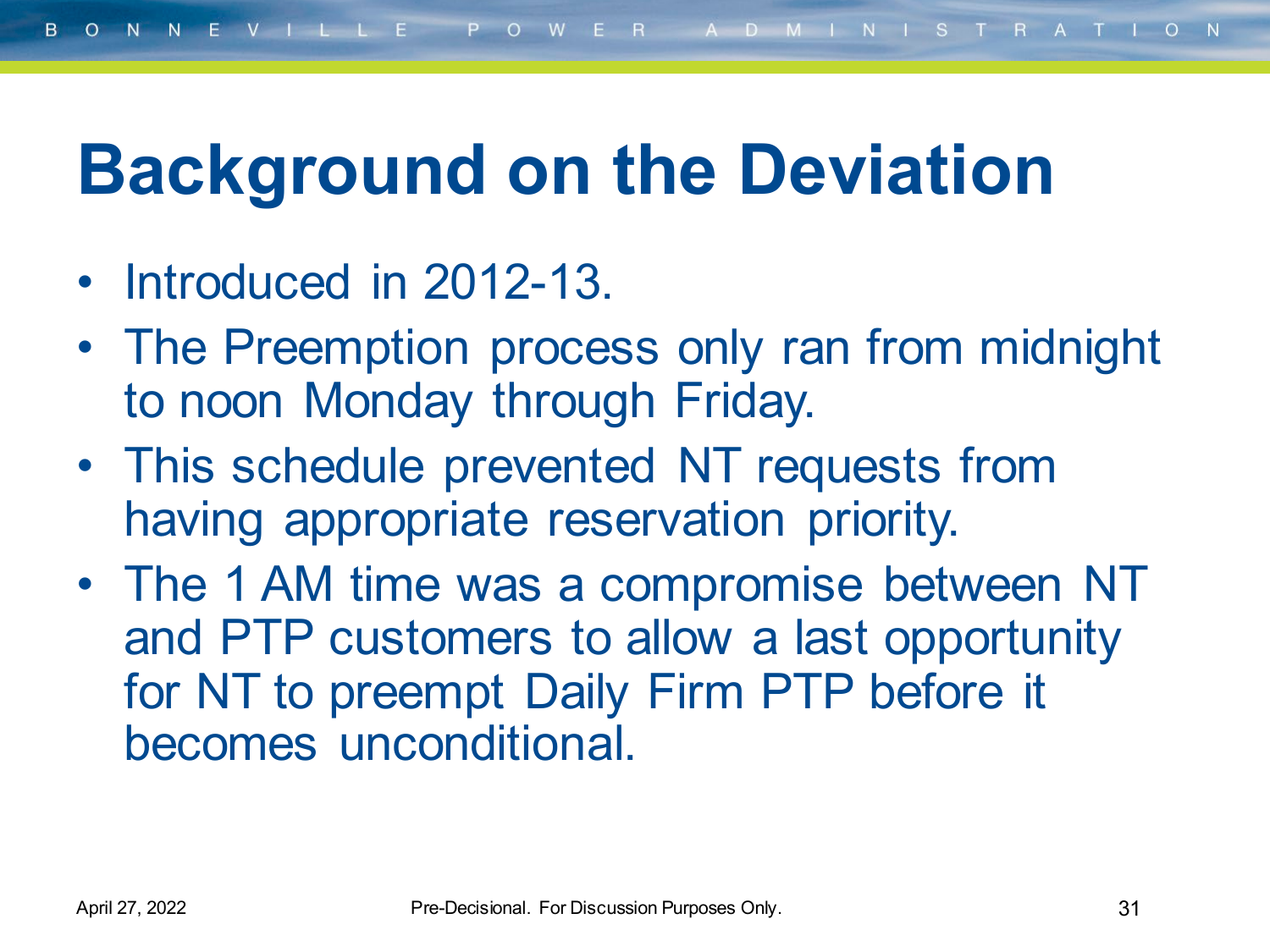## **Background on the Deviation**

- Introduced in 2012-13.
- The Preemption process only ran from midnight to noon Monday through Friday.
- This schedule prevented NT requests from having appropriate reservation priority.
- The 1 AM time was a compromise between NT and PTP customers to allow a last opportunity for NT to preempt Daily Firm PTP before it becomes unconditional.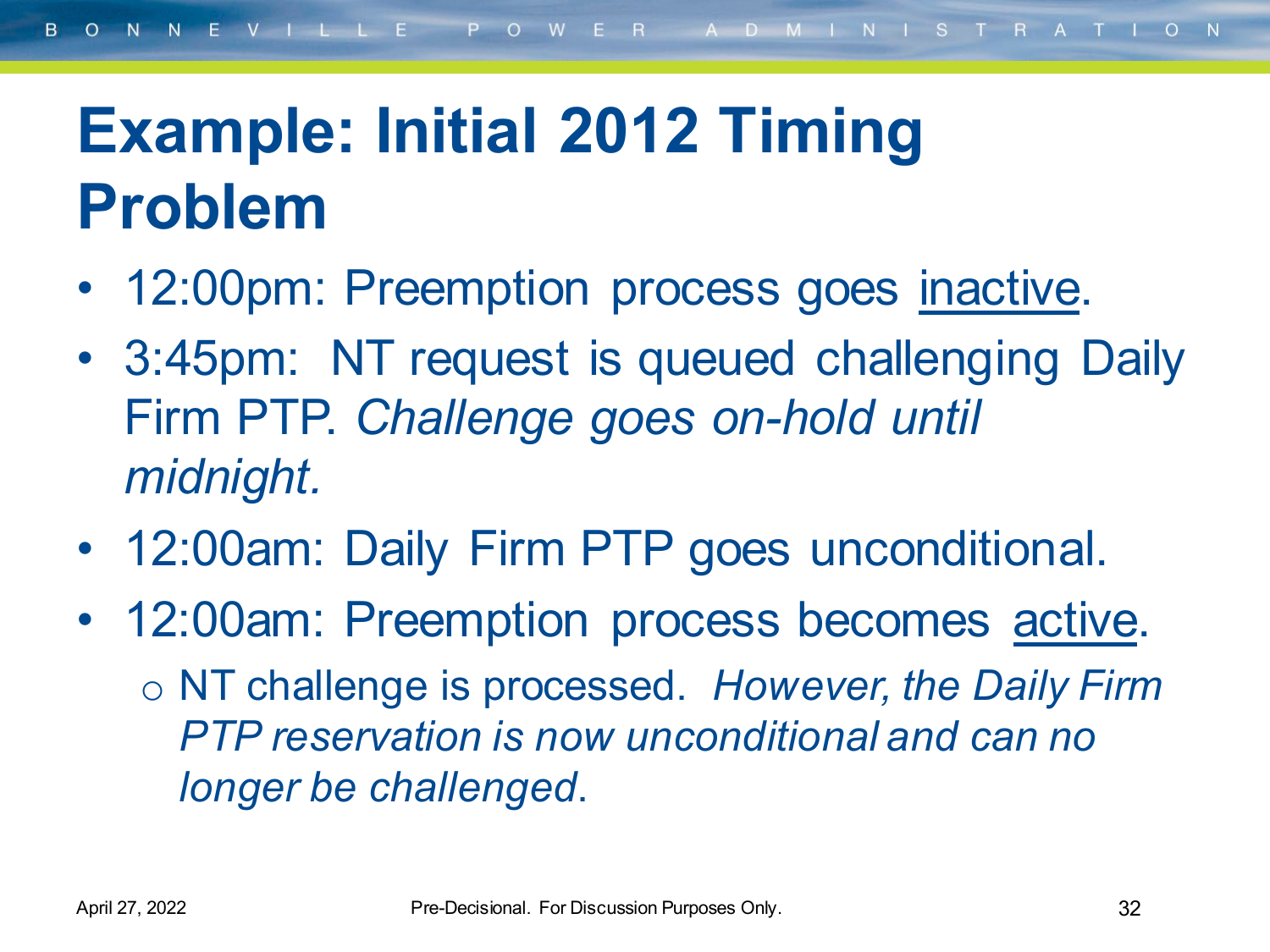### **Example: Initial 2012 Timing Problem**

- 12:00pm: Preemption process goes inactive.
- 3:45pm: NT request is queued challenging Daily Firm PTP. *Challenge goes on-hold until midnight.*
- 12:00am: Daily Firm PTP goes unconditional.
- 12:00am: Preemption process becomes active. o NT challenge is processed. *However, the Daily Firm PTP reservation is now unconditional and can no longer be challenged*.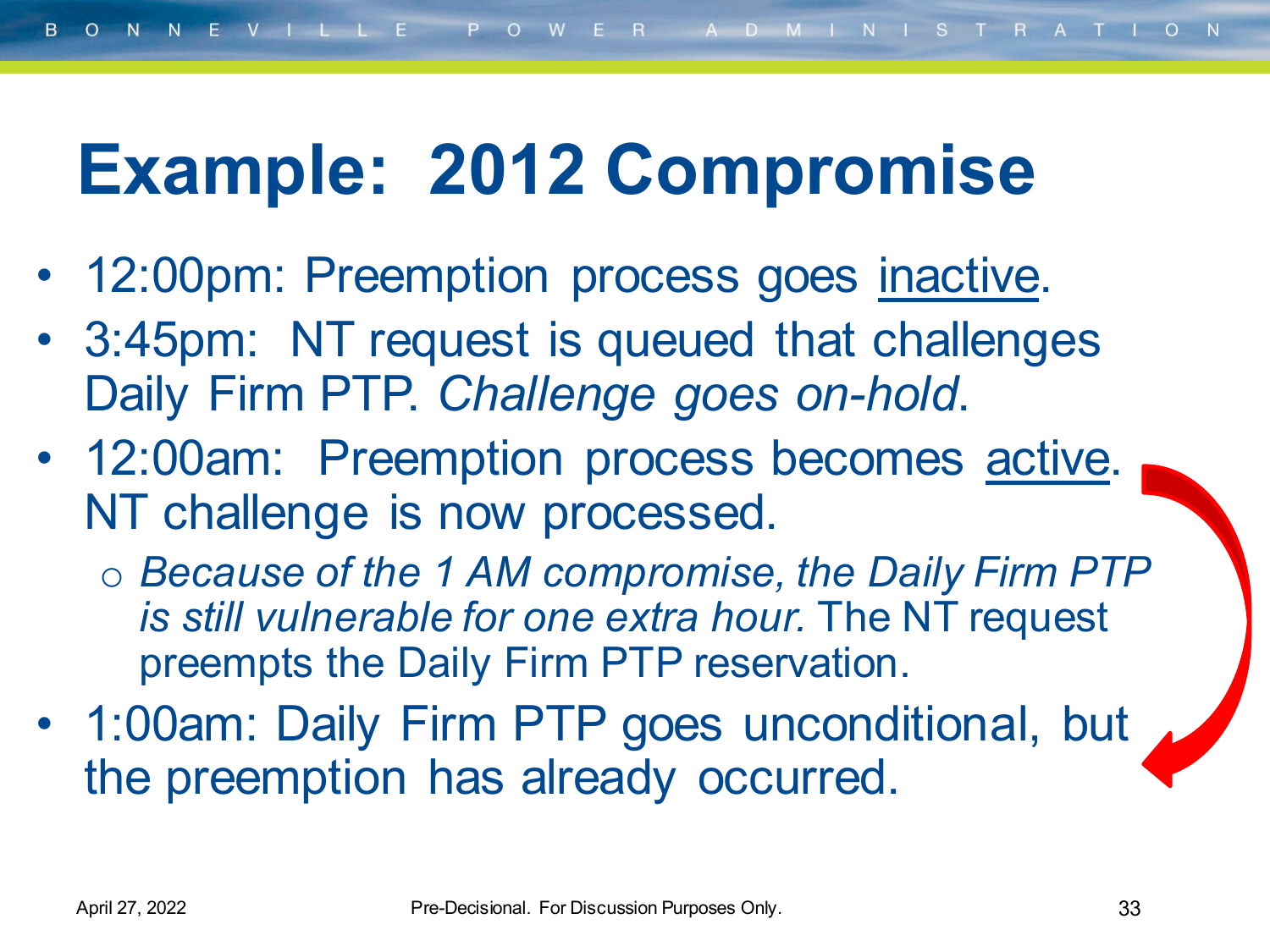## **Example: 2012 Compromise**

- 12:00pm: Preemption process goes inactive.
- 3:45pm: NT request is queued that challenges Daily Firm PTP. *Challenge goes on-hold*.
- 12:00am: Preemption process becomes active. NT challenge is now processed.
	- o *Because of the 1 AM compromise, the Daily Firm PTP is still vulnerable for one extra hour.* The NT request preempts the Daily Firm PTP reservation.
- 1:00am: Daily Firm PTP goes unconditional, but the preemption has already occurred.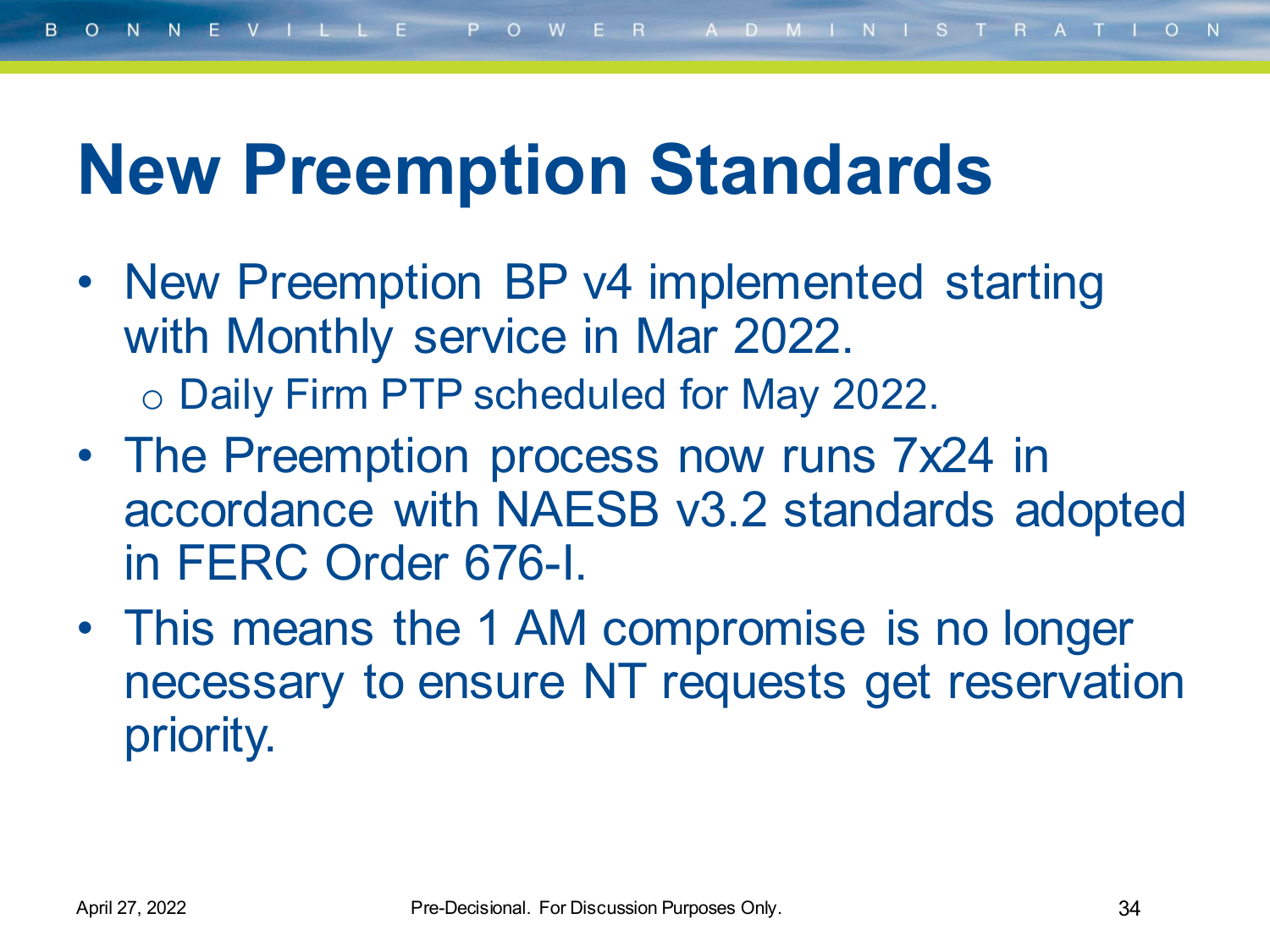## **New Preemption Standards**

- New Preemption BP v4 implemented starting with Monthly service in Mar 2022. o Daily Firm PTP scheduled for May 2022.
- The Preemption process now runs 7x24 in accordance with NAESB v3.2 standards adopted in FERC Order 676-I.
- This means the 1 AM compromise is no longer necessary to ensure NT requests get reservation priority.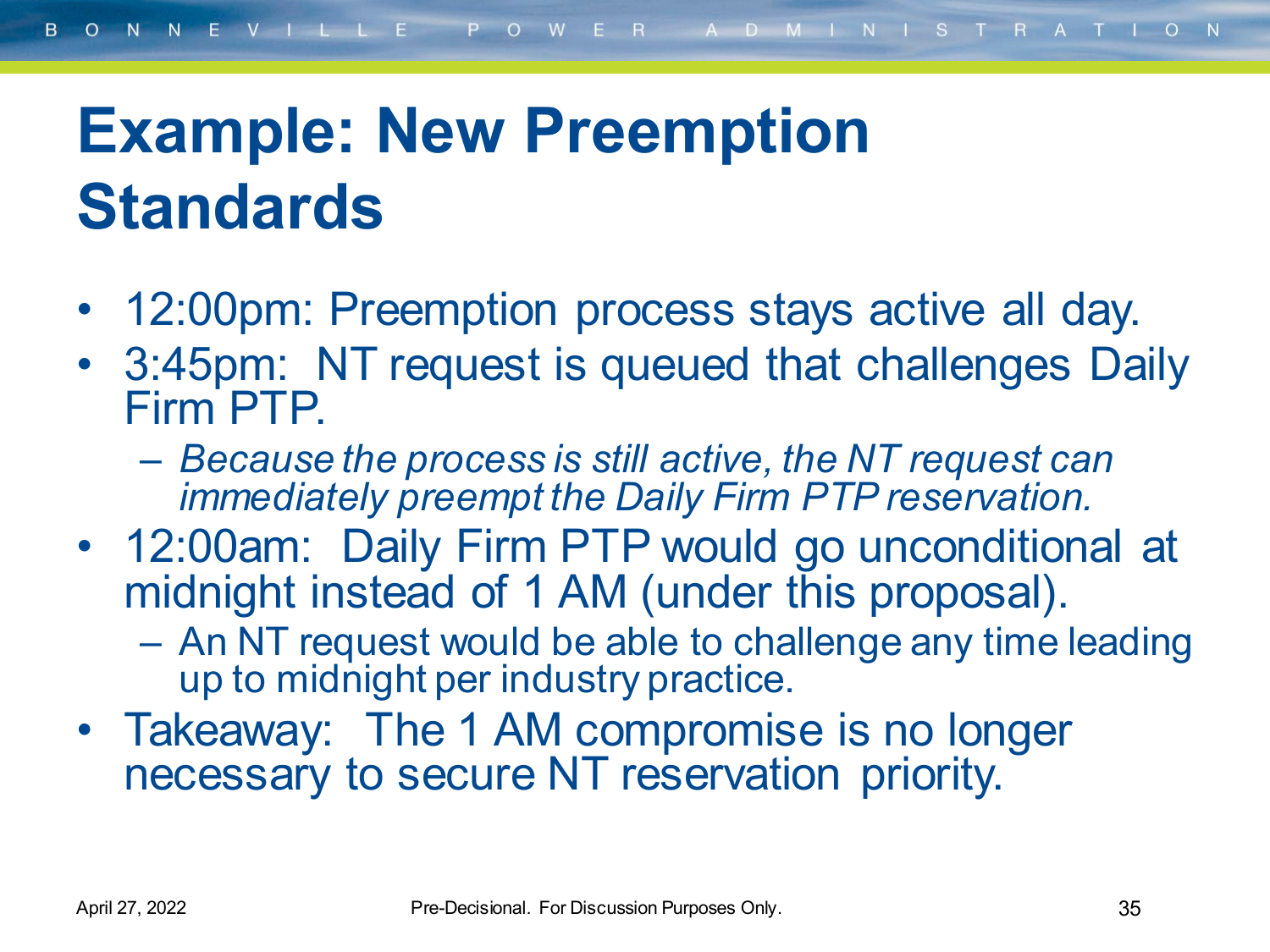### **Example: New Preemption Standards**

- 12:00pm: Preemption process stays active all day.
- 3:45pm: NT request is queued that challenges Daily Firm PTP.
	- *Because the process is still active, the NT request can immediately preempt the Daily Firm PTP reservation.*
- 12:00am: Daily Firm PTP would go unconditional at midnight instead of 1 AM (under this proposal).
	- An NT request would be able to challenge any time leading up to midnight per industry practice.
- Takeaway: The 1 AM compromise is no longer necessary to secure NT reservation priority.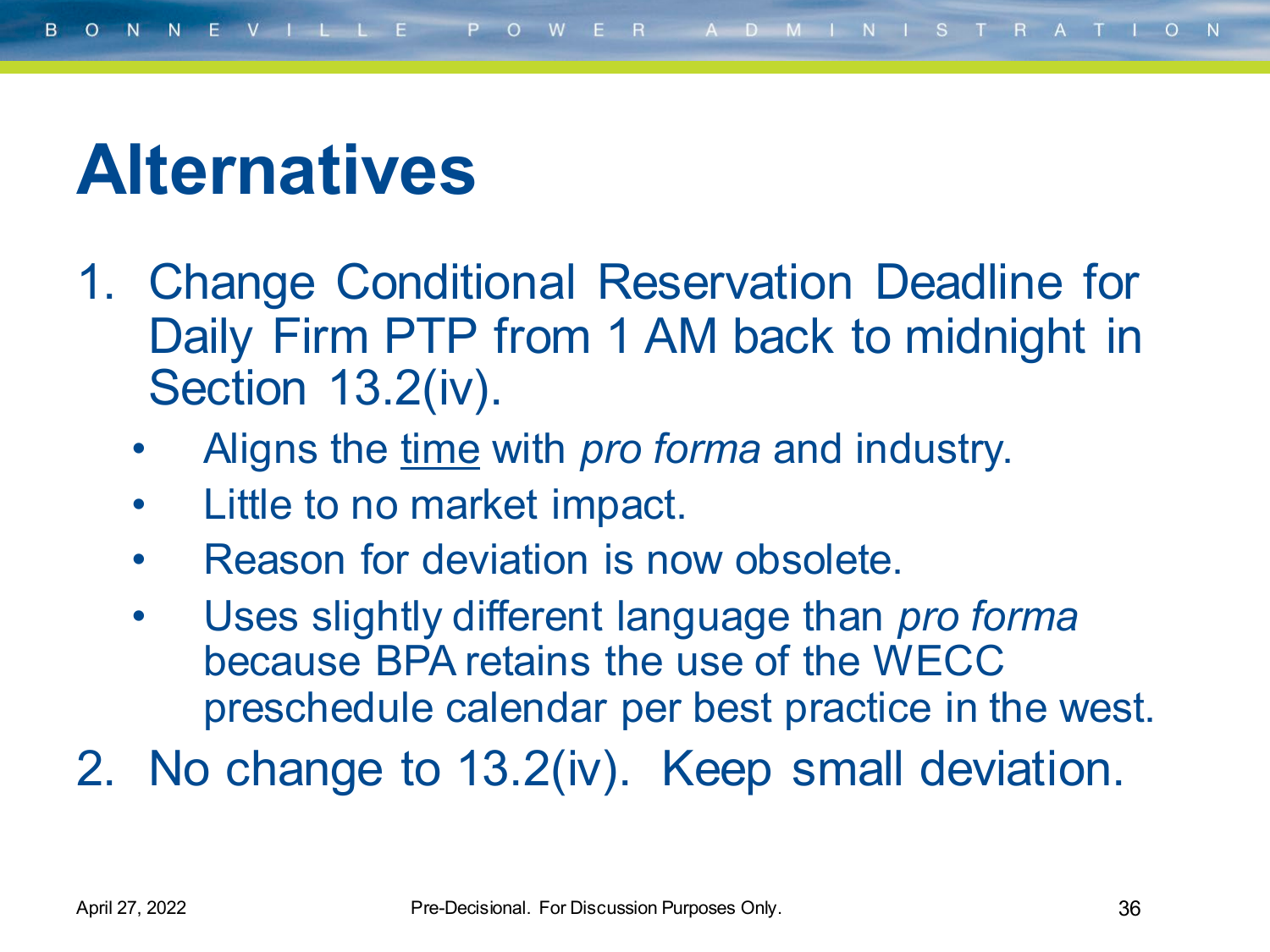### **Alternatives**

- 1. Change Conditional Reservation Deadline for Daily Firm PTP from 1 AM back to midnight in Section 13.2(iv).
	- Aligns the time with *pro forma* and industry.
	- Little to no market impact.
	- Reason for deviation is now obsolete.
	- Uses slightly different language than *pro forma*  because BPA retains the use of the WECC preschedule calendar per best practice in the west.
- 2. No change to 13.2(iv). Keep small deviation.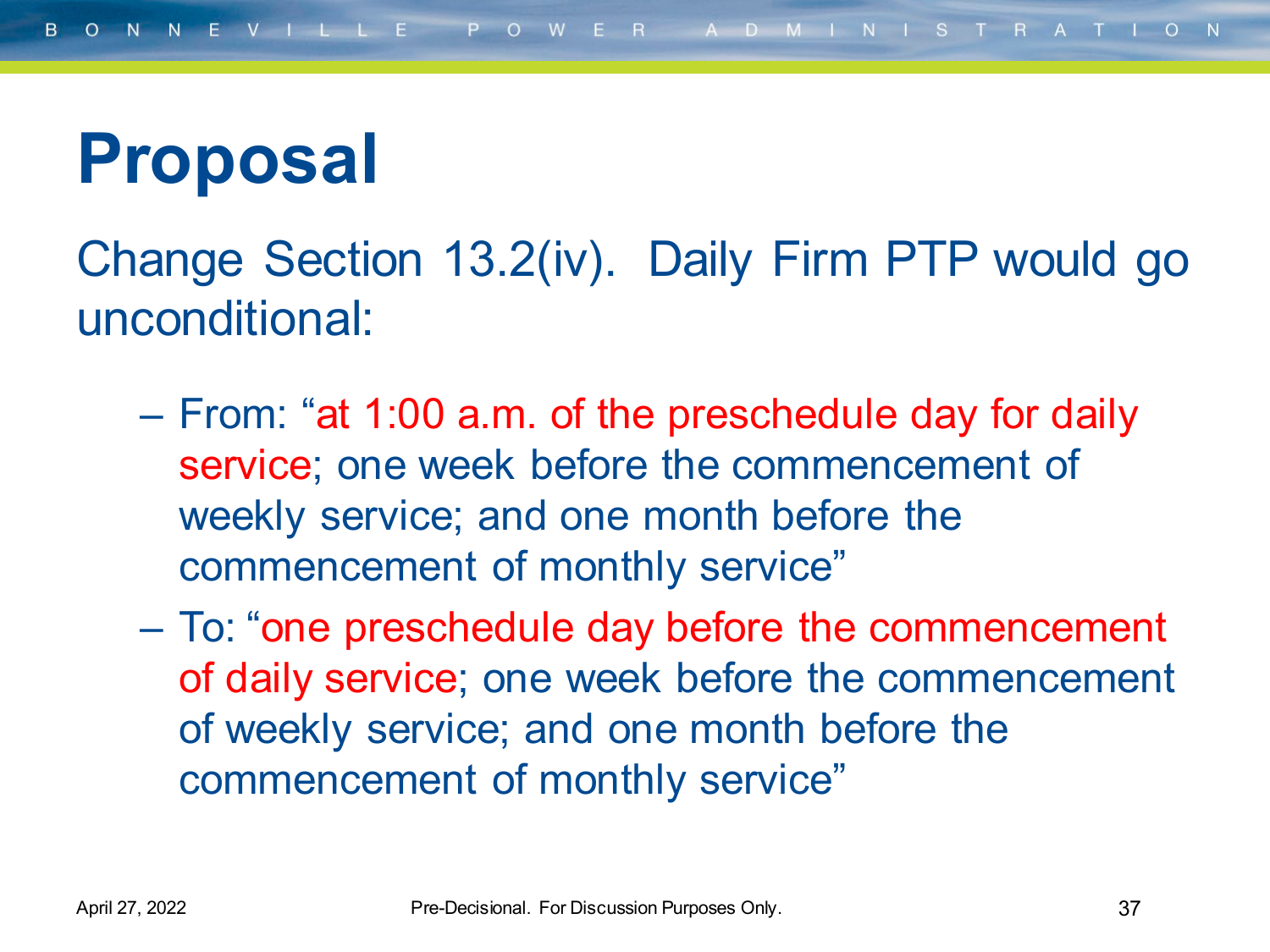## **Proposal**

Change Section 13.2(iv). Daily Firm PTP would go unconditional:

- From: "at 1:00 a.m. of the preschedule day for daily service; one week before the commencement of weekly service; and one month before the commencement of monthly service"
- To: "one preschedule day before the commencement of daily service; one week before the commencement of weekly service; and one month before the commencement of monthly service"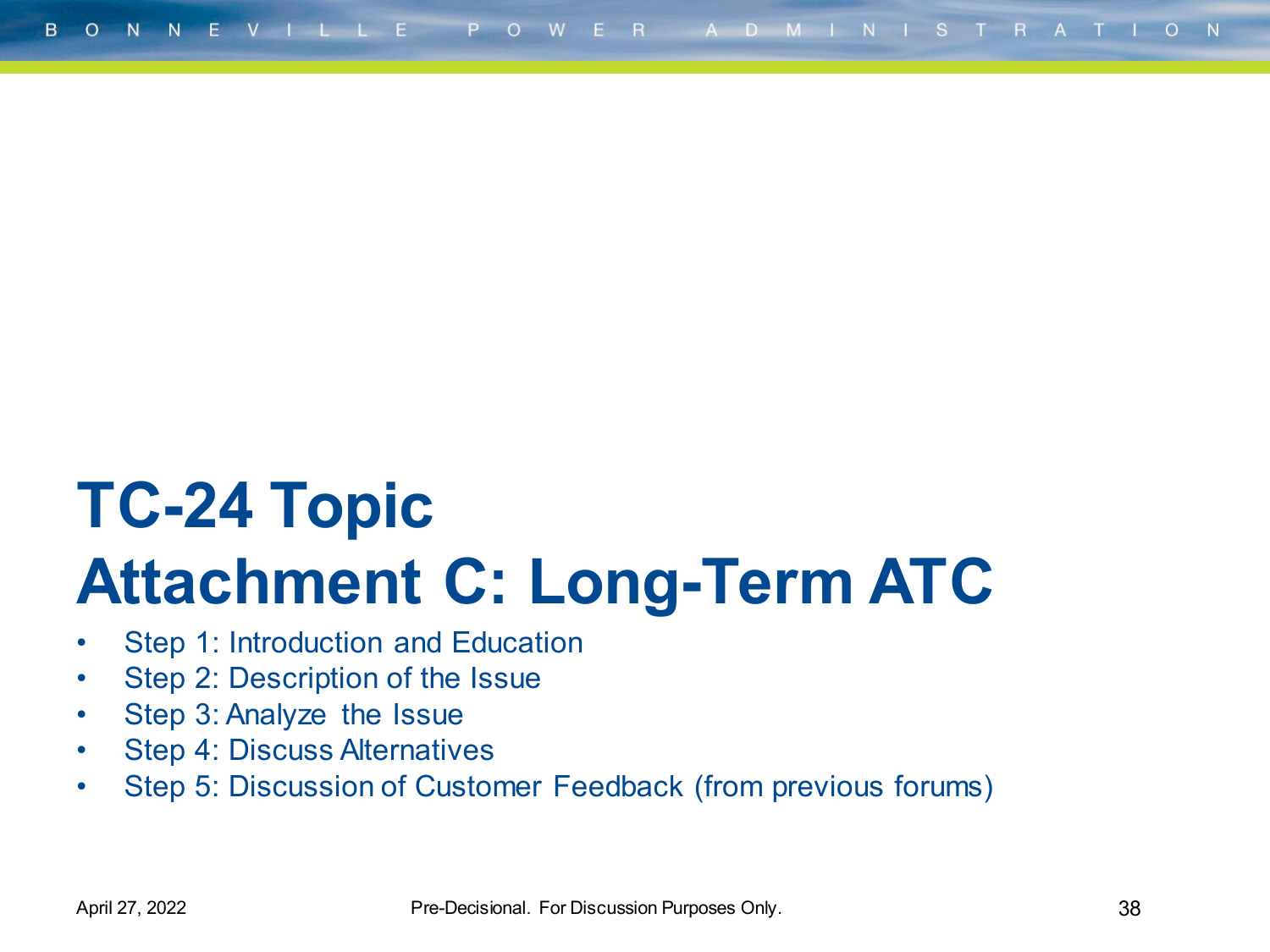# **TC-24 Topic Attachment C: Long-Term ATC**

- Step 1: Introduction and Education
- Step 2: Description of the Issue
- Step 3: Analyze the Issue
- Step 4: Discuss Alternatives
- Step 5: Discussion of Customer Feedback (from previous forums)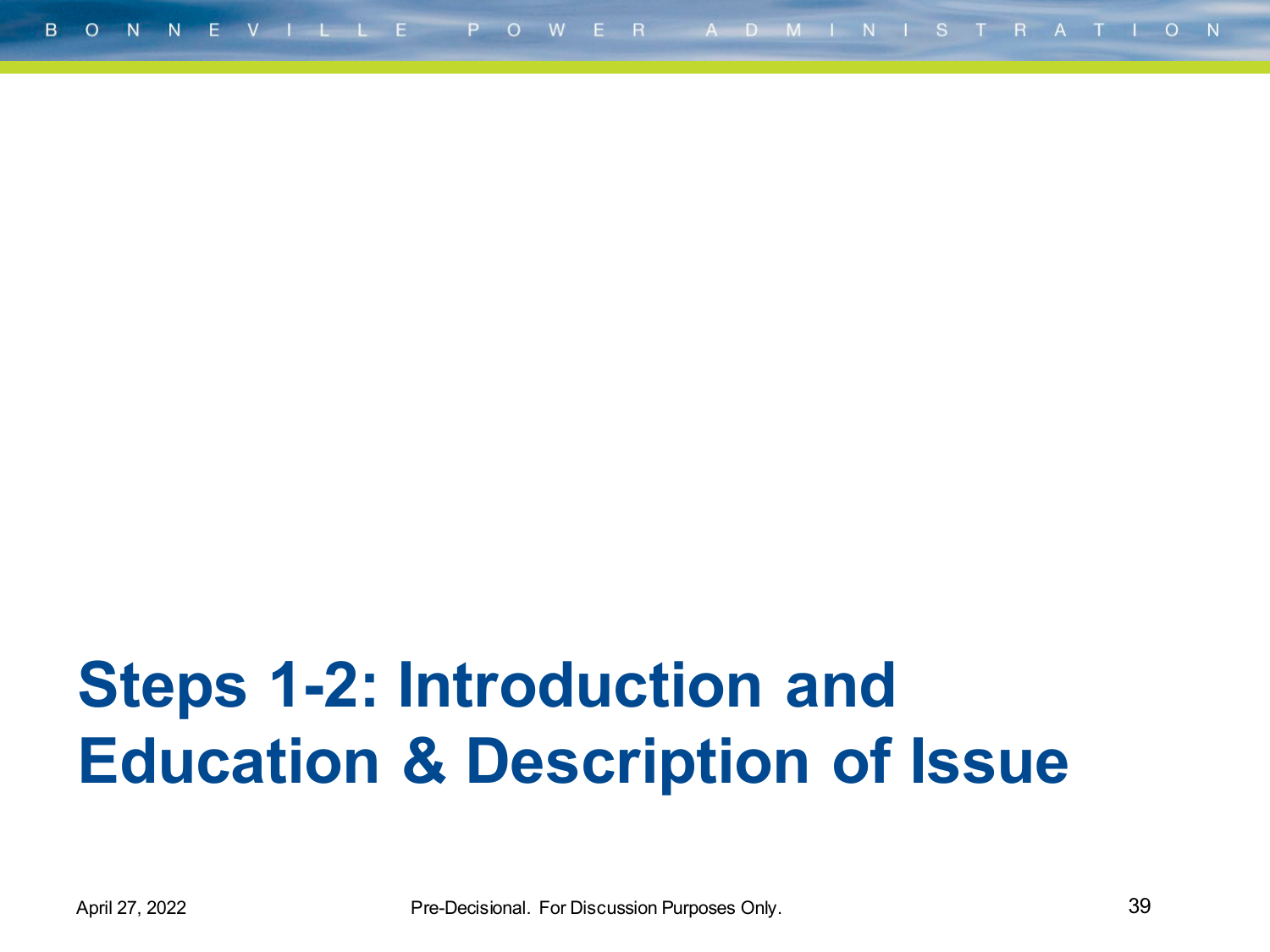## **Steps 1-2: Introduction and Education & Description of Issue**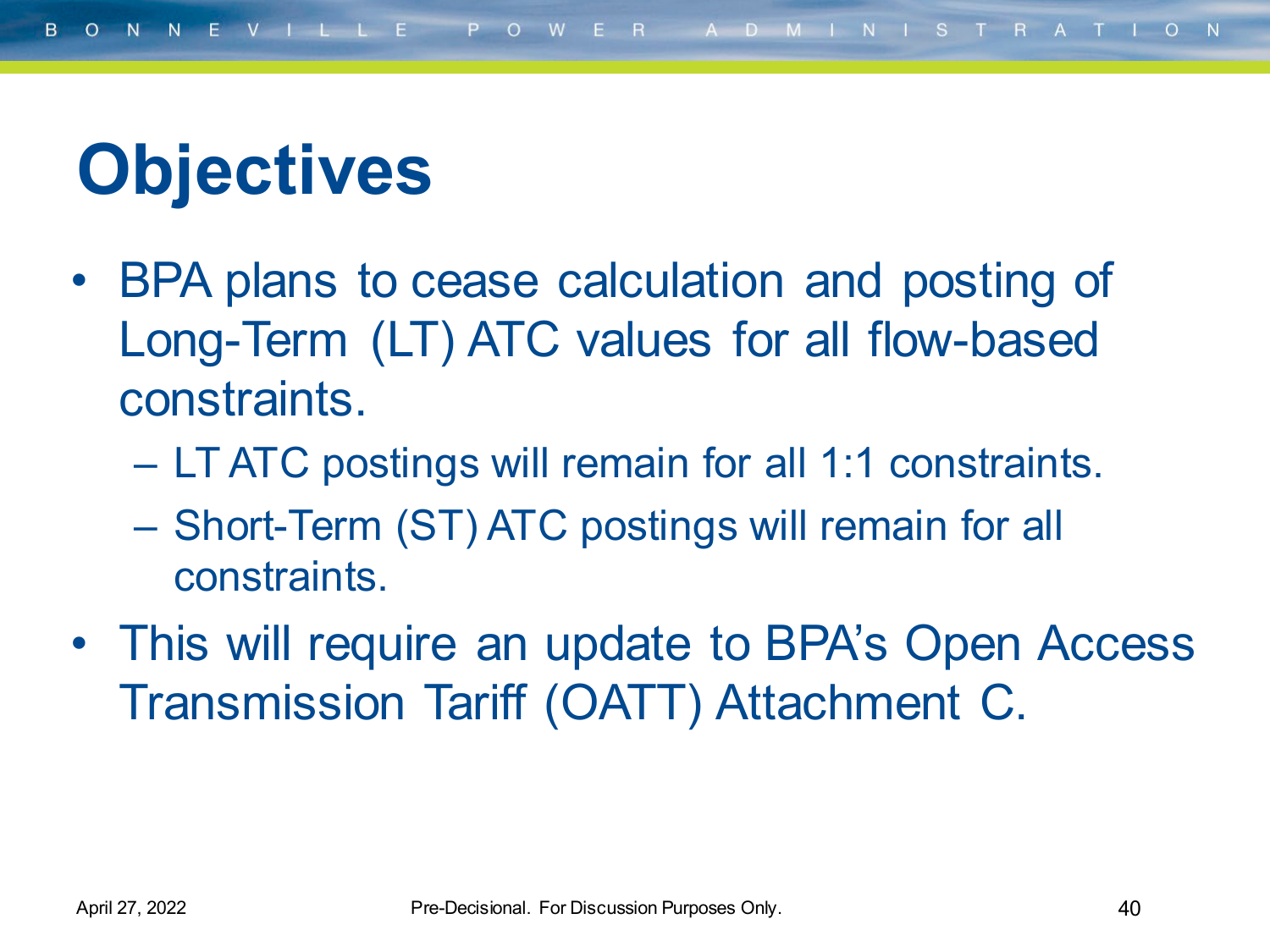# **Objectives**

- BPA plans to cease calculation and posting of Long-Term (LT) ATC values for all flow-based constraints.
	- LT ATC postings will remain for all 1:1 constraints.
	- Short-Term (ST) ATC postings will remain for all constraints.
- This will require an update to BPA's Open Access Transmission Tariff (OATT) Attachment C.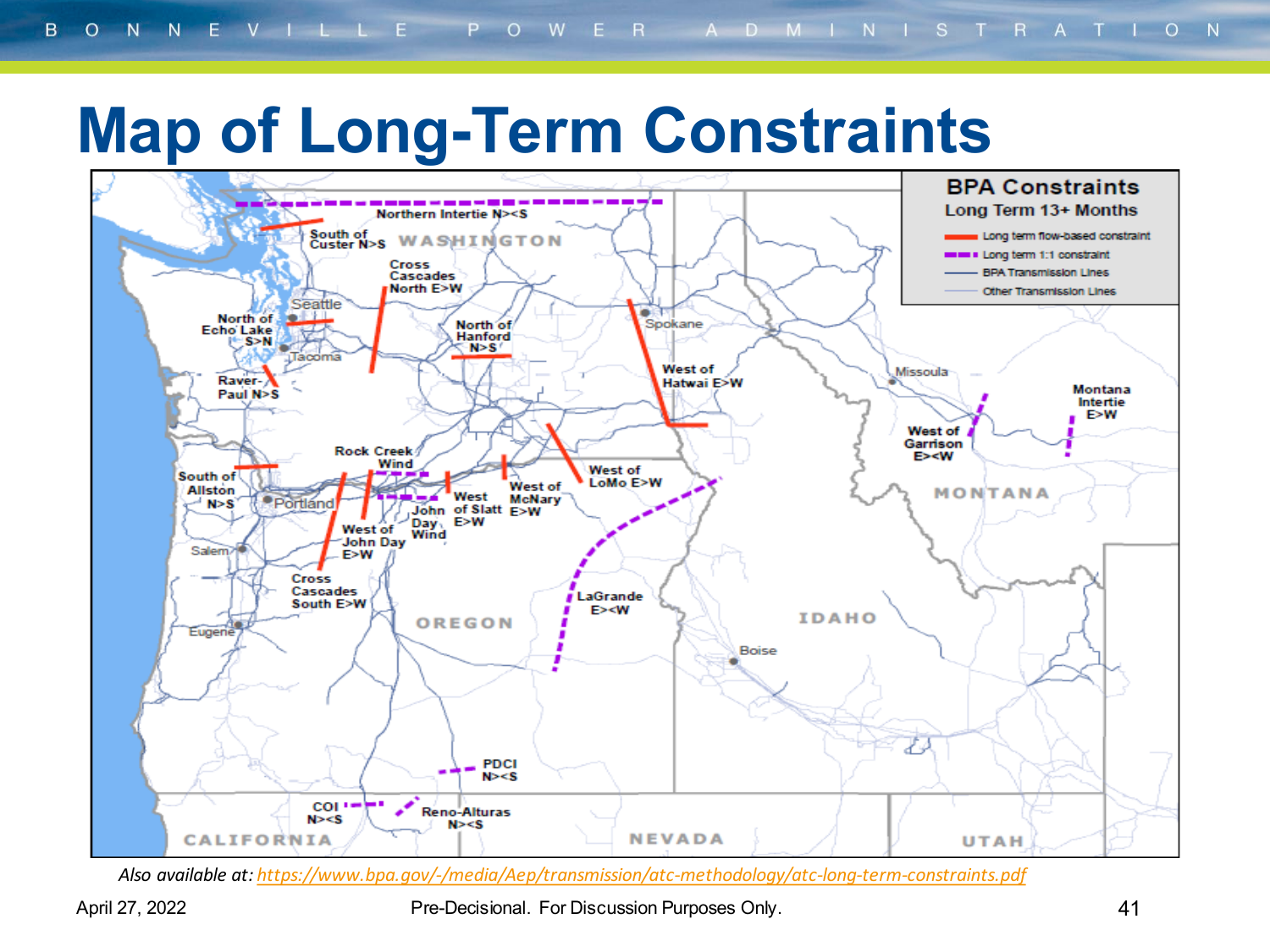### **Map of Long-Term Constraints**



*Also available at:<https://www.bpa.gov/-/media/Aep/transmission/atc-methodology/atc-long-term-constraints.pdf>*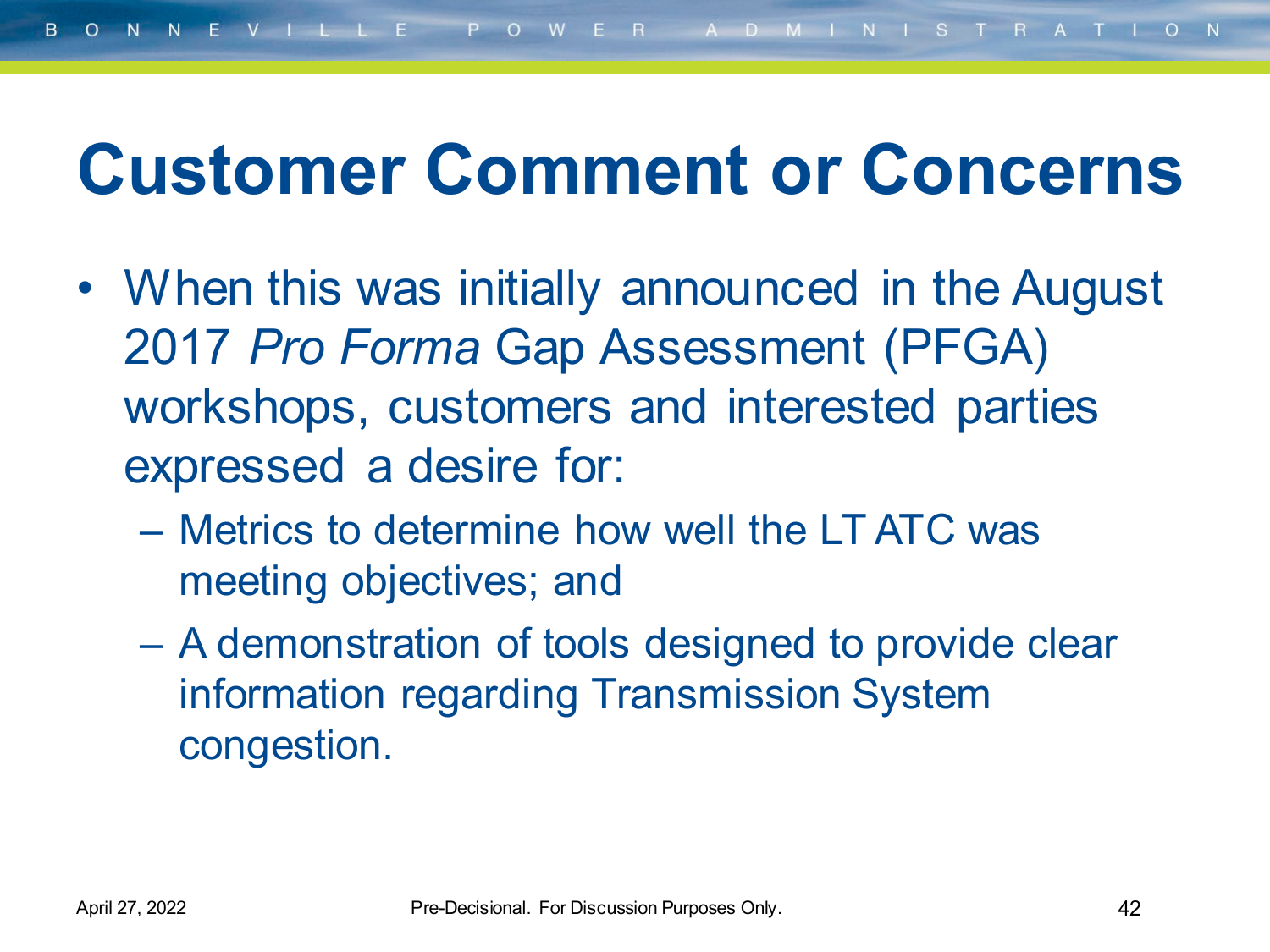## **Customer Comment or Concerns**

- When this was initially announced in the August 2017 *Pro Forma* Gap Assessment (PFGA) workshops, customers and interested parties expressed a desire for:
	- Metrics to determine how well the LT ATC was meeting objectives; and
	- A demonstration of tools designed to provide clear information regarding Transmission System congestion.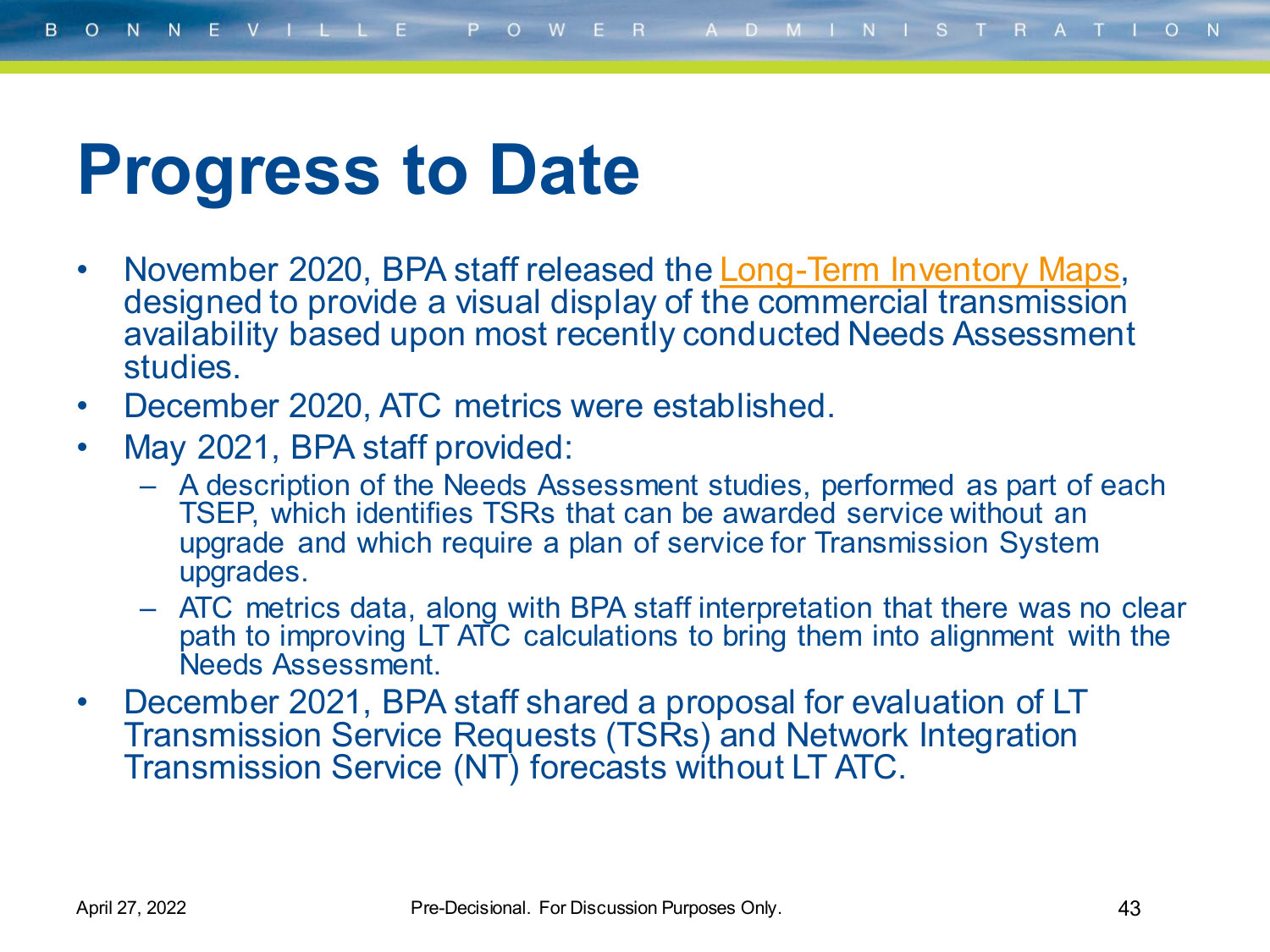## **Progress to Date**

- November 2020, BPA staff released the [Long-Term Inventory Maps](https://www.bpa.gov/energy-and-services/transmission/transmission-availability), designed to provide a visual display of the commercial transmission availability based upon most recently conducted Needs Assessment studies.
- December 2020, ATC metrics were established.
- May 2021, BPA staff provided:
	- A description of the Needs Assessment studies, performed as part of each TSEP, which identifies TSRs that can be awarded service without an upgrade and which require a plan of service for Transmission System upgrades.
	- ATC metrics data, along with BPA staff interpretation that there was no clear path to improving LT ATC calculations to bring them into alignment with the Needs Assessment.
- December 2021, BPA staff shared a proposal for evaluation of LT Transmission Service Requests (TSRs) and Network Integration Transmission Service (NT) forecasts without LT ATC.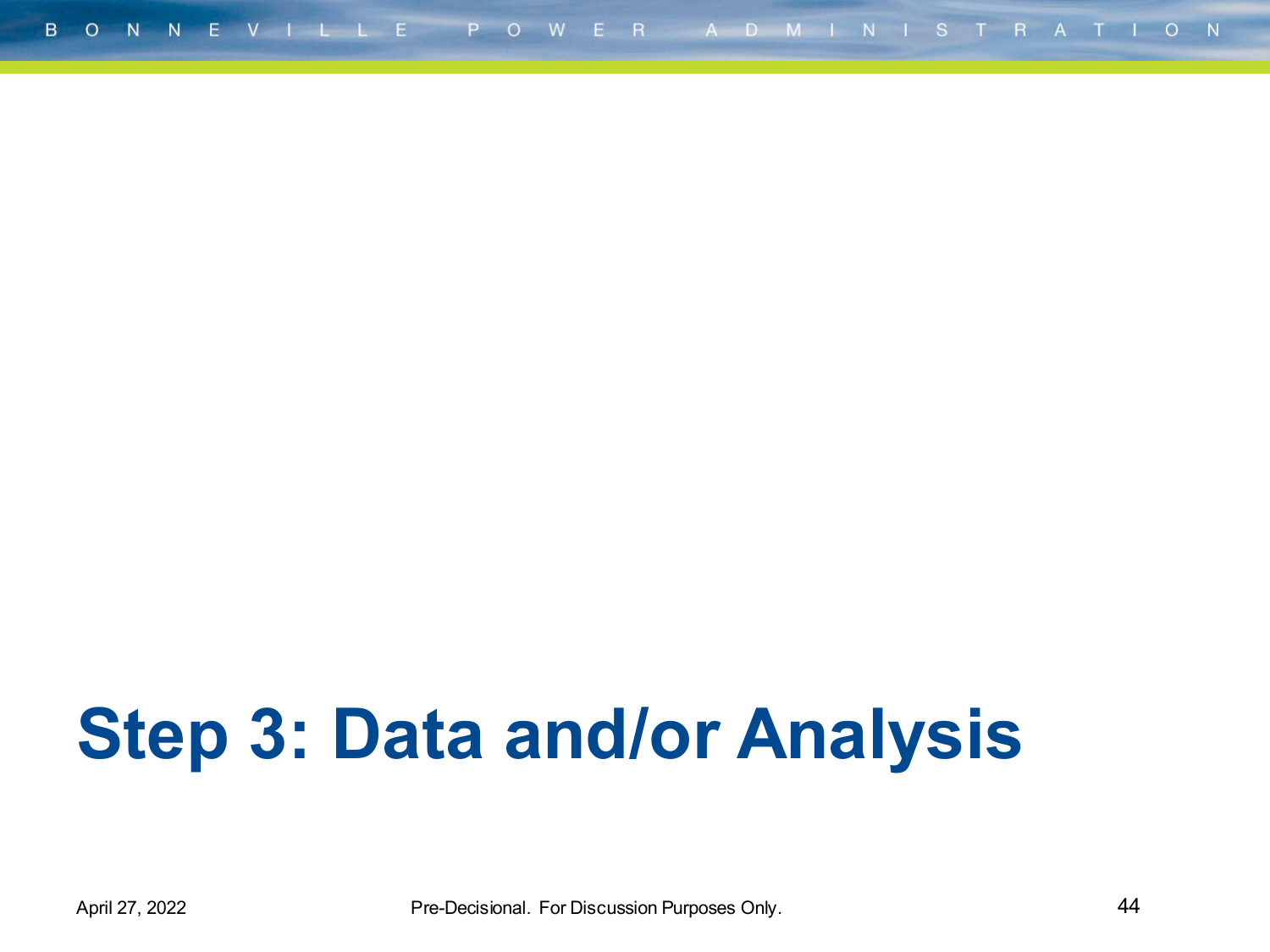# **Step 3: Data and/or Analysis**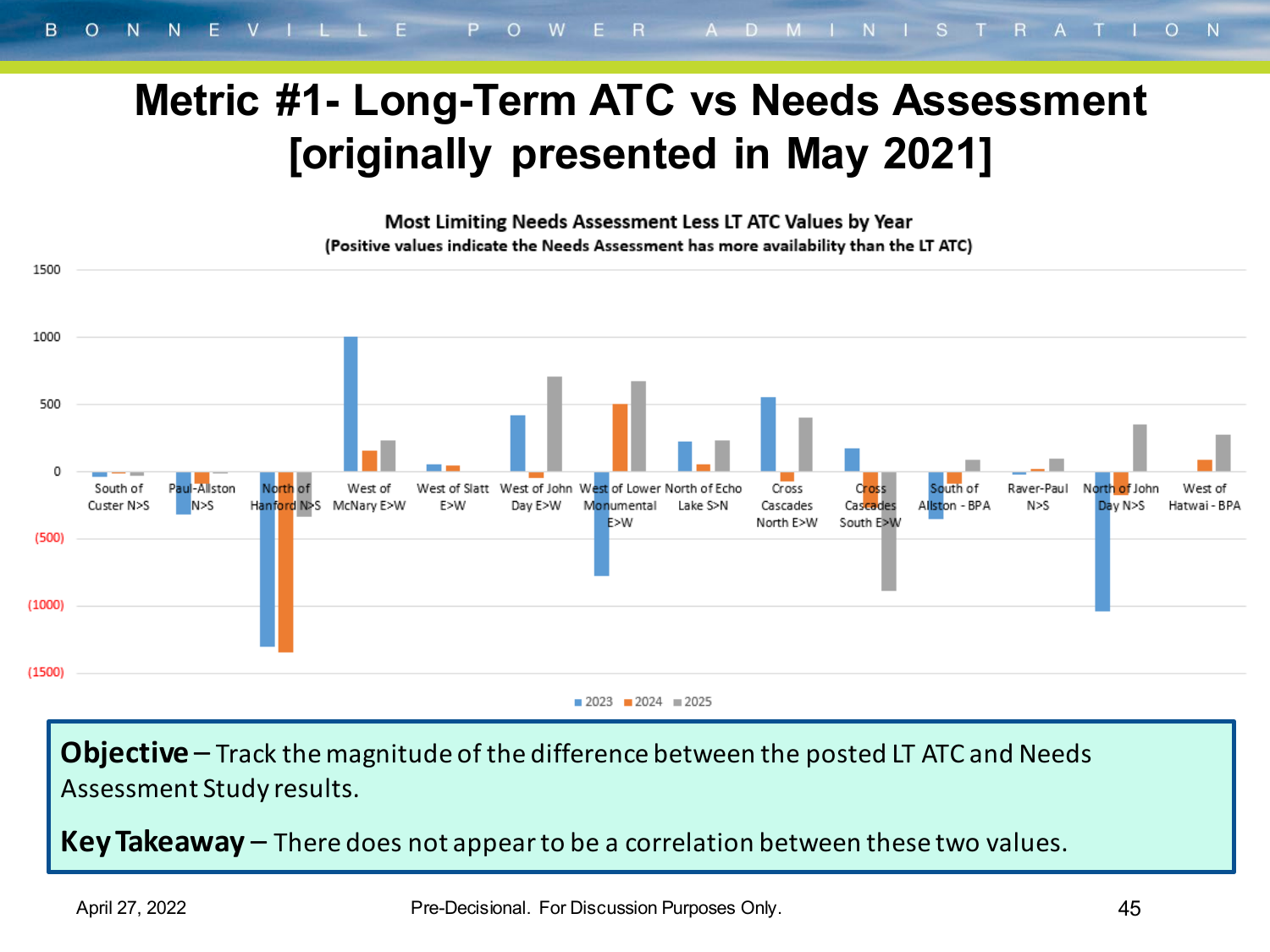#### **Metric #1- Long-Term ATC vs Needs Assessment [originally presented in May 2021]**

Most Limiting Needs Assessment Less LT ATC Values by Year (Positive values indicate the Needs Assessment has more availability than the LT ATC)



**Objective** – Track the magnitude of the difference between the posted LT ATC and Needs Assessment Study results.

**Key Takeaway** – There does not appear to be a correlation between these two values.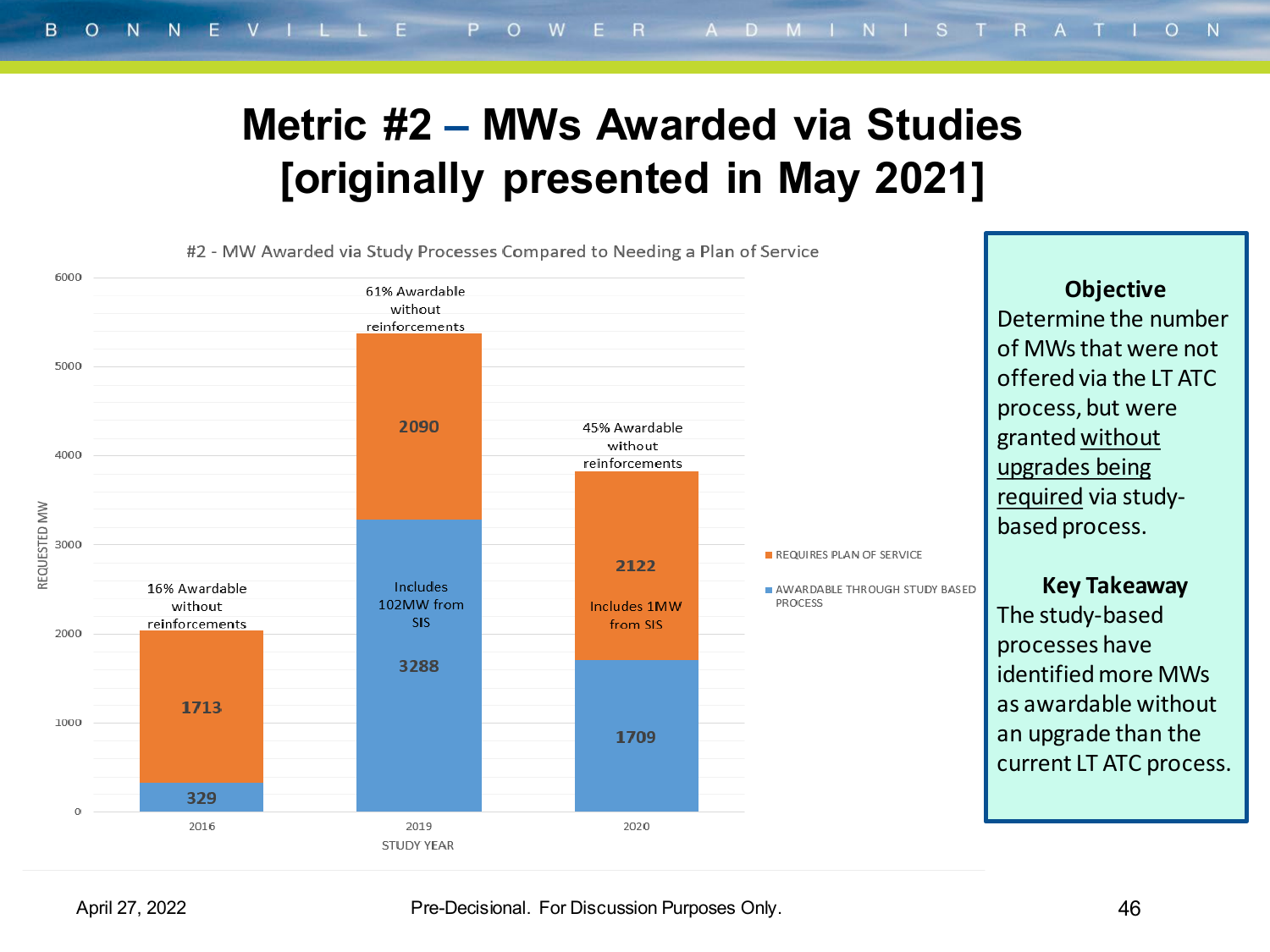#### **Metric #2 – MWs Awarded via Studies [originally presented in May 2021]**

#2 - MW Awarded via Study Processes Compared to Needing a Plan of Service

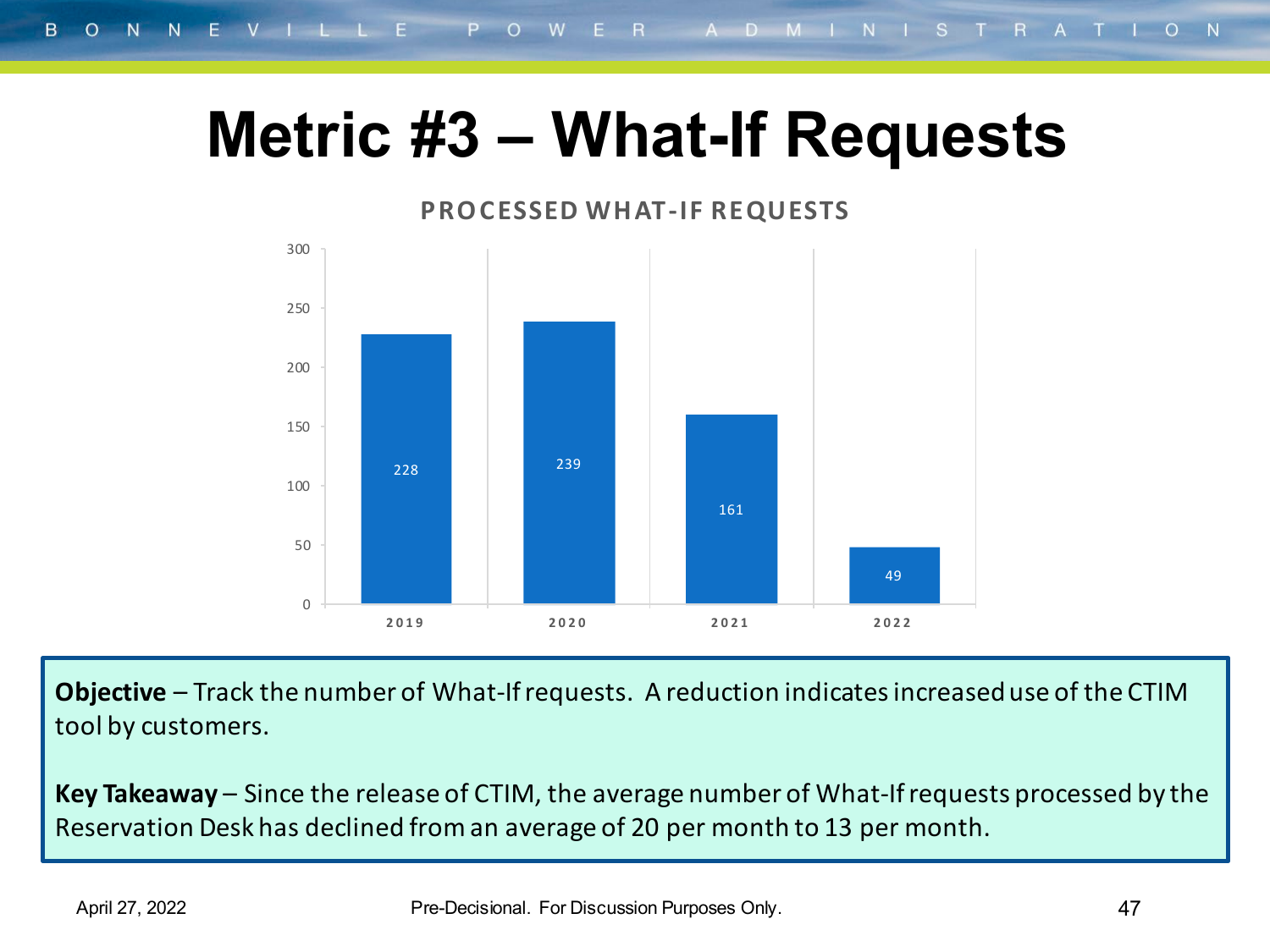#### **Metric #3 – What-If Requests**



**Objective** – Track the number of What-If requests. A reduction indicates increased use of the CTIM tool by customers.

**Key Takeaway** – Since the release of CTIM, the average number of What-If requests processed by the Reservation Desk has declined from an average of 20 per month to 13 per month.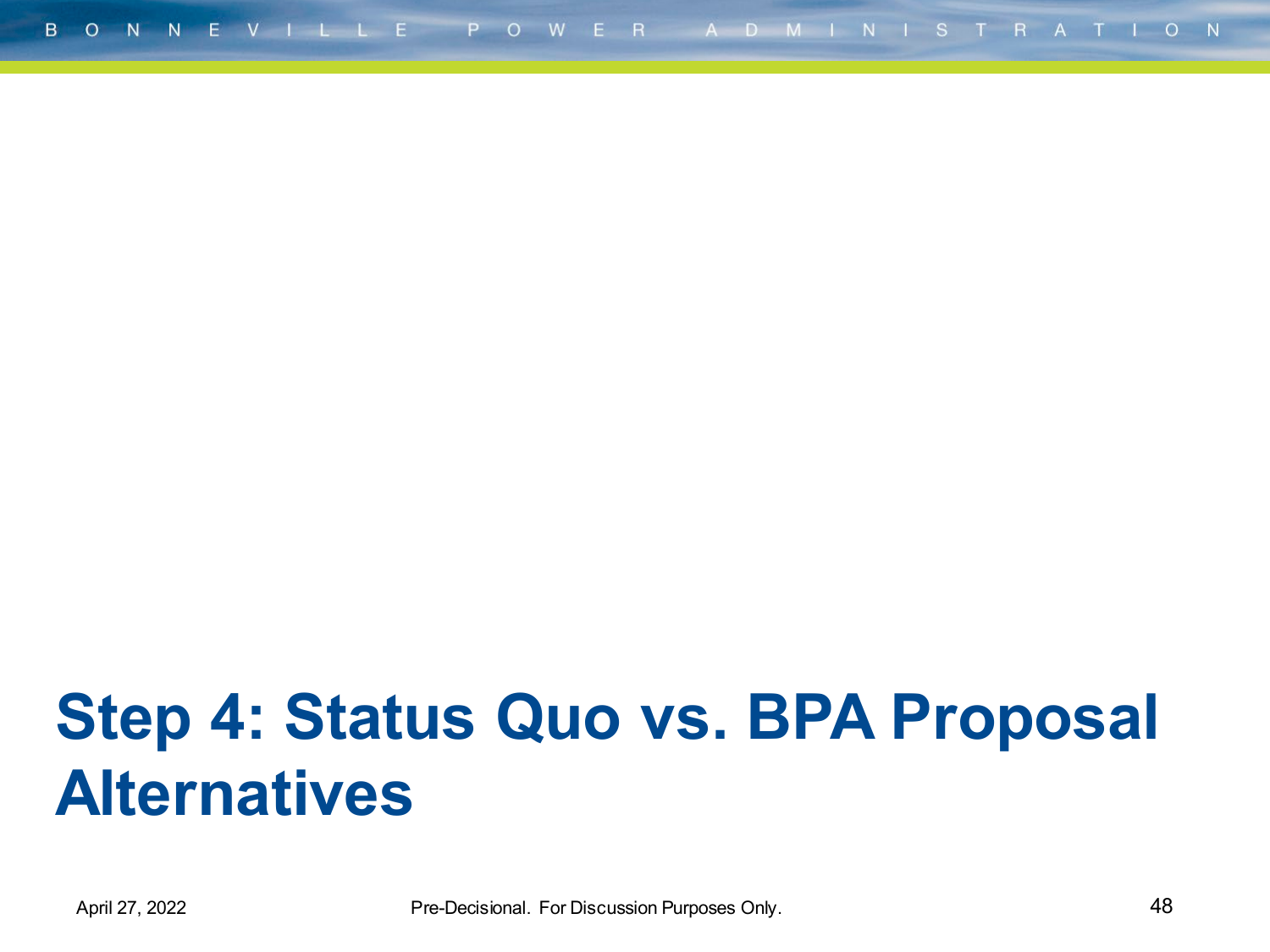# **Step 4: Status Quo vs. BPA Proposal Alternatives**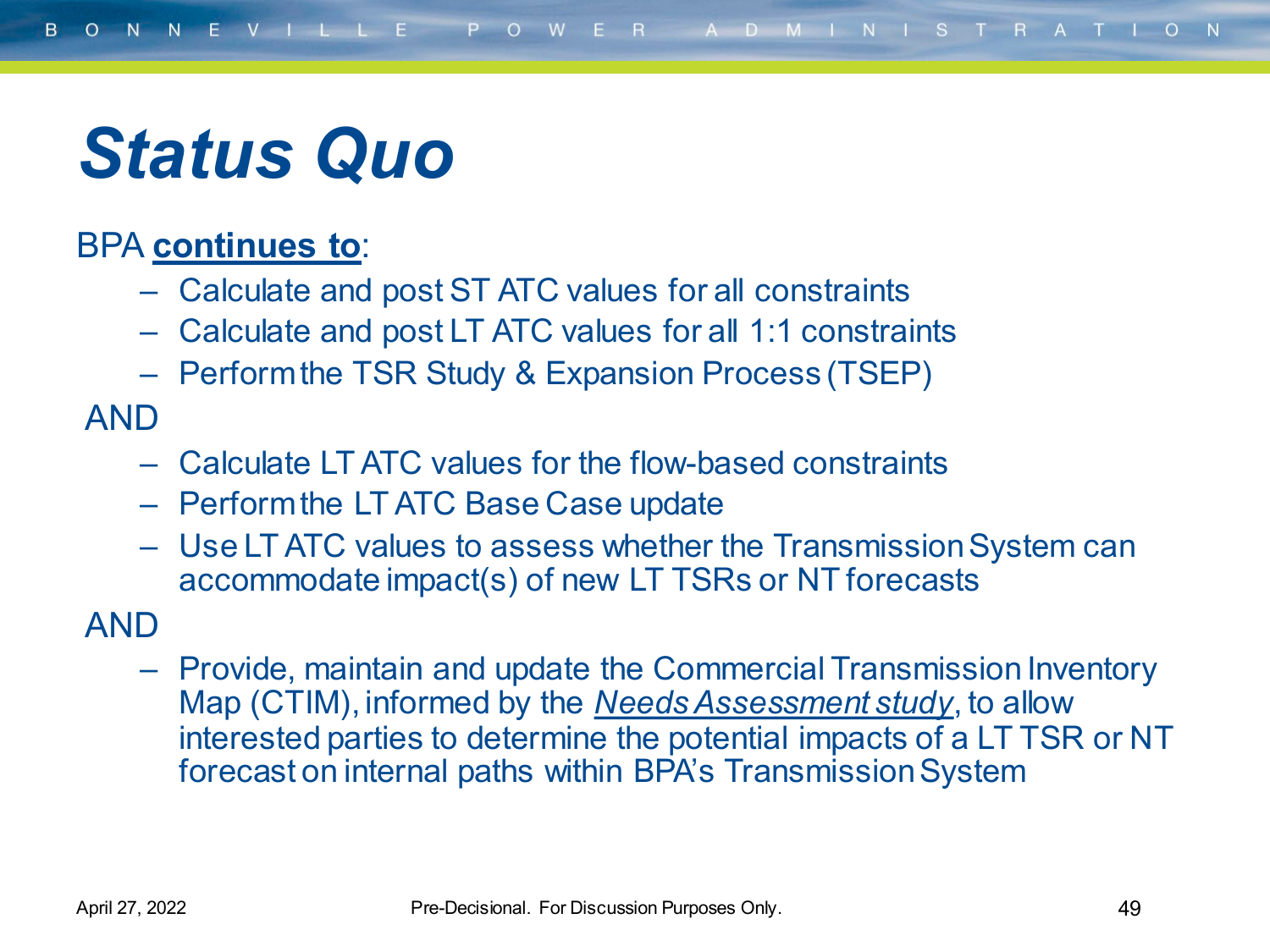## *Status Quo*

#### BPA **continues to**:

- Calculate and post ST ATC values for all constraints
- Calculate and post LT ATC values for all 1:1 constraints
- Perform the TSR Study & Expansion Process (TSEP)

AND

- Calculate LT ATC values for the flow-based constraints
- Perform the LT ATC Base Case update
- Use LT ATC values to assess whether the Transmission System can accommodate impact(s) of new LT TSRs or NT forecasts

AND

– Provide, maintain and update the Commercial Transmission Inventory Map (CTIM), informed by the *Needs Assessment study*, to allow interested parties to determine the potential impacts of a LT TSR or NT forecast on internal paths within BPA's Transmission System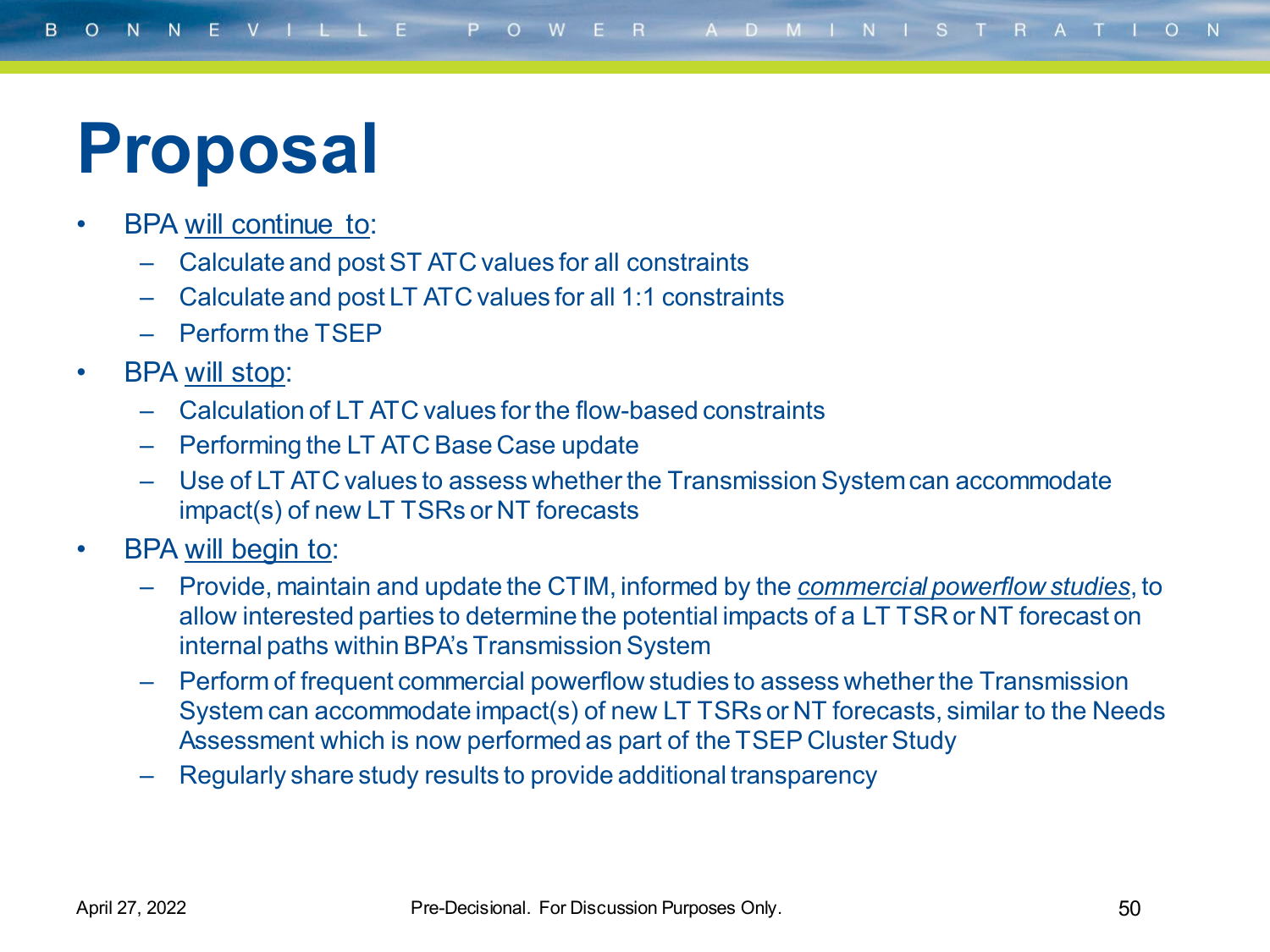## **Proposal**

- BPA will continue to:
	- Calculate and post ST ATC values for all constraints
	- Calculate and post LT ATC values for all 1:1 constraints
	- Perform the TSEP
- BPA will stop:
	- Calculation of LT ATC values for the flow-based constraints
	- Performing the LT ATC Base Case update
	- Use of LT ATC values to assess whether the Transmission System can accommodate impact(s) of new LT TSRs or NT forecasts
- BPA will begin to:
	- Provide, maintain and update the CTIM, informed by the *commercial powerflow studies*, to allow interested parties to determine the potential impacts of a LT TSR or NT forecast on internal paths within BPA's Transmission System
	- Perform of frequent commercial powerflow studies to assess whether the Transmission System can accommodate impact(s) of new LT TSRs or NT forecasts, similar to the Needs Assessment which is now performed as part of the TSEP Cluster Study
	- Regularly share study results to provide additional transparency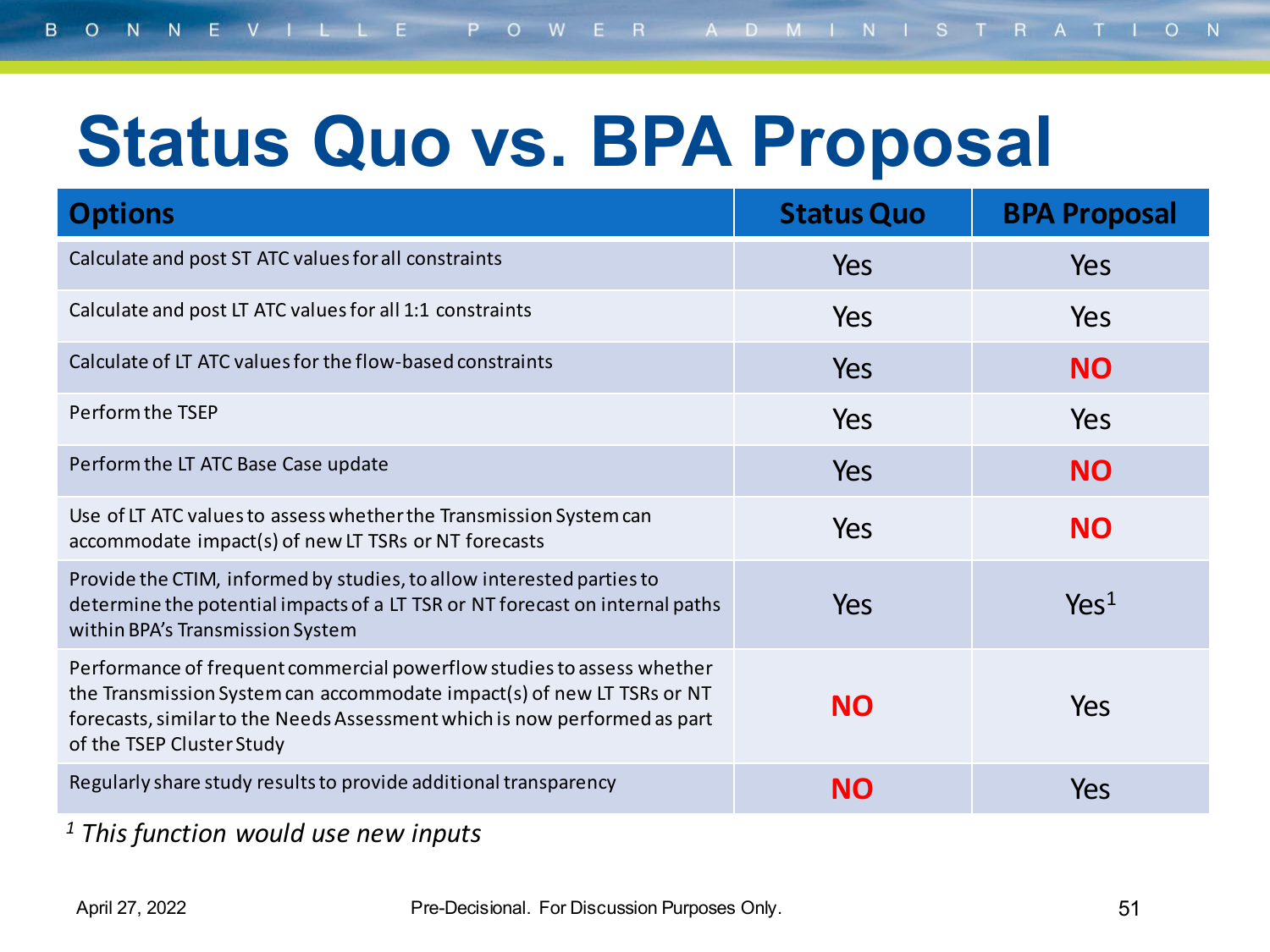## **Status Quo vs. BPA Proposal**

| <b>Options</b>                                                                                                                                                                                                                                             | <b>Status Quo</b> | <b>BPA Proposal</b> |
|------------------------------------------------------------------------------------------------------------------------------------------------------------------------------------------------------------------------------------------------------------|-------------------|---------------------|
| Calculate and post ST ATC values for all constraints                                                                                                                                                                                                       | Yes               | <b>Yes</b>          |
| Calculate and post LT ATC values for all 1:1 constraints                                                                                                                                                                                                   | Yes               | <b>Yes</b>          |
| Calculate of LT ATC values for the flow-based constraints                                                                                                                                                                                                  | Yes               | <b>NO</b>           |
| Perform the TSEP                                                                                                                                                                                                                                           | Yes               | Yes                 |
| Perform the LT ATC Base Case update                                                                                                                                                                                                                        | <b>Yes</b>        | <b>NO</b>           |
| Use of LT ATC values to assess whether the Transmission System can<br>accommodate impact(s) of new LT TSRs or NT forecasts                                                                                                                                 | <b>Yes</b>        | <b>NO</b>           |
| Provide the CTIM, informed by studies, to allow interested parties to<br>determine the potential impacts of a LT TSR or NT forecast on internal paths<br>within BPA's Transmission System                                                                  | <b>Yes</b>        | Yes <sup>1</sup>    |
| Performance of frequent commercial powerflow studies to assess whether<br>the Transmission System can accommodate impact(s) of new LT TSRs or NT<br>forecasts, similar to the Needs Assessment which is now performed as part<br>of the TSEP Cluster Study | <b>NO</b>         | Yes                 |
| Regularly share study results to provide additional transparency                                                                                                                                                                                           | <b>NO</b>         | Yes                 |

*<sup>1</sup> This function would use new inputs*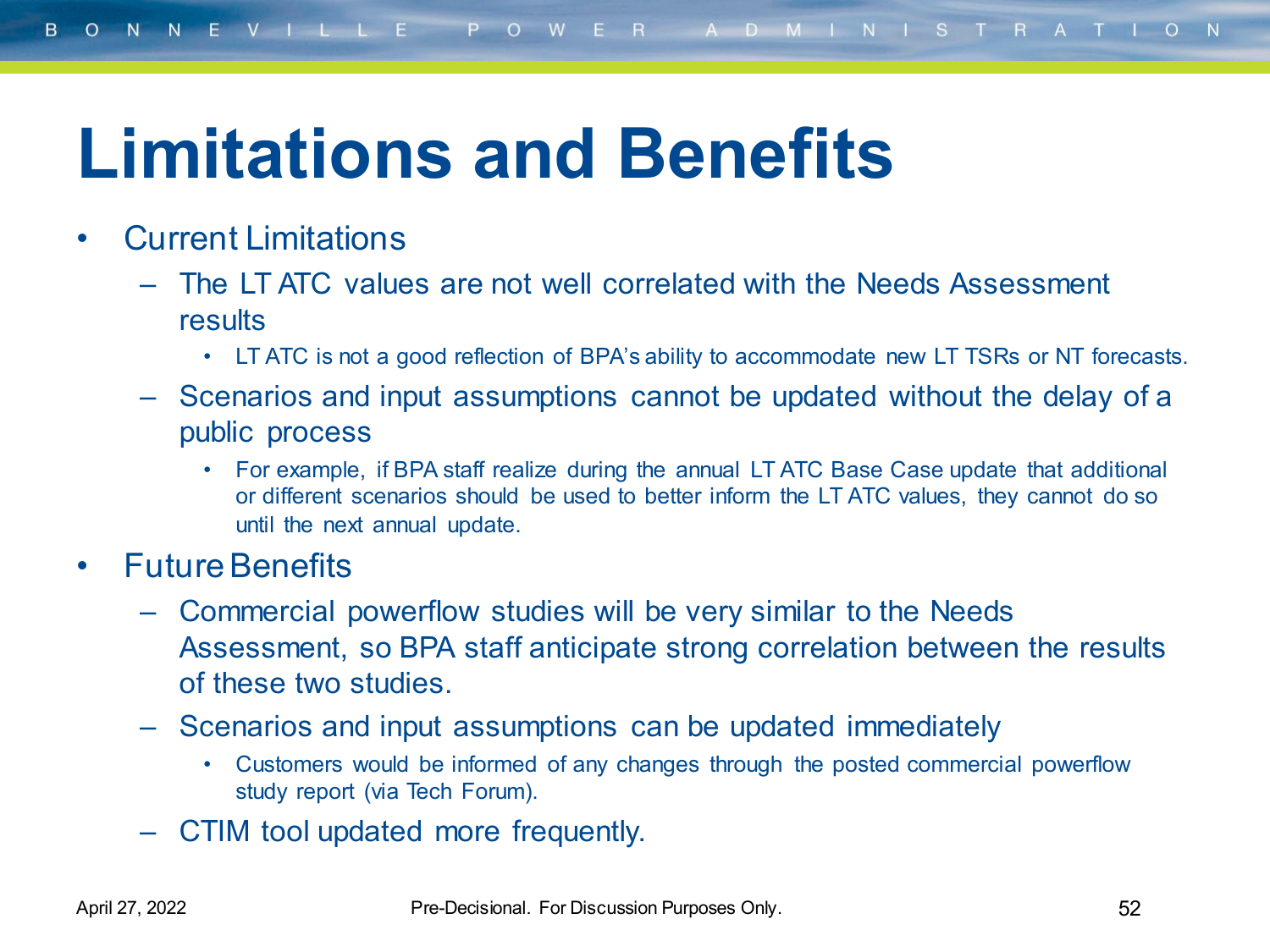## **Limitations and Benefits**

- Current Limitations
	- The LT ATC values are not well correlated with the Needs Assessment results
		- LT ATC is not a good reflection of BPA's ability to accommodate new LT TSRs or NT forecasts.
	- Scenarios and input assumptions cannot be updated without the delay of a public process
		- For example, if BPA staff realize during the annual LT ATC Base Case update that additional or different scenarios should be used to better inform the LT ATC values, they cannot do so until the next annual update.
- Future Benefits
	- Commercial powerflow studies will be very similar to the Needs Assessment, so BPA staff anticipate strong correlation between the results of these two studies.
	- Scenarios and input assumptions can be updated immediately
		- Customers would be informed of any changes through the posted commercial powerflow study report (via Tech Forum).
	- CTIM tool updated more frequently.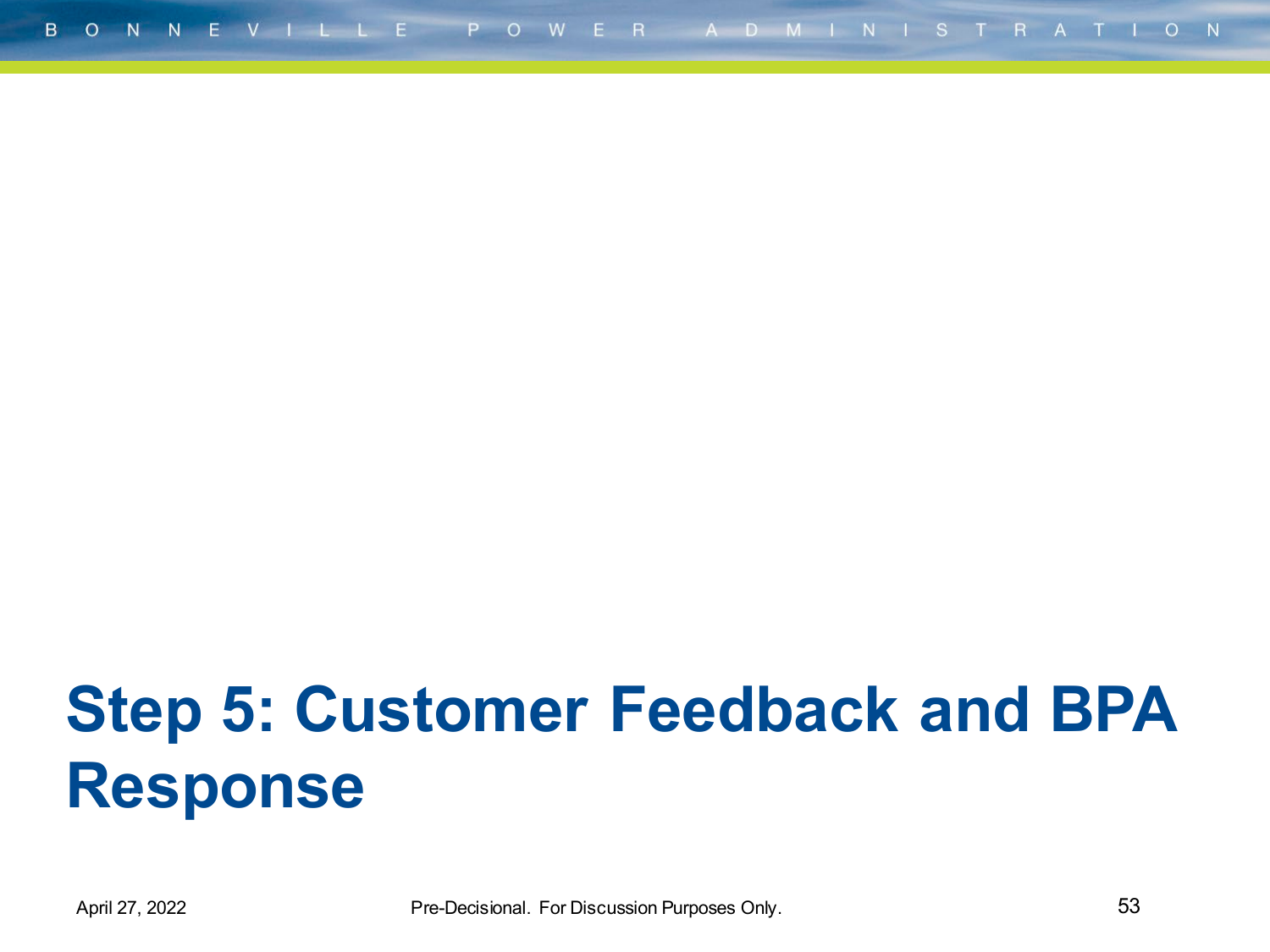# **Step 5: Customer Feedback and BPA Response**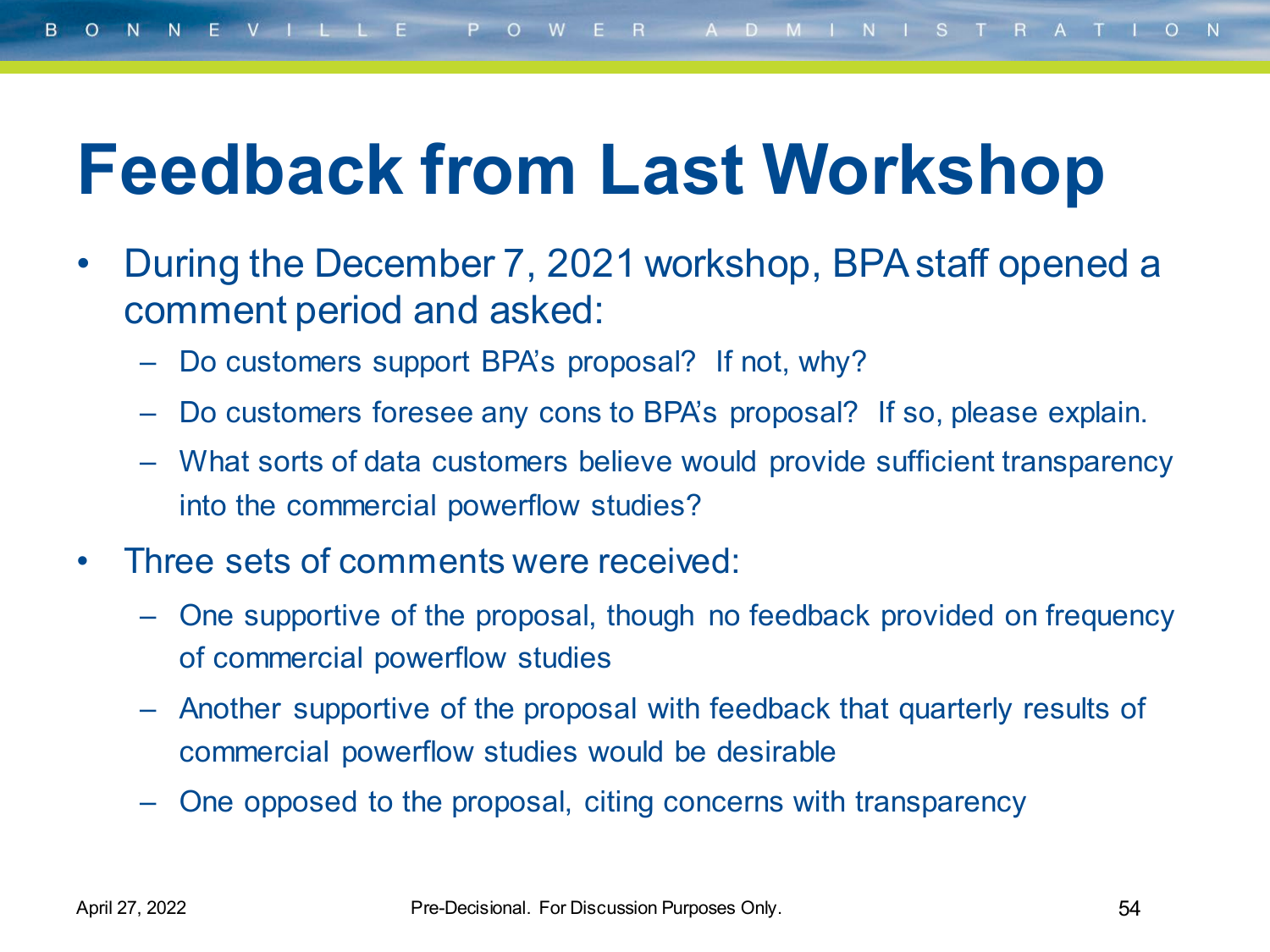## **Feedback from Last Workshop**

- During the December 7, 2021 workshop, BPA staff opened a comment period and asked:
	- Do customers support BPA's proposal? If not, why?
	- Do customers foresee any cons to BPA's proposal? If so, please explain.
	- What sorts of data customers believe would provide sufficient transparency into the commercial powerflow studies?
- Three sets of comments were received:
	- One supportive of the proposal, though no feedback provided on frequency of commercial powerflow studies
	- Another supportive of the proposal with feedback that quarterly results of commercial powerflow studies would be desirable
	- One opposed to the proposal, citing concerns with transparency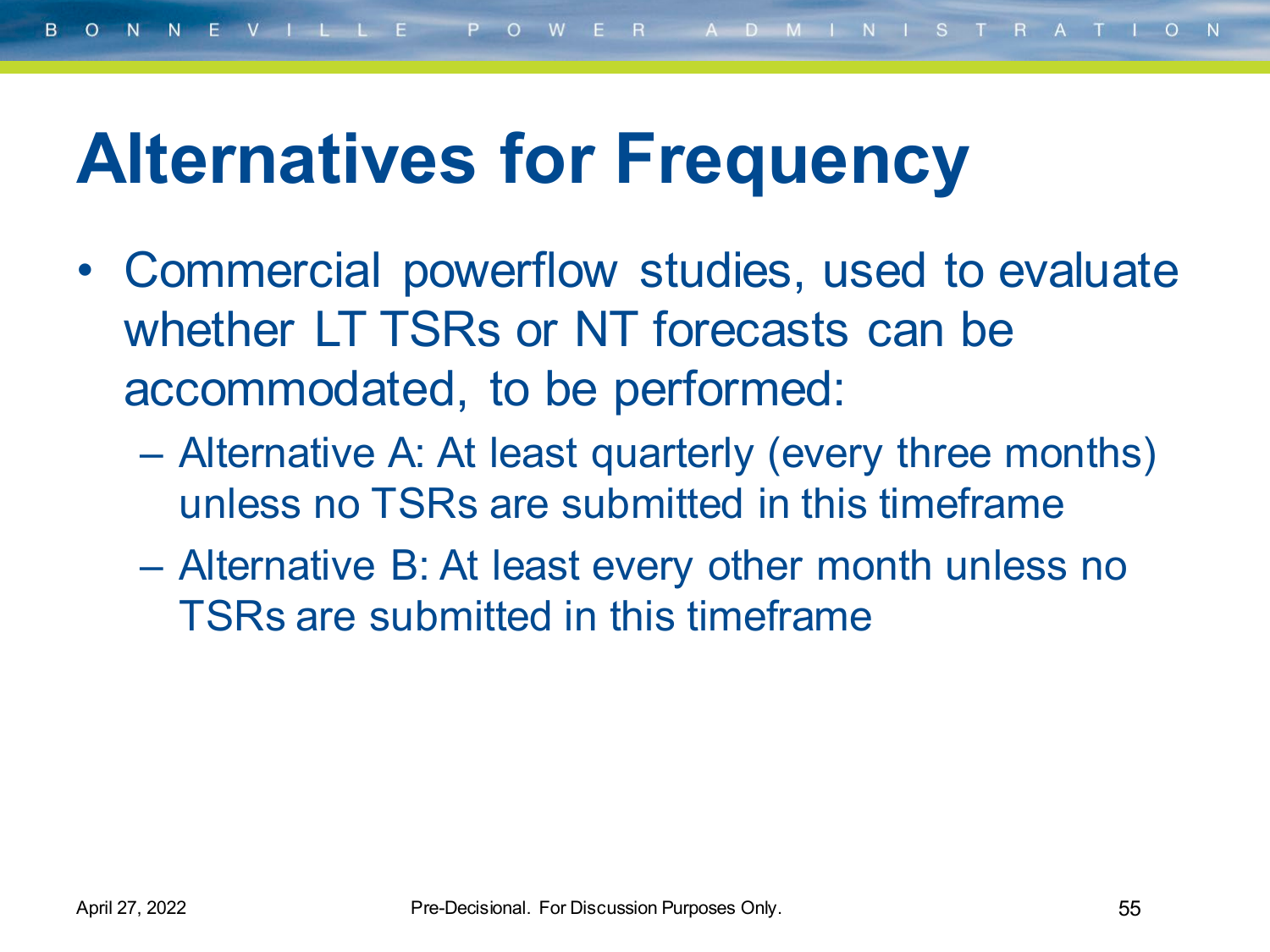## **Alternatives for Frequency**

- Commercial powerflow studies, used to evaluate whether LT TSRs or NT forecasts can be accommodated, to be performed:
	- Alternative A: At least quarterly (every three months) unless no TSRs are submitted in this timeframe
	- Alternative B: At least every other month unless no TSRs are submitted in this timeframe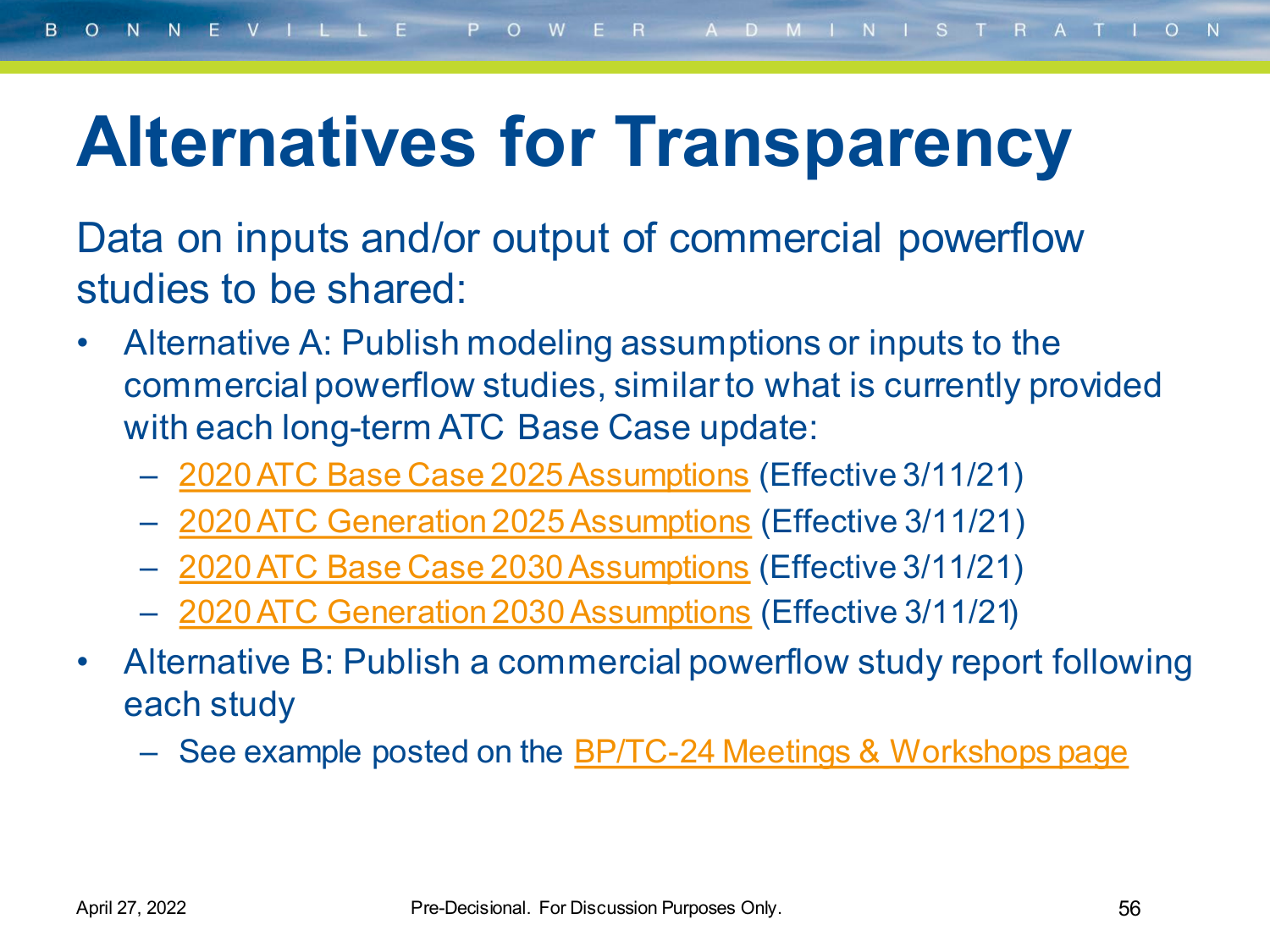## **Alternatives for Transparency**

Data on inputs and/or output of commercial powerflow studies to be shared:

- Alternative A: Publish modeling assumptions or inputs to the commercial powerflow studies, similar to what is currently provided with each long-term ATC Base Case update:
	- [2020 ATC Base Case 2025 Assumptions](https://www.bpa.gov/-/media/Aep/transmission/atc-methodology/2020-atc-base-case-2025-assumptions.pdf) (Effective 3/11/21)
	- [2020 ATC Generation 2025 Assumptions](https://www.bpa.gov/-/media/Aep/transmission/atc-methodology/2020-atc-generation-2025-assumptions.pdf) (Effective 3/11/21)
	- [2020 ATC Base Case 2030 Assumptions](https://www.bpa.gov/-/media/Aep/transmission/atc-methodology/2020-atc-base-case-2030-assumptions.pdf) (Effective 3/11/21)
	- [2020 ATC Generation 2030 Assumptions](https://www.bpa.gov/-/media/Aep/transmission/atc-methodology/2020-atc-generation-2030-assumptions.pdf) (Effective 3/11/21)
- Alternative B: Publish a commercial powerflow study report following each study
	- See example posted on the [BP/TC-24 Meetings & Workshops page](https://www.bpa.gov/energy-and-services/rate-and-tariff-proceedings/bp-24-rate-case)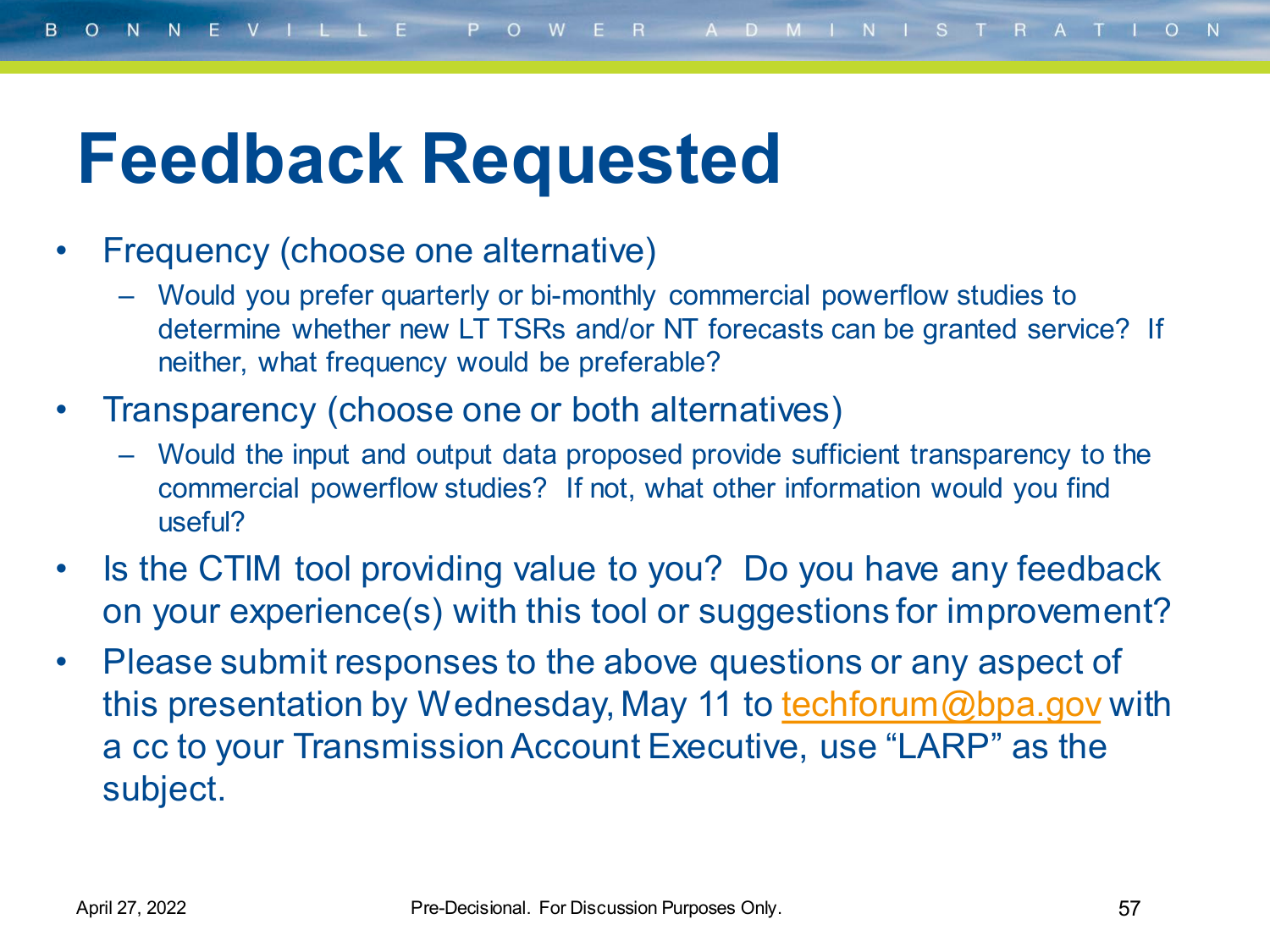## **Feedback Requested**

#### • Frequency (choose one alternative)

- Would you prefer quarterly or bi-monthly commercial powerflow studies to determine whether new LT TSRs and/or NT forecasts can be granted service? If neither, what frequency would be preferable?
- Transparency (choose one or both alternatives)
	- Would the input and output data proposed provide sufficient transparency to the commercial powerflow studies? If not, what other information would you find useful?
- Is the CTIM tool providing value to you? Do you have any feedback on your experience(s) with this tool or suggestions for improvement?
- Please submit responses to the above questions or any aspect of this presentation by Wednesday, May 11 to [techforum@bpa.gov](mailto:techforum@bpa.gov) with a cc to your Transmission Account Executive, use "LARP" as the subject.